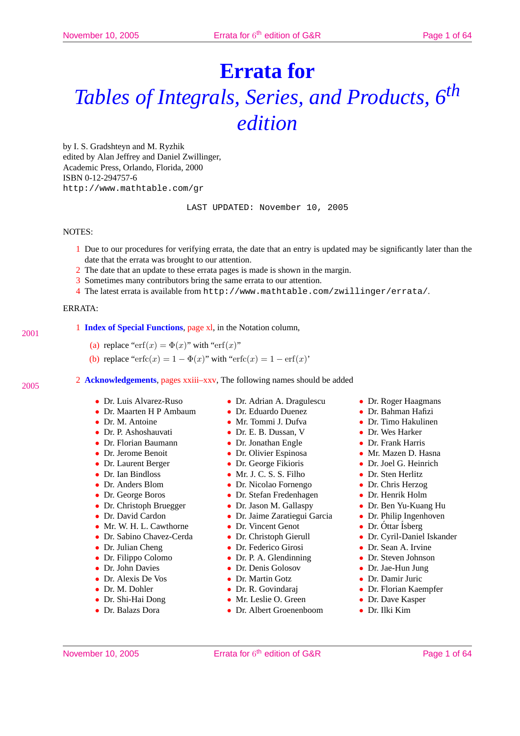# **Errata for** *Tables of Integrals, Series, and Products, 6th edition*

by I. S. Gradshteyn and M. Ryzhik edited by Alan Jeffrey and Daniel Zwillinger, Academic Press, Orlando, Florida, 2000 ISBN 0-12-294757-6 http://www.mathtable.com/gr

LAST UPDATED: November 10, 2005

# NOTES:

- 1 Due to our procedures for verifying errata, the date that an entry is updated may be significantly later than the date that the errata was brought to our attention.
- 2 The date that an update to these errata pages is made is shown in the margin.
- 3 Sometimes many contributors bring the same errata to our attention.
- 4 The latest errata is available from http://www.mathtable.com/zwillinger/errata/.

## ERRATA:

- 1 **Index of Special Functions**, page xl, in the Notation column,
	- (a) replace " $erf(x) = \Phi(x)$ " with " $erf(x)$ "
	- (b) replace " $erfc(x) = 1 \Phi(x)$ " with " $erfc(x) = 1 erf(x)$ "

## 2 **Acknowledgements**, pages xxiii–xxv, The following names should be added

- Dr. Luis Alvarez-Ruso
- Dr. Maarten H P Ambaum
- Dr. M. Antoine
- Dr. P. Ashoshauvati
- Dr. Florian Baumann
- Dr. Jerome Benoit
- Dr. Laurent Berger
- Dr. Ian Bindloss
- Dr. Anders Blom
- Dr. George Boros
- Dr. Christoph Bruegger
- Dr. David Cardon
- Mr. W. H. L. Cawthorne
- Dr. Sabino Chavez-Cerda
- Dr. Julian Cheng
- Dr. Filippo Colomo
- Dr. John Davies
- Dr. Alexis De Vos
- Dr. M. Dohler
- Dr. Shi-Hai Dong
- Dr. Balazs Dora
- Dr. Adrian A. Dragulescu
- Dr. Eduardo Duenez
- Mr. Tommi J. Dufva
- Dr. E. B. Dussan, V
- Dr. Jonathan Engle
- Dr. Olivier Espinosa
- Dr. George Fikioris
- Mr. J. C. S. S. Filho
- Dr. Nicolao Fornengo
- Dr. Stefan Fredenhagen
- Dr. Jason M. Gallaspy
- Dr. Jaime Zaratiegui Garcia
- Dr. Vincent Genot
- Dr. Christoph Gierull
- Dr. Federico Girosi
- Dr. P. A. Glendinning
- Dr. Denis Golosov
- Dr. Martin Gotz
- Dr. R. Govindaraj
- Mr. Leslie O. Green
- Dr. Albert Groenenboom
- Dr. Roger Haagmans
- Dr. Bahman Hafizi
- Dr. Timo Hakulinen
- Dr. Wes Harker
- Dr. Frank Harris
- Mr. Mazen D. Hasna
- Dr. Joel G. Heinrich
- Dr. Sten Herlitz
- Dr. Chris Herzog
- Dr. Henrik Holm
- Dr. Ben Yu-Kuang Hu
- Dr. Philip Ingenhoven
- Dr. Ottar Isberg
- Dr. Cyril-Daniel Iskander
- Dr. Sean A. Irvine
- Dr. Steven Johnson
- Dr. Jae-Hun Jung
- Dr. Damir Juric
- Dr. Florian Kaempfer
- Dr. Dave Kasper
- Dr. Ilki Kim

2001

- 
-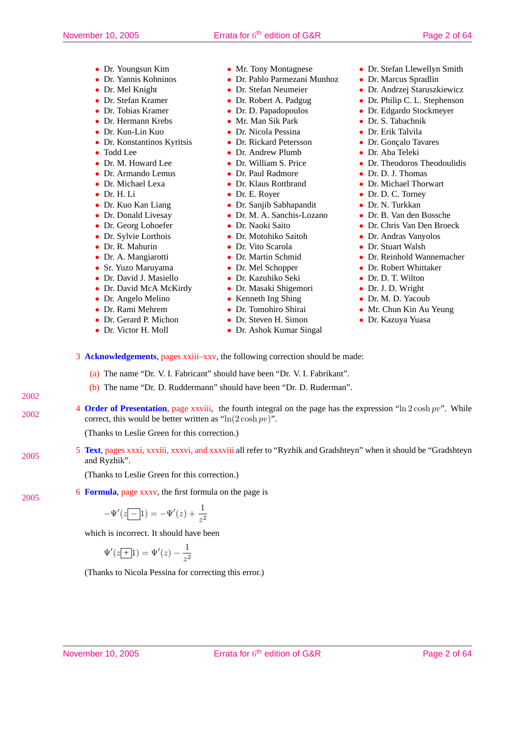- Dr. Youngsun Kim
- Dr. Yannis Kohninos
- Dr. Mel Knight
- Dr. Stefan Kramer
- Dr. Tobias Kramer
- Dr. Hermann Krebs
- Dr. Kun-Lin Kuo
- Dr. Konstantinos Kyritsis
- Todd Lee
- Dr. M. Howard Lee
- Dr. Armando Lemus
- Dr. Michael Lexa
- Dr. H. Li
- Dr. Kuo Kan Liang
- Dr. Donald Livesay
- Dr. Georg Lohoefer
- Dr. Sylvie Lorthois
- Dr. R. Mahurin
- Dr. A. Mangiarotti
- Sr. Yuzo Maruyama
- Dr. David J. Masiello
- Dr. David McA McKirdy
- Dr. Angelo Melino
- Dr. Rami Mehrem

2005

- Dr. Gerard P. Michon
- Dr. Victor H. Moll
- Mr. Tony Montagnese
- Dr. Pablo Parmezani Munhoz
- Dr. Stefan Neumeier
- Dr. Robert A. Padgug
- Dr. D. Papadopoulos
- Mr. Man Sik Park
- Dr. Nicola Pessina
- Dr. Rickard Petersson
- Dr. Andrew Plumb
- Dr. William S. Price
- Dr. Paul Radmore
- Dr. Klaus Rottbrand
- Dr. E. Royer
- Dr. Sanjib Sabhapandit
- Dr. M. A. Sanchis-Lozano
- Dr. Naoki Saito
- Dr. Motohiko Saitoh
- Dr. Vito Scarola
- 
- Dr. Martin Schmid
- Dr. Mel Schopper
- Dr. Kazuhiko Seki
- Dr. Masaki Shigemori
- Kenneth Ing Shing
- Dr. Tomohiro Shirai
- Dr. Steven H. Simon
- Dr. Ashok Kumar Singal
- Dr. Stefan Llewellyn Smith
- Dr. Marcus Spradlin
- Dr. Andrzej Staruszkiewicz
- Dr. Philip C. L. Stephenson
- Dr. Edgardo Stockmeyer
- Dr. S. Tabachnik
- Dr. Erik Talvila
- Dr. Goncalo Tavares
- Dr. Aba Teleki
- Dr. Theodoros Theodoulidis
- Dr. D. J. Thomas
- Dr. Michael Thorwart
- Dr. D. C. Torney
- Dr. N. Turkkan
- Dr. B. Van den Bossche
- Dr. Chris Van Den Broeck
- Dr. Andras Vanyolos
- Dr. Stuart Walsh
- Dr. Reinhold Wannemacher
- Dr. Robert Whittaker
- Dr. D. T. Wilton
- Dr. J. D. Wright
- Dr. M. D. Yacoub
- Mr. Chun Kin Au Yeung
- Dr. Kazuya Yuasa
- 3 **Acknowledgements**, pages xxiii–xxv, the following correction should be made:

(a) The name "Dr. V. I. Fabricant" should have been "Dr. V. I. Fabrikant".

- (b) The name "Dr. D. Ruddermann" should have been "Dr. D. Ruderman".
- 4 **Order of Presentation**, page xxviii, the fourth integral on the page has the expression "ln 2 cosh  $pv$ ". While 2002 correct, this would be better written as "ln(2 cosh  $pv$ )".

(Thanks to Leslie Green for this correction.)

5 **Text**, pages xxxi, xxxiii, xxxvi, and xxxviii all refer to "Ryzhik and Gradshteyn" when it should be "Gradshteyn 2005  $\frac{3 \text{ Real, pages A}}{\text{and Ryzhik}}$ 

(Thanks to Leslie Green for this correction.)

6 **Formula**, page xxxv, the first formula on the page is

$$
-\Psi'(z-1)=-\Psi'(z)+\frac{1}{z^2}
$$

which is incorrect. It should have been

$$
\Psi'(z+1) = \Psi'(z) - \frac{1}{z^2}
$$

(Thanks to Nicola Pessina for correcting this error.)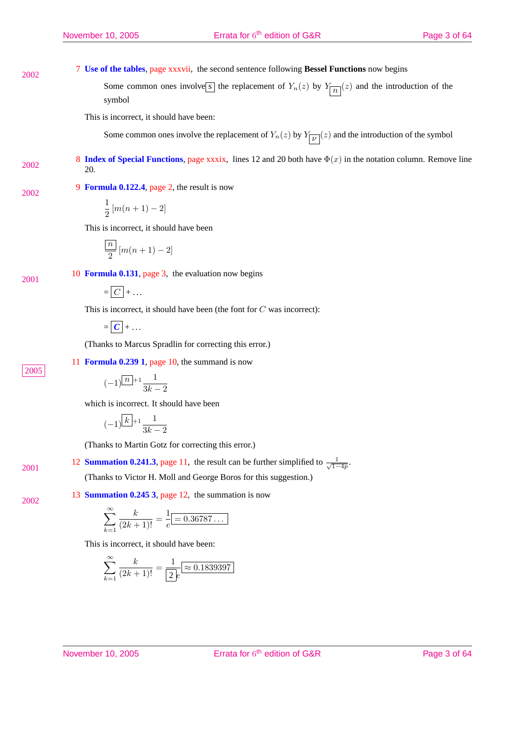2001

2005

7 **Use of the tables**, page xxxvii, the second sentence following **Bessel Functions** now begins

Some common ones involves the replacement of  $Y_n(z)$  by  $Y_{\lceil n \rceil}(z)$  and the introduction of the symbol

This is incorrect, it should have been:

Some common ones involve the replacement of  $Y_n(z)$  by  $Y_{\overline{|\nu|}}(z)$  and the introduction of the symbol

8 **Index of Special Functions**, page xxxix, lines 12 and 20 both have Φ(x) in the notation column. Remove line  $2002$   $\frac{0}{20}$ 

9 **Formula 0.122.4**, page 2, the result is now 2002

$$
\frac{1}{2}\left[m(n+1)-2\right]
$$

This is incorrect, it should have been

$$
\frac{\boxed{n}}{2} [m(n+1) - 2]
$$

10 **Formula 0.131**, page 3, the evaluation now begins

$$
= \boxed{C} + \ldots
$$

This is incorrect, it should have been (the font for  $C$  was incorrect):

$$
= \boxed{C} + \ldots
$$

(Thanks to Marcus Spradlin for correcting this error.)

## 11 **Formula 0.239 1**, page 10, the summand is now

$$
(-1)^{\boxed{n}+1}\frac{1}{3k-2}
$$

which is incorrect. It should have been

$$
(-1)^{\boxed{k}} + 1 \frac{1}{3k - 2}
$$

(Thanks to Martin Gotz for correcting this error.)

12 **Summation 0.241.3**, page 11, the result can be further simplified to  $\frac{1}{\sqrt{1-4p}}$ . 2001

(Thanks to Victor H. Moll and George Boros for this suggestion.)

2002

13 **Summation 0.245 3**, page 12, the summation is now

$$
\sum_{k=1}^{\infty} \frac{k}{(2k+1)!} = \frac{1}{e} = 0.36787\dots
$$

This is incorrect, it should have been:

$$
\sum_{k=1}^{\infty} \frac{k}{(2k+1)!} = \frac{1}{2e} \boxed{\approx 0.1839397}
$$

November 10, 2005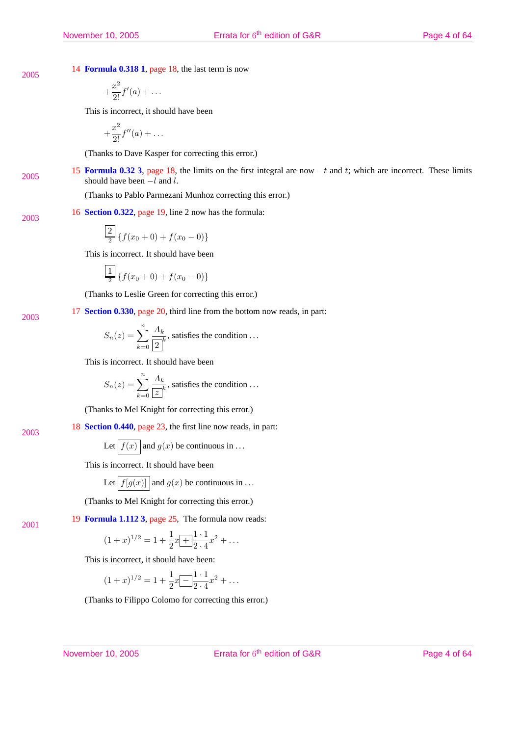14 **Formula 0.318 1**, page 18, the last term is now

$$
+\frac{x^2}{2!}f'(a)+\ldots
$$

This is incorrect, it should have been

$$
+\frac{x^2}{2!}f''(a) + \dots
$$

(Thanks to Dave Kasper for correcting this error.)

15 **Formula 0.32 3**, page 18, the limits on the first integral are now −t and t; which are incorrect. These limits 2005 **Should** have been  $-l$  and l.

(Thanks to Pablo Parmezani Munhoz correcting this error.)

16 **Section 0.322**, page 19, line 2 now has the formula:

$$
\boxed{2}{2} \{f(x_0+0) + f(x_0-0)\}
$$

This is incorrect. It should have been

$$
\boxed{1}_{2} \left\{ f(x_0 + 0) + f(x_0 - 0) \right\}
$$

(Thanks to Leslie Green for correcting this error.)

17 **Section 0.330**, page 20, third line from the bottom now reads, in part:

$$
S_n(z) = \sum_{k=0}^n \frac{A_k}{|z|^k}
$$
, satisfies the condition ...

This is incorrect. It should have been

$$
S_n(z) = \sum_{k=0}^n \frac{A_k}{|z|^k}
$$
, satisfies the condition ...

(Thanks to Mel Knight for correcting this error.)

18 **Section 0.440**, page 23, the first line now reads, in part:

Let  $|f(x)|$  and  $g(x)$  be continuous in ...

This is incorrect. It should have been

Let 
$$
|f(g(x))|
$$
 and  $g(x)$  be continuous in ...

(Thanks to Mel Knight for correcting this error.)

19 **Formula 1.112 3**, page 25, The formula now reads:

$$
(1+x)^{1/2} = 1 + \frac{1}{2}x + \frac{1 \cdot 1}{2 \cdot 4}x^2 + \dots
$$

This is incorrect, it should have been:

$$
(1+x)^{1/2} = 1 + \frac{1}{2}x - \frac{1 \cdot 1}{2 \cdot 4}x^2 + \dots
$$

(Thanks to Filippo Colomo for correcting this error.)

November 10, 2005

2003

2003

2001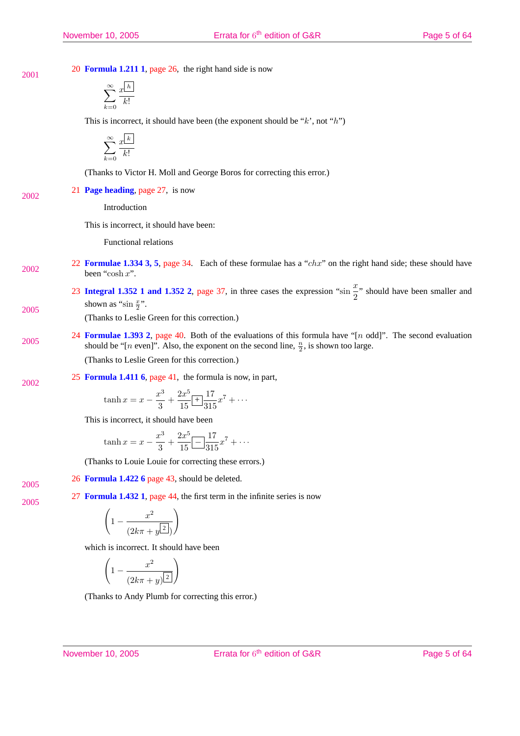20 **Formula 1.211 1**, page 26, the right hand side is now

$$
\sum_{k=0}^{\infty} \frac{x^{\boxed{h}}}{k!}
$$

This is incorrect, it should have been (the exponent should be " $k$ ", not "h")

$$
\sum_{k=0}^{\infty} \frac{x^{\underline{k}}}{k!}
$$

(Thanks to Victor H. Moll and George Boros for correcting this error.)

21 **Page heading**, page 27, is now 2002

Introduction

This is incorrect, it should have been:

Functional relations

- 22 **Formulae 1.334 3, 5**, page 34. Each of these formulae has a "chx" on the right hand side; these should have 2002 been "cosh  $x$ ".
	- 23 **Integral 1.352 1 and 1.352 2**, page 37, in three cases the expression "sin  $\frac{x}{2}$  $\frac{\infty}{2}$ " should have been smaller and shown as "sin  $\frac{x}{2}$ ".

(Thanks to Leslie Green for this correction.)

24 **Formulae 1.393 2**, page 40. Both of the evaluations of this formula have "[n odd]". The second evaluation 2005 should be "[n even]". Also, the exponent on the second line,  $\frac{n}{2}$ , is shown too large. (Thanks to Leslie Green for this correction.)

25 **Formula 1.411 6**, page 41, the formula is now, in part,

$$
\tanh x = x - \frac{x^3}{3} + \frac{2x^5}{15} + \frac{17}{315}x^7 + \cdots
$$

This is incorrect, it should have been

$$
\tanh x = x - \frac{x^3}{3} + \frac{2x^5}{15} \boxed{-} \frac{17}{315} x^7 + \cdots
$$

(Thanks to Louie Louie for correcting these errors.)

27 **Formula 1.432 1**, page 44, the first term in the infinite series is now

26 **Formula 1.422 6** page 43, should be deleted. 2005

2005

2005

2002

$$
\left(1-\frac{x^2}{(2k\pi+y^{\boxed{2}})}\right)
$$

which is incorrect. It should have been

$$
\left(1 - \frac{x^2}{(2k\pi + y)^{\boxed{2}}}\right)
$$

(Thanks to Andy Plumb for correcting this error.)

November 10, 2005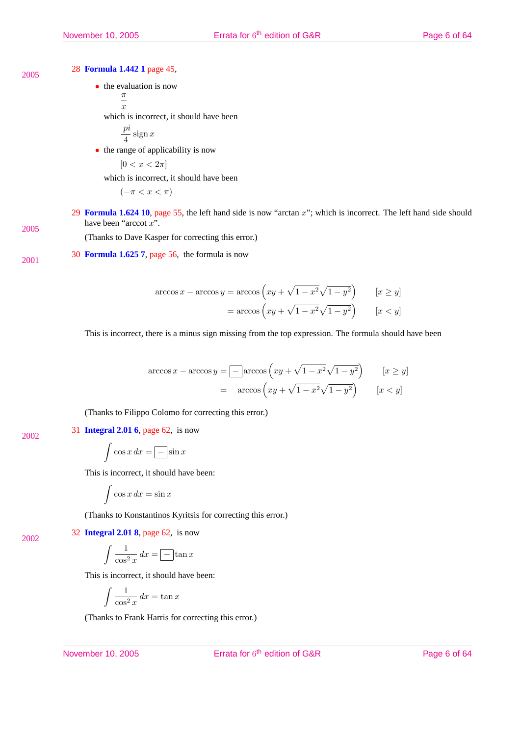28 **Formula 1.442 1** page 45,

2005

2005

2001

2002

2002

• the evaluation is now

π

x

which is incorrect, it should have been

$$
\frac{pi}{4}\operatorname{sign} x
$$

• the range of applicability is now

$$
[0 < x < 2\pi]
$$

which is incorrect, it should have been

$$
(-\pi < x < \pi)
$$

29 **Formula 1.624 10**, page 55, the left hand side is now "arctan x"; which is incorrect. The left hand side should have been "arccot x".

(Thanks to Dave Kasper for correcting this error.)

30 **Formula 1.625 7**, page 56, the formula is now

$$
\arccos x - \arccos y = \arccos \left( xy + \sqrt{1 - x^2} \sqrt{1 - y^2} \right) \qquad [x \ge y]
$$

$$
= \arccos \left( xy + \sqrt{1 - x^2} \sqrt{1 - y^2} \right) \qquad [x < y]
$$

This is incorrect, there is a minus sign missing from the top expression. The formula should have been

$$
\arccos x - \arccos y = \boxed{-}\arccos \left(xy + \sqrt{1 - x^2}\sqrt{1 - y^2}\right) \qquad [x \ge y]
$$

$$
= \arccos \left(xy + \sqrt{1 - x^2}\sqrt{1 - y^2}\right) \qquad [x < y]
$$

(Thanks to Filippo Colomo for correcting this error.)

31 **Integral 2.01 6**, page 62, is now

$$
\int \cos x \, dx = -\sin x
$$

This is incorrect, it should have been:

$$
\int \cos x \, dx = \sin x
$$

(Thanks to Konstantinos Kyritsis for correcting this error.)

32 **Integral 2.01 8**, page 62, is now

$$
\int \frac{1}{\cos^2 x} \, dx = \boxed{-} \tan x
$$

This is incorrect, it should have been:

$$
\int \frac{1}{\cos^2 x} \, dx = \tan x
$$

(Thanks to Frank Harris for correcting this error.)

November 10, 2005

Errata for 6<sup>th</sup> edition of G&R Page 6 of 64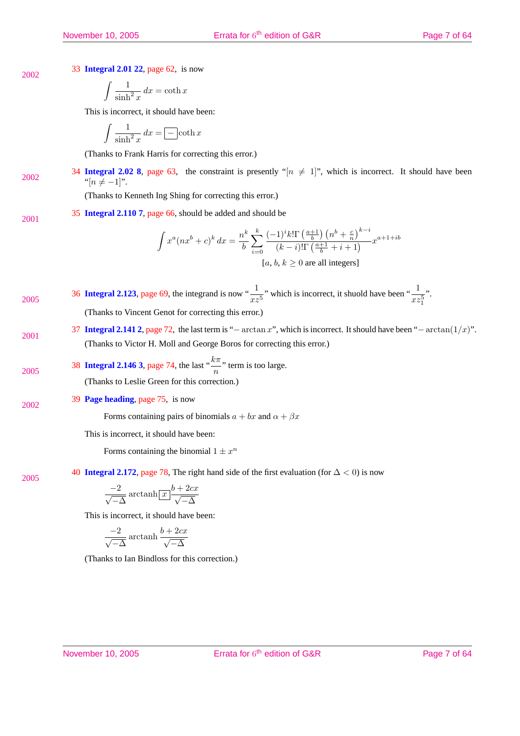33 **Integral 2.01 22**, page 62, is now 2002

$$
\int \frac{1}{\sinh^2 x} \, dx = \coth x
$$

This is incorrect, it should have been:

$$
\int \frac{1}{\sinh^2 x} \, dx = \boxed{-} \coth x
$$

(Thanks to Frank Harris for correcting this error.)

34 **Integral 2.02 8**, page 63, the constraint is presently "[ $n \neq 1$ ]", which is incorrect. It should have been 2002 <sup>34</sup>  $\frac{\ln(\ln 2.0)}{n^2 + 1}$ 

(Thanks to Kenneth Ing Shing for correcting this error.)

35 **Integral 2.110 7**, page 66, should be added and should be 2001

$$
\int x^a (nx^b + c)^k dx = \frac{n^k}{b} \sum_{i=0}^k \frac{(-1)^i k! \Gamma\left(\frac{a+1}{b}\right) \left(n^b + \frac{c}{n}\right)^{k-i}}{(k-i)! \Gamma\left(\frac{a+1}{b} + i + 1\right)} x^{a+1+ib}
$$
  
[a, b, k \ge 0 are all integers]

36 **Integral 2.123**, page 69, the integrand is now " $\frac{1}{xz^5}$ " which is incorrect, it shuold have been " $\frac{1}{xz_1^5}$ " ". 2005 (Thanks to Vincent Genot for correcting this error.)

37 **Integral 2.141 2**, page 72, the last term is "− arctan x", which is incorrect. It should have been "− arctan( $1/x$ )". 2001 (Thanks to Victor H. Moll and George Boros for correcting this error.)

38 Integral 2.146 3, page 74, the last 
$$
\frac{k\pi}{n}
$$
 term is too large.

(Thanks to Leslie Green for this correction.)

#### 39 **Page heading**, page 75, is now 2002

2005

2005

Forms containing pairs of binomials  $a + bx$  and  $\alpha + \beta x$ 

This is incorrect, it should have been:

Forms containing the binomial  $1 \pm x^n$ 

40 **Integral 2.172**, page 78, The right hand side of the first evaluation (for  $\Delta < 0$ ) is now

$$
\frac{-2}{\sqrt{-\Delta}}\,\text{arctanh}\big[\underline{x}\big]\frac{b+2cx}{\sqrt{-\Delta}}
$$

This is incorrect, it should have been:

$$
\frac{-2}{\sqrt{-\Delta}}\operatorname{arctanh}\frac{b+2cx}{\sqrt{-\Delta}}
$$

(Thanks to Ian Bindloss for this correction.)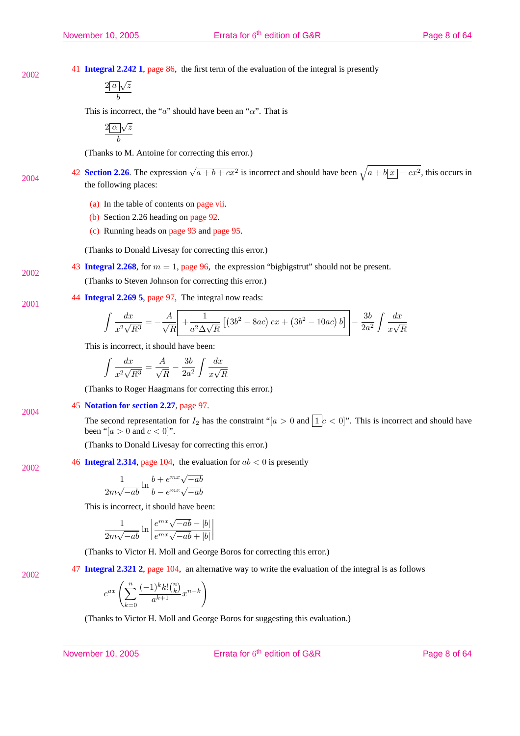41 **Integral 2.242 1**, page 86, the first term of the evaluation of the integral is presently

$$
\frac{2[a]\sqrt{z}}{b}
$$

This is incorrect, the "a" should have been an " $\alpha$ ". That is

$$
\frac{2\boxed{\alpha}\sqrt{z}}{b}
$$

(Thanks to M. Antoine for correcting this error.)

42 **Section 2.26**. The expression  $\sqrt{a+b+cx^2}$  is incorrect and should have been  $\sqrt{a+b/x+cx^2}$ , this occurs in 2004 the following places:

- (a) In the table of contents on page vii.
- (b) Section 2.26 heading on page 92.
- (c) Running heads on page 93 and page 95.

(Thanks to Donald Livesay for correcting this error.)

43 **Integral 2.268**, for  $m = 1$ , page 96, the expression "bigbigstrut" should not be present. 2002

(Thanks to Steven Johnson for correcting this error.)

44 **Integral 2.269 5**, page 97, The integral now reads: 2001

$$
\int \frac{dx}{x^2 \sqrt{R^3}} = -\frac{A}{\sqrt{R}} \left[ +\frac{1}{a^2 \Delta \sqrt{R}} \left[ \left( 3b^2 - 8ac \right) c x + \left( 3b^2 - 10ac \right) b \right] - \frac{3b}{2a^2} \int \frac{dx}{x \sqrt{R}}
$$

This is incorrect, it should have been:

$$
\int \frac{dx}{x^2\sqrt{R^3}} = \frac{A}{\sqrt{R}} - \frac{3b}{2a^2} \int \frac{dx}{x\sqrt{R}}
$$

(Thanks to Roger Haagmans for correcting this error.)

#### 45 **Notation for section 2.27**, page 97. 2004

The second representation for  $I_2$  has the constraint "[a > 0 and  $\lceil \cdot \rceil c < 0$ ]". This is incorrect and should have been "[ $a > 0$  and  $c < 0$ ]".

(Thanks to Donald Livesay for correcting this error.)

46 **Integral 2.314**, page 104, the evaluation for  $ab < 0$  is presently 2002

$$
\frac{1}{2m\sqrt{-ab}}\ln\frac{b+e^{mx}\sqrt{-ab}}{b-e^{mx}\sqrt{-ab}}
$$

This is incorrect, it should have been:

$$
\frac{1}{2m\sqrt{-ab}}\ln\left|\frac{e^{mx}\sqrt{-ab}-|b|}{e^{mx}\sqrt{-ab}+|b|}\right|
$$

(Thanks to Victor H. Moll and George Boros for correcting this error.)

47 **Integral 2.321 2**, page 104, an alternative way to write the evaluation of the integral is as follows

$$
e^{ax}\left(\sum_{k=0}^n\frac{(-1)^kk! \binom nk x^{n-k}}{a^{k+1}}x^{n-k}\right)
$$

(Thanks to Victor H. Moll and George Boros for suggesting this evaluation.)

November 10, 2005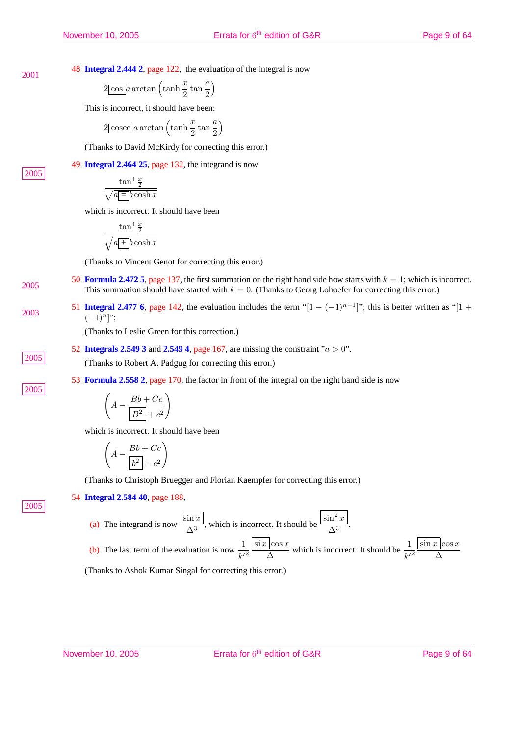2005

2005

2005

48 **Integral 2.444 2**, page 122, the evaluation of the integral is now

$$
2\boxed{\cos}a\arctan\left(\tanh\frac{x}{2}\tan\frac{a}{2}\right)
$$

This is incorrect, it should have been:

$$
2\underline{\fbox{cosec}}\, a\arctan\left(\tanh\frac{x}{2}\tan\frac{a}{2}\right)
$$

(Thanks to David McKirdy for correcting this error.)

49 **Integral 2.464 25**, page 132, the integrand is now

$$
\frac{\tan^4\frac{x}{2}}{\sqrt{a \equiv b \cosh x}}
$$

which is incorrect. It should have been

$$
\frac{\tan^4\frac{x}{2}}{\sqrt{a\biguparrow+b\cosh x}}
$$

(Thanks to Vincent Genot for correcting this error.)

- 50 **Formula 2.472 5**, page 137, the first summation on the right hand side how starts with  $k = 1$ ; which is incorrect. 2005 The matrix  $\frac{2.4723}{2}$ ,  $\frac{1}{2}$ ,  $\frac{1}{2}$ ,  $\frac{1}{2}$ ,  $\frac{1}{2}$ ,  $\frac{1}{2}$ ,  $\frac{1}{2}$ ,  $\frac{1}{2}$ ,  $\frac{1}{2}$ ,  $\frac{1}{2}$ ,  $\frac{1}{2}$ ,  $\frac{1}{2}$ ,  $\frac{1}{2}$ ,  $\frac{1}{2}$ ,  $\frac{1}{2}$ ,  $\frac{1}{2}$ ,  $\frac{1}{2}$ ,  $\frac{1}{2}$ ,  $\$
- 51 **Integral 2.477 6**, page 142, the evaluation includes the term " $[1 (-1)^{n-1}]$ "; this is better written as " $[1 +$ 2003  $\frac{31}{(-1)^n}$   $\frac{\text{megra}}{3!}$

(Thanks to Leslie Green for this correction.)

52 **Integrals 2.549 3** and 2.549 4, page 167, are missing the constraint " $a > 0$ ".

<sup>2005</sup> (Thanks to Robert A. Padgug for correcting this error.)

53 **Formula 2.558 2**, page 170, the factor in front of the integral on the right hand side is now

$$
\left(A - \frac{Bb + Cc}{\boxed{B^2} + c^2}\right)
$$

which is incorrect. It should have been

$$
\left(A - \frac{Bb + Cc}{\boxed{b^2} + c^2}\right)
$$

(Thanks to Christoph Bruegger and Florian Kaempfer for correcting this error.)

## 54 **Integral 2.584 40**, page 188,

- (a) The integrand is now  $\frac{\sin x}{4}$  $\frac{\sin x}{\Delta^3}$ , which is incorrect. It should be  $\frac{\sin^2 x}{\Delta^3}$  $rac{1-\omega}{\Delta^3}$ .
- (b) The last term of the evaluation is now  $\frac{1}{k'^2}$  $\sin x \, \cos x$  $\frac{\cos x}{\Delta}$  which is incorrect. It should be  $\frac{1}{k'^2}$  $\sin x$   $\cos x$  $\frac{1}{\Delta}$ . (Thanks to Ashok Kumar Singal for correcting this error.)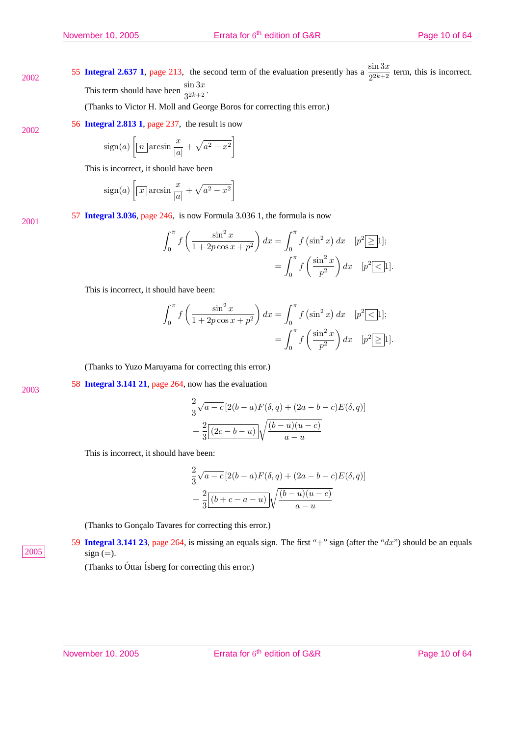55 **Integral 2.637 1**, page 213, the second term of the evaluation presently has a  $\frac{\sin 3x}{2^{2k+2}}$  term, this is incorrect. 2002 This term should have been  $\frac{\sin 3x}{3^{2k+2}}$ .

(Thanks to Victor H. Moll and George Boros for correcting this error.)

56 **Integral 2.813 1**, page 237, the result is now 2002

$$
sign(a)\left[\boxed{n}\arcsin\frac{x}{|a|} + \sqrt{a^2 - x^2}\right]
$$

This is incorrect, it should have been

$$
sign(a) \left[ \boxed{x} \arcsin \frac{x}{|a|} + \sqrt{a^2 - x^2} \right]
$$

57 **Integral 3.036**, page 246, is now Formula 3.036 1, the formula is now 2001

$$
\int_0^{\pi} f\left(\frac{\sin^2 x}{1 + 2p\cos x + p^2}\right) dx = \int_0^{\pi} f\left(\sin^2 x\right) dx \quad [p^2 \ge 1];
$$
  
= 
$$
\int_0^{\pi} f\left(\frac{\sin^2 x}{p^2}\right) dx \quad [p^2 \le 1].
$$

This is incorrect, it should have been:

$$
\int_0^\pi f\left(\frac{\sin^2 x}{1+2p\cos x+p^2}\right)dx = \int_0^\pi f\left(\sin^2 x\right)dx \quad [p^2 \le 1];
$$

$$
= \int_0^\pi f\left(\frac{\sin^2 x}{p^2}\right)dx \quad [p^2 \ge 1].
$$

(Thanks to Yuzo Maruyama for correcting this error.)

58 **Integral 3.141 21**, page 264, now has the evaluation 2003

$$
\frac{2}{3}\sqrt{a-c}\left[2(b-a)F(\delta,q)+(2a-b-c)E(\delta,q)\right] + \frac{2}{3}\underbrace{\left[(2c-b-u)\right]}\sqrt{\frac{(b-u)(u-c)}{a-u}}
$$

This is incorrect, it should have been:

$$
\frac{2}{3}\sqrt{a-c}\left[2(b-a)F(\delta,q)+(2a-b-c)E(\delta,q)\right] + \frac{2}{3}\underbrace{\left[(b+c-a-u)\right]}_{a-u}\sqrt{\frac{(b-u)(u-c)}{a-u}}
$$

(Thanks to Gonçalo Tavares for correcting this error.)

59 **Integral 3.141 23**, page 264, is missing an equals sign. The first "+" sign (after the "dx") should be an equals  $2005$  sign (=).

(Thanks to Óttar Ísberg for correcting this error.)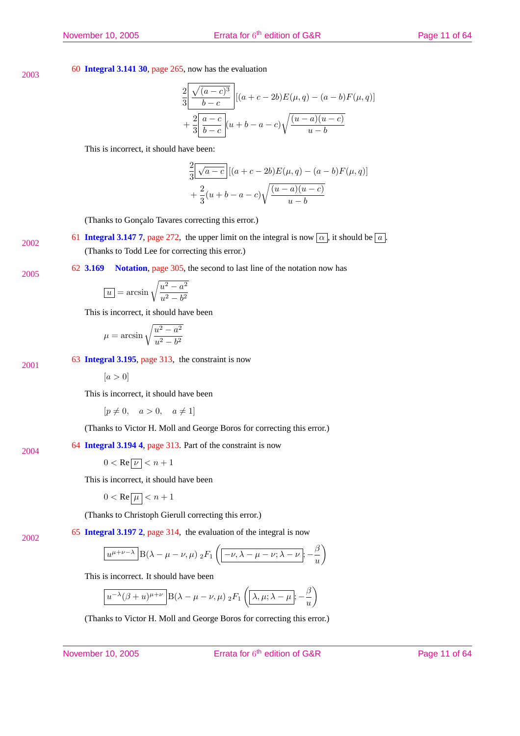2002

2002

## 60 **Integral 3.141 30**, page 265, now has the evaluation

$$
\frac{2}{3} \frac{\sqrt{(a-c)^3}}{b-c} [(a+c-2b)E(\mu, q) - (a-b)F(\mu, q)] \n+ \frac{2}{3} \frac{a-c}{b-c} (u+b-a-c) \sqrt{\frac{(u-a)(u-c)}{u-b}}
$$

This is incorrect, it should have been:

$$
\frac{2}{3} \boxed{\sqrt{a-c}} [(a+c-2b)E(\mu, q) - (a-b)F(\mu, q)] + \frac{2}{3} (u+b-a-c) \sqrt{\frac{(u-a)(u-c)}{u-b}}.
$$

(Thanks to Gonçalo Tavares correcting this error.)

61 **Integral 3.147 7**, page 272, the upper limit on the integral is now  $\alpha$ , it should be  $\alpha$ . (Thanks to Todd Lee for correcting this error.)

#### 62 **3.169 Notation**, page 305, the second to last line of the notation now has 2005

$$
u = \arcsin\sqrt{\frac{u^2 - a^2}{u^2 - b^2}}
$$

This is incorrect, it should have been

$$
\mu = \arcsin\sqrt{\frac{u^2 - a^2}{u^2 - b^2}}
$$

63 **Integral 3.195**, page 313, the constraint is now 2001

 $[a > 0]$ 

This is incorrect, it should have been

$$
[p \neq 0, \quad a > 0, \quad a \neq 1]
$$

(Thanks to Victor H. Moll and George Boros for correcting this error.)

64 **Integral 3.194 4**, page 313. Part of the constraint is now 2004

 $0 < \text{Re} |\nu| < n+1$ 

This is incorrect, it should have been

$$
0<\text{Re}\big[\mu\big]
$$

(Thanks to Christoph Gierull correcting this error.)

65 **Integral 3.197 2**, page 314, the evaluation of the integral is now

$$
\boxed{u^{\mu+\nu-\lambda}}\Big|B(\lambda-\mu-\nu,\mu) \; {}_2F_1\left(\boxed{-\nu,\lambda-\mu-\nu;\lambda-\nu};-\frac{\beta}{u}\right)
$$

This is incorrect. It should have been

$$
\boxed{u^{-\lambda}(\beta+u)^{\mu+\nu}}\,\mathbf{B}(\lambda-\mu-\nu,\mu)\,\mathop{_{2}F_1}\left(\boxed{\lambda,\mu;\lambda-\mu};-\frac{\beta}{u}\right)
$$

(Thanks to Victor H. Moll and George Boros for correcting this error.)

November 10, 2005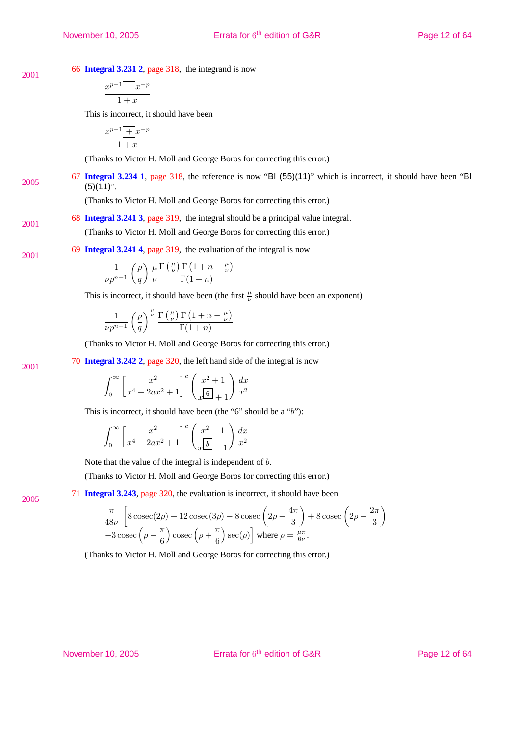66 **Integral 3.231 2**, page 318, the integrand is now

$$
\frac{x^{p-1} - x^{-p}}{1+x}
$$

This is incorrect, it should have been

$$
\frac{x^{p-1}+x^{-p}}{1+x}
$$

(Thanks to Victor H. Moll and George Boros for correcting this error.)

67 **Integral 3.234 1**, page 318, the reference is now "BI (55)(11)" which is incorrect, it should have been "BI 2005  $\frac{0! \text{ mtegra}}{(5)(11)!}$ 

(Thanks to Victor H. Moll and George Boros for correcting this error.)

68 **Integral 3.241 3**, page 319, the integral should be a principal value integral. 2001 (Thanks to Victor H. Moll and George Boros for correcting this error.)

69 **Integral 3.241 4**, page 319, the evaluation of the integral is now 2001

$$
\frac{1}{\nu p^{n+1}} \left(\frac{p}{q}\right) \frac{\mu}{\nu} \frac{\Gamma\left(\frac{\mu}{\nu}\right) \Gamma\left(1+n-\frac{\mu}{\nu}\right)}{\Gamma(1+n)}
$$

This is incorrect, it should have been (the first  $\frac{\mu}{\nu}$  should have been an exponent)

$$
\frac{1}{\nu p^{n+1}} \left(\frac{p}{q}\right)^{\frac{\mu}{\nu}} \frac{\Gamma\left(\frac{\mu}{\nu}\right) \Gamma\left(1+n-\frac{\mu}{\nu}\right)}{\Gamma(1+n)}
$$

(Thanks to Victor H. Moll and George Boros for correcting this error.)

70 **Integral 3.242 2**, page 320, the left hand side of the integral is now

$$
\int_0^\infty \left[ \frac{x^2}{x^4 + 2ax^2 + 1} \right]^c \left( \frac{x^2 + 1}{x^6 + 1} \right) \frac{dx}{x^2}
$$

This is incorrect, it should have been (the "6" should be a "b"):

$$
\int_0^\infty \left[\frac{x^2}{x^4+2ax^2+1}\right]^c\left(\frac{x^2+1}{x\boxed{b}+1}\right)\frac{dx}{x^2}
$$

Note that the value of the integral is independent of b.

(Thanks to Victor H. Moll and George Boros for correcting this error.)

71 **Integral 3.243**, page 320, the evaluation is incorrect, it should have been

$$
\frac{\pi}{48\nu} \left[ 8 \csc(2\rho) + 12 \csc(3\rho) - 8 \csc\left(2\rho - \frac{4\pi}{3}\right) + 8 \csc\left(2\rho - \frac{2\pi}{3}\right) - 3 \csc\left(\rho - \frac{\pi}{6}\right) \csc\left(\rho + \frac{\pi}{6}\right) \sec(\rho) \right]
$$
 where  $\rho = \frac{\mu\pi}{6\nu}$ .

(Thanks to Victor H. Moll and George Boros for correcting this error.)

2001

2005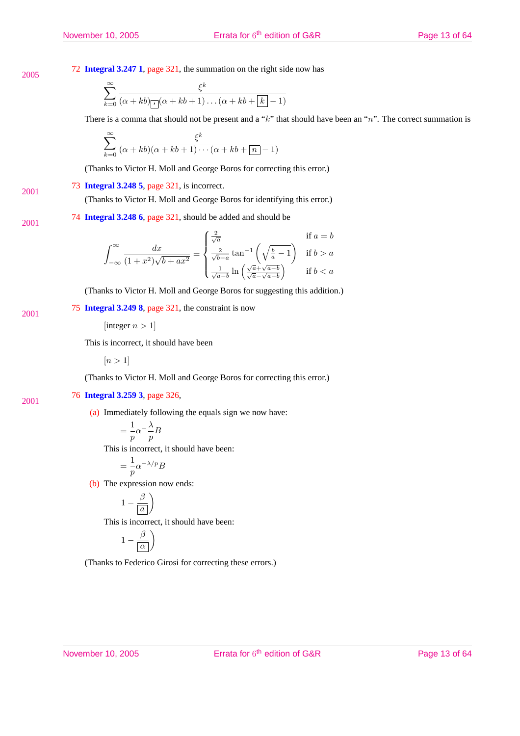2001

2001

72 **Integral 3.247 1**, page 321, the summation on the right side now has

$$
\sum_{k=0}^{\infty} \frac{\xi^k}{(\alpha + kb)\boxed{\cdot}(\alpha + kb + 1)\dots(\alpha + kb + \boxed{k} - 1)}
$$

There is a comma that should not be present and a " $k$ " that should have been an " $n$ ". The correct summation is

$$
\sum_{k=0}^{\infty} \frac{\xi^k}{(\alpha + kb)(\alpha + kb + 1) \cdots (\alpha + kb + n - 1)}
$$

(Thanks to Victor H. Moll and George Boros for correcting this error.)

73 **Integral 3.248 5**, page 321, is incorrect. 2001

(Thanks to Victor H. Moll and George Boros for identifying this error.)

74 **Integral 3.248 6**, page 321, should be added and should be 2001

$$
\int_{-\infty}^{\infty} \frac{dx}{(1+x^2)\sqrt{b+ax^2}} = \begin{cases} \frac{2}{\sqrt{a}} & \text{if } a=b\\ \frac{2}{\sqrt{b-a}}\tan^{-1}\left(\sqrt{\frac{b}{a}-1}\right) & \text{if } b>a\\ \frac{1}{\sqrt{a-b}}\ln\left(\frac{\sqrt{a}+\sqrt{a-b}}{\sqrt{a}-\sqrt{a-b}}\right) & \text{if } b
$$

(Thanks to Victor H. Moll and George Boros for suggesting this addition.)

75 **Integral 3.249 8**, page 321, the constraint is now

[integer  $n > 1$ ]

This is incorrect, it should have been

 $[n > 1]$ 

(Thanks to Victor H. Moll and George Boros for correcting this error.)

#### 76 **Integral 3.259 3**, page 326,

(a) Immediately following the equals sign we now have:

$$
= \frac{1}{p} \alpha^{-} \frac{\lambda}{p} B
$$

This is incorrect, it should have been:

$$
= \frac{1}{p} \alpha^{-\lambda/p} B
$$

(b) The expression now ends:

$$
1-\frac{\beta}{\boxed{a}}
$$

This is incorrect, it should have been:

$$
1-\frac{\beta}{\boxed{\alpha}}\bigg)
$$

(Thanks to Federico Girosi for correcting these errors.)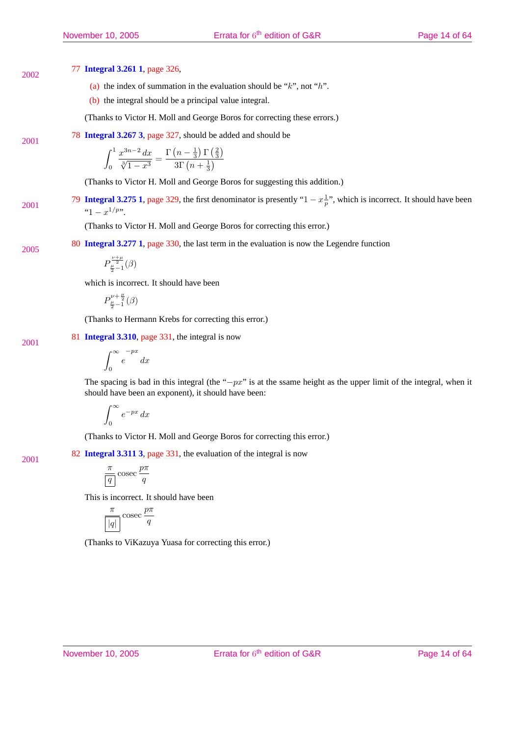#### 77 **Integral 3.261 1**, page 326, 2002

- (a) the index of summation in the evaluation should be " $k$ ", not " $h$ ".
- (b) the integral should be a principal value integral.

(Thanks to Victor H. Moll and George Boros for correcting these errors.)

78 **Integral 3.267 3**, page 327, should be added and should be

$$
\int_0^1 \frac{x^{3n-2} dx}{\sqrt[3]{1-x^3}} = \frac{\Gamma\left(n - \frac{1}{3}\right) \Gamma\left(\frac{2}{3}\right)}{3\Gamma\left(n + \frac{1}{3}\right)}
$$

(Thanks to Victor H. Moll and George Boros for suggesting this addition.)

79 **Integral 3.275 1**, page 329, the first denominator is presently " $1 - x\frac{1}{p}$ ", which is incorrect. It should have been 2001 " $1-x^{1/p}$ ".

(Thanks to Victor H. Moll and George Boros for correcting this error.)

80 **Integral 3.277 1**, page 330, the last term in the evaluation is now the Legendre function

$$
P_{\frac{\mu}{2}-1}^{\frac{\nu+\mu}{2}}(\beta)
$$

which is incorrect. It should have been

$$
P_{\frac{\mu}{2}-1}^{\nu+\frac{\mu}{2}}(\beta)
$$

(Thanks to Hermann Krebs for correcting this error.)

81 **Integral 3.310**, page 331, the integral is now

$$
\int_0^\infty e^{-px} dx
$$

The spacing is bad in this integral (the " $-px$ " is at the ssame height as the upper limit of the integral, when it should have been an exponent), it should have been:

$$
\int_0^\infty e^{-px} \, dx
$$

(Thanks to Victor H. Moll and George Boros for correcting this error.)

82 **Integral 3.311 3**, page 331, the evaluation of the integral is now

$$
\frac{\pi}{\boxed{q}}\csc\frac{p\pi}{q}
$$

This is incorrect. It should have been

$$
\frac{\pi}{\lceil |q|\rceil} \operatorname{cosec}\frac{p\pi}{q}
$$

(Thanks to ViKazuya Yuasa for correcting this error.)

2005

2001

2001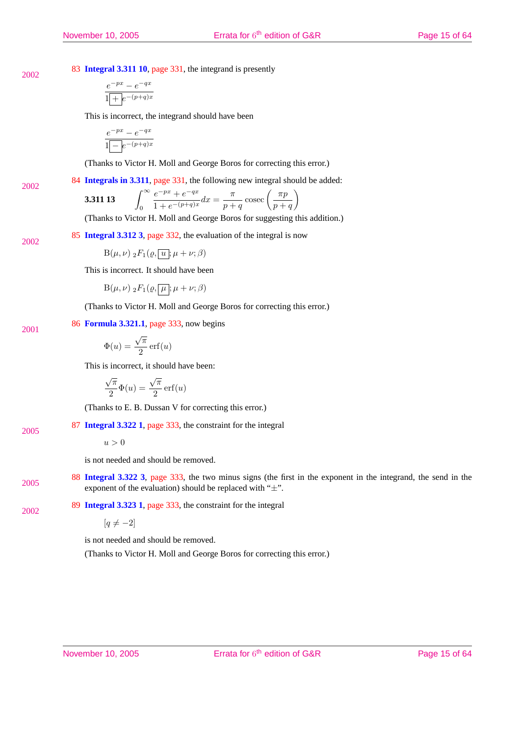2002

2001

2005

83 **Integral 3.311 10**, page 331, the integrand is presently

$$
\frac{e^{-px}-e^{-qx}}{1+e^{-(p+q)x}}
$$

This is incorrect, the integrand should have been

$$
\frac{e^{-px}-e^{-qx}}{1\hskip -2pt\bigcap\limits_{-\infty}\hskip -2pt e^{-(p+q)x}}
$$

(Thanks to Victor H. Moll and George Boros for correcting this error.)

84 **Integrals in 3.311**, page 331, the following new integral should be added:

3.311 13 
$$
\int_0^\infty \frac{e^{-px} + e^{-qx}}{1 + e^{-(p+q)x}} dx = \frac{\pi}{p+q} \csc\left(\frac{\pi p}{p+q}\right)
$$

(Thanks to Victor H. Moll and George Boros for suggesting this addition.)

85 **Integral 3.312 3**, page 332, the evaluation of the integral is now 2002

$$
B(\mu, \nu) \;_2F_1(\varrho, \overline{|u|}; \mu + \nu; \beta)
$$

This is incorrect. It should have been

$$
B(\mu, \nu) \;_2F_1(\varrho, \overline{\mu}; \mu + \nu; \beta)
$$

(Thanks to Victor H. Moll and George Boros for correcting this error.)

86 **Formula 3.321.1**, page 333, now begins

$$
\Phi(u) = \frac{\sqrt{\pi}}{2} \operatorname{erf}(u)
$$

This is incorrect, it should have been:

$$
\frac{\sqrt{\pi}}{2}\Phi(u) = \frac{\sqrt{\pi}}{2}\operatorname{erf}(u)
$$

(Thanks to E. B. Dussan V for correcting this error.)

87 **Integral 3.322 1**, page 333, the constraint for the integral

 $u > 0$ 

is not needed and should be removed.

- 88 **Integral 3.322 3**, page 333, the two minus signs (the first in the exponent in the integrand, the send in the 2005 exponent of the evaluation) should be replaced with " $\pm$ ".
- 89 **Integral 3.323 1**, page 333, the constraint for the integral 2002

 $[q \neq -2]$ 

is not needed and should be removed.

(Thanks to Victor H. Moll and George Boros for correcting this error.)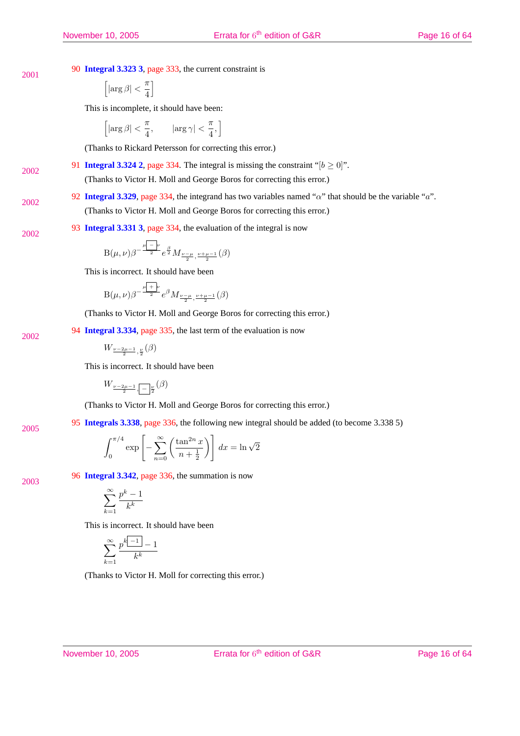2002

2002

2005

2003

90 **Integral 3.323 3**, page 333, the current constraint is

$$
\left[\left|\arg \beta\right| < \frac{\pi}{4}\right]
$$

This is incomplete, it should have been:

$$
\left[|\arg \beta| < \frac{\pi}{4}, \qquad |\arg \gamma| < \frac{\pi}{4}, \right]
$$

(Thanks to Rickard Petersson for correcting this error.)

91 **Integral 3.324 2**, page 334. The integral is missing the constraint " $[b \ge 0]$ ". 2002

(Thanks to Victor H. Moll and George Boros for correcting this error.)

- 92 **Integral 3.329**, page 334, the integrand has two variables named " $\alpha$ " that should be the variable " $a$ ". (Thanks to Victor H. Moll and George Boros for correcting this error.)
- 93 **Integral 3.331 3**, page 334, the evaluation of the integral is now 2002

$$
\mathbf{B}(\mu,\nu)\beta^{-\frac{\mu^--\nu}{2}}e^{\frac{\beta}{2}}M_{\frac{\nu-\mu}{2},\frac{\nu+\mu-1}{2}}(\beta)
$$

This is incorrect. It should have been

$$
\mathbf{B}(\mu,\nu)\beta^{-\frac{\mu|+\nu}{2}}e^{\beta}M_{\frac{\nu-\mu}{2},\frac{\nu+\mu-1}{2}}(\beta)
$$

(Thanks to Victor H. Moll and George Boros for correcting this error.)

94 **Integral 3.334**, page 335, the last term of the evaluation is now

 $W_{\frac{\nu-2\mu-1}{2},\frac{\nu}{2}}(\beta)$ 

This is incorrect. It should have been

$$
W_{\frac{\nu-2\mu-1}{2},\boxed{-\frac{\nu}{2}}}(\beta)
$$

(Thanks to Victor H. Moll and George Boros for correcting this error.)

95 **Integrals 3.338**, page 336, the following new integral should be added (to become 3.338 5)

$$
\int_0^{\pi/4} \exp\left[-\sum_{n=0}^{\infty} \left(\frac{\tan^{2n} x}{n + \frac{1}{2}}\right)\right] dx = \ln\sqrt{2}
$$

96 **Integral 3.342**, page 336, the summation is now

$$
\sum_{k=1}^{\infty} \frac{p^k - 1}{k^k}
$$

This is incorrect. It should have been

$$
\sum_{k=1}^{\infty} \frac{p^{k-1} - 1}{k^k}
$$

(Thanks to Victor H. Moll for correcting this error.)

November 10, 2005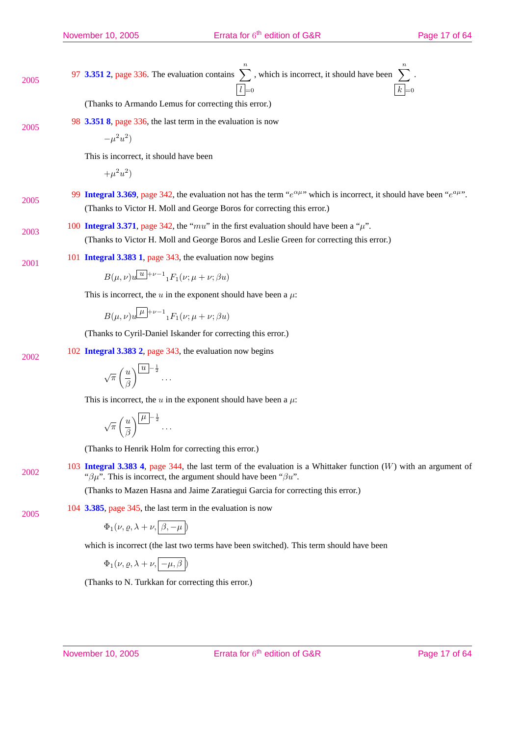97 **3.351 2,** page 336. The evaluation contains  $\sum_{n=1}^{\infty}$  $l \models 0$ , which is incorrect, it should have been  $\sum_{n=1}^n$  $k = 0$ . 2005

(Thanks to Armando Lemus for correcting this error.)

98 **3.351 8**, page 336, the last term in the evaluation is now 2005

 $-\mu^2 u^2$ 

This is incorrect, it should have been

 $+\mu^2 u^2$ 

2001

2002

2005

- 99 Integral 3.369, page 342, the evaluation not has the term " $e^{\alpha \mu}$ " which is incorrect, it should have been " $e^{a\mu}$ ". 2005 (Thanks to Victor H. Moll and George Boros for correcting this error.)
- 100 **Integral 3.371**, page 342, the " $mu$ " in the first evaluation should have been a " $\mu$ ". 2003 (Thanks to Victor H. Moll and George Boros and Leslie Green for correcting this error.)
	- 101 **Integral 3.383 1**, page 343, the evaluation now begins

$$
B(\mu,\nu)u^{\boxed{u}+\nu-1}{}_1F_1(\nu;\mu+\nu;\beta u)
$$

This is incorrect, the u in the exponent should have been a  $\mu$ .

$$
B(\mu,\nu)u^{\boxed{\mu}+\nu-1}{}_1F_1(\nu;\mu+\nu;\beta u)
$$

(Thanks to Cyril-Daniel Iskander for correcting this error.)

102 **Integral 3.383 2**, page 343, the evaluation now begins

$$
\sqrt{\pi}\left(\frac{u}{\beta}\right)^{\boxed{u}-\frac{1}{2}}\ldots
$$

This is incorrect, the u in the exponent should have been a  $\mu$ :

$$
\sqrt{\pi}\left(\frac{u}{\beta}\right)^{\boxed{\mu}-\frac{1}{2}}\ldots
$$

(Thanks to Henrik Holm for correcting this error.)

103 **Integral 3.383 4**, page 344, the last term of the evaluation is a Whittaker function (W) with an argument of 2002 "BUT INCREAD 3.565 4, page 544, the last term of the evaluation is  $\beta \mu$ ". This is incorrect, the argument should have been " $\beta u$ ".

(Thanks to Mazen Hasna and Jaime Zaratiegui Garcia for correcting this error.)

104 **3.385**, page 345, the last term in the evaluation is now

$$
\Phi_1(\nu,\varrho,\lambda+\nu,\fbox{$\beta,-\mu$})
$$

which is incorrect (the last two terms have been switched). This term should have been

 $\Phi_1(\nu,\varrho,\lambda+\nu,\boxed{-\mu,\beta})$ 

(Thanks to N. Turkkan for correcting this error.)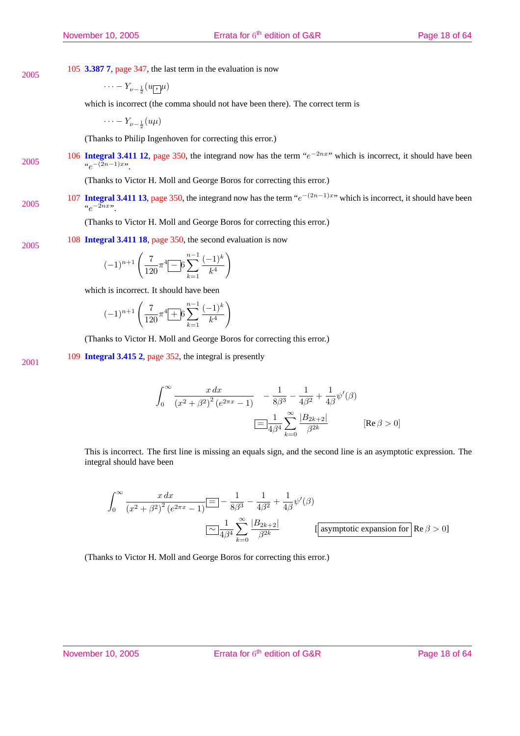2001

105 **3.387 7**, page 347, the last term in the evaluation is now 2005

$$
\cdots - Y_{\nu - \frac{1}{2}}(u_{\overline{\smash{\cdot\!\!\!\cdot\!\!\!/}}\mu)
$$

which is incorrect (the comma should not have been there). The correct term is

 $\cdots - Y_{\nu - \frac{1}{2}}(u\mu)$ 

(Thanks to Philip Ingenhoven for correcting this error.)

106 **Integral 3.411 12**, page 350, the integrand now has the term " $e^{-2nx}$ " which is incorrect, it should have been 2005  $-(2n-1)x$ ".

(Thanks to Victor H. Moll and George Boros for correcting this error.)

107 **Integral 3.411 13**, page 350, the integrand now has the term " $e^{-(2n-1)x}$ " which is incorrect, it should have been 2005  $a_e - \overline{2n}x$ ".

(Thanks to Victor H. Moll and George Boros for correcting this error.)

108 **Integral 3.411 18**, page 350, the second evaluation is now

$$
(-1)^{n+1}\left(\frac{7}{120}\pi^4 \boxed{-}6\sum_{k=1}^{n-1}\frac{(-1)^k}{k^4}\right)
$$

which is incorrect. It should have been

$$
(-1)^{n+1}\left(\frac{7}{120}\pi^{4}\boxed{10}^{n-1}\frac{(-1)^{k}}{k^{4}}\right)
$$

(Thanks to Victor H. Moll and George Boros for correcting this error.)

109 **Integral 3.415 2**, page 352, the integral is presently

$$
\int_0^\infty \frac{x \, dx}{\left(x^2 + \beta^2\right)^2 \left(e^{2\pi x} - 1\right)} - \frac{1}{8\beta^3} - \frac{1}{4\beta^2} + \frac{1}{4\beta}\psi'(\beta)
$$

$$
\boxed{=} \frac{1}{4\beta^4} \sum_{k=0}^\infty \frac{|B_{2k+2}|}{\beta^{2k}} \qquad \text{[Re}\,\beta > 0]
$$

This is incorrect. The first line is missing an equals sign, and the second line is an asymptotic expression. The integral should have been

$$
\int_0^\infty \frac{x \, dx}{\left(x^2 + \beta^2\right)^2 \left(e^{2\pi x} - 1\right)} = -\frac{1}{8\beta^3} - \frac{1}{4\beta^2} + \frac{1}{4\beta}\psi'(\beta)
$$
\n
$$
\sum_{k=0}^\infty \frac{1}{4\beta^4} \sum_{k=0}^\infty \frac{|B_{2k+2}|}{\beta^{2k}} \qquad \text{[asymptotic expansion for } \text{Re } \beta > 0\text{]}
$$

(Thanks to Victor H. Moll and George Boros for correcting this error.)

November 10, 2005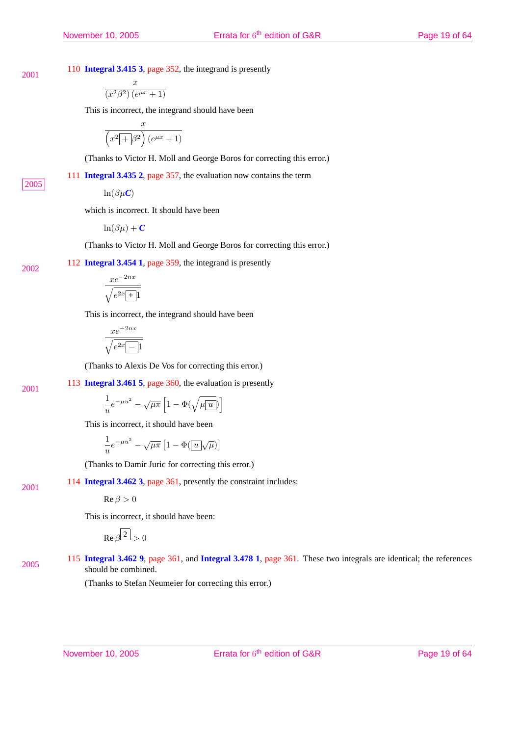110 **Integral 3.415 3**, page 352, the integrand is presently 2001

$$
\frac{x}{\left(x^2\beta^2\right)\left(e^{\mu x}+1\right)}
$$

This is incorrect, the integrand should have been

$$
\frac{x}{\left(x^2+\beta^2\right)(e^{\mu x}+1)}
$$

(Thanks to Victor H. Moll and George Boros for correcting this error.)

111 **Integral 3.435 2**, page 357, the evaluation now contains the term

 $ln(\beta \mu C)$ 

which is incorrect. It should have been

$$
\ln(\beta\mu)+C
$$

(Thanks to Victor H. Moll and George Boros for correcting this error.)

112 **Integral 3.454 1**, page 359, the integrand is presently

$$
\frac{xe^{-2nx}}{\sqrt{e^{2x}+1}}
$$

This is incorrect, the integrand should have been

$$
\frac{xe^{-2nx}}{\sqrt{e^{2x}-1}}
$$

(Thanks to Alexis De Vos for correcting this error.)

113 **Integral 3.461 5**, page 360, the evaluation is presently

2001

2001

2005

2002

1  $\frac{1}{u}e^{-\mu u^2} - \sqrt{\mu \pi} \left[1 - \Phi(\sqrt{\mu \omega})\right]$ i

This is incorrect, it should have been

$$
\frac{1}{u}e^{-\mu u^2}-\sqrt{\mu\pi}\left[1-\Phi(\boxed{u}\sqrt{\mu})\right]
$$

(Thanks to Damir Juric for correcting this error.)

114 **Integral 3.462 3**, page 361, presently the constraint includes:

$$
\operatorname{Re}\beta>0
$$

This is incorrect, it should have been:

$$
\operatorname{Re}\beta^{\boxed{2}}>0
$$

115 **Integral 3.462 9**, page 361, and **Integral 3.478 1**, page 361. These two integrals are identical; the references 2005  $\frac{113 \text{ mteg} \cdot \text{m} \cdot 5.462 \cdot 9}{\text{should be combined}}$ .

(Thanks to Stefan Neumeier for correcting this error.)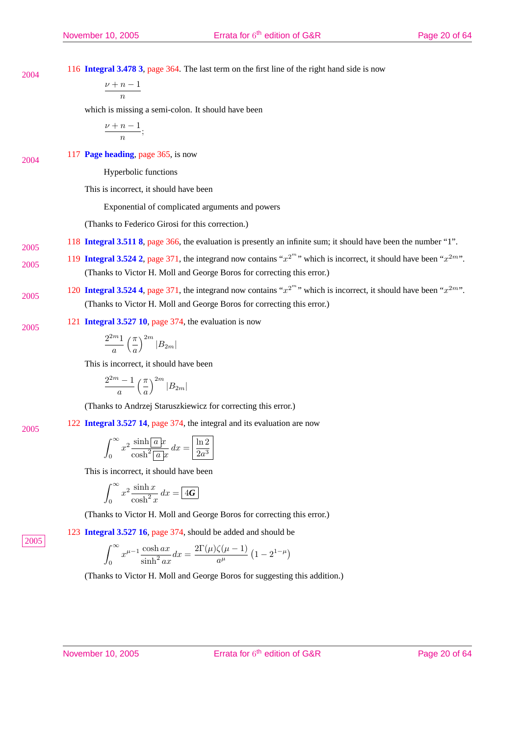116 **Integral 3.478 3**, page 364. The last term on the first line of the right hand side is now 2004

$$
\frac{\nu+n-1}{n}
$$

which is missing a semi-colon. It should have been

$$
\frac{\nu+n-1}{n};
$$

117 **Page heading**, page 365, is now 2004

2005

2005

Hyperbolic functions

This is incorrect, it should have been

Exponential of complicated arguments and powers

(Thanks to Federico Girosi for this correction.)

118 **Integral 3.511 8**, page 366, the evaluation is presently an infinite sum; it should have been the number "1".

- 119 **Integral 3.524 2**, page 371, the integrand now contains " $x^{2^m}$ " which is incorrect, it should have been " $x^{2m}$ ". 2005 (Thanks to Victor H. Moll and George Boros for correcting this error.)
- 120 **Integral 3.524 4**, page 371, the integrand now contains " $x^{2^m}$ " which is incorrect, it should have been " $x^{2m}$ ". 2005 (Thanks to Victor H. Moll and George Boros for correcting this error.)
- 121 **Integral 3.527 10**, page 374, the evaluation is now 2005

$$
\frac{2^{2m}1}{a}\left(\frac{\pi}{a}\right)^{2m}|B_{2m}|
$$

This is incorrect, it should have been

$$
\frac{2^{2m}-1}{a}\left(\frac{\pi}{a}\right)^{2m}|B_{2m}|
$$

(Thanks to Andrzej Staruszkiewicz for correcting this error.)

122 **Integral 3.527 14**, page 374, the integral and its evaluation are now 2005

$$
\int_0^\infty x^2 \frac{\sinh[a]x}{\cosh^2[a]x} dx = \boxed{\frac{\ln 2}{2a^3}}
$$

This is incorrect, it should have been

$$
\int_0^\infty x^2 \frac{\sinh x}{\cosh^2 x} \, dx = \boxed{4G}
$$

(Thanks to Victor H. Moll and George Boros for correcting this error.)

123 **Integral 3.527 16**, page 374, should be added and should be

$$
\int_0^{\infty} x^{\mu-1} \frac{\cosh ax}{\sinh^2 ax} dx = \frac{2\Gamma(\mu)\zeta(\mu-1)}{a^{\mu}} \left(1 - 2^{1-\mu}\right)
$$

(Thanks to Victor H. Moll and George Boros for suggesting this addition.)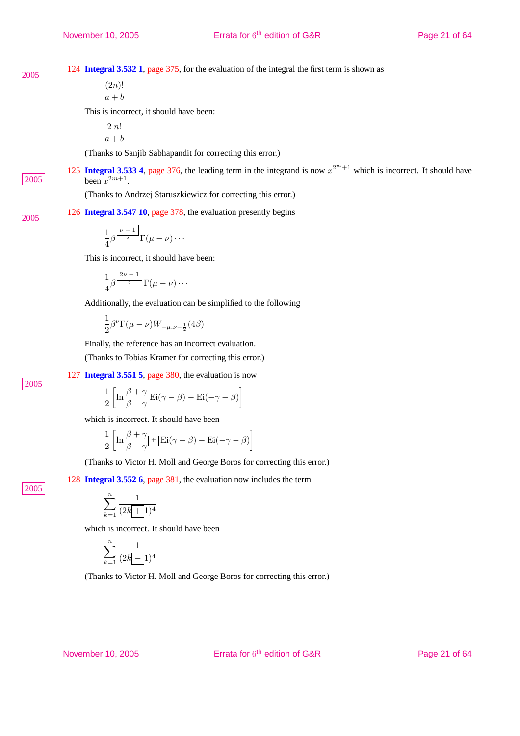124 **Integral 3.532 1**, page 375, for the evaluation of the integral the first term is shown as

 $(2n)!$  $\overline{a+b}$ 

This is incorrect, it should have been:

$$
\frac{2\;n!}{a+b}
$$

(Thanks to Sanjib Sabhapandit for correcting this error.)

125 **Integral 3.533 4**, page 376, the leading term in the integrand is now  $x^{2^m+1}$  which is incorrect. It should have 2005 been  $x^{2m+1}$ .

(Thanks to Andrzej Staruszkiewicz for correcting this error.)

126 **Integral 3.547 10**, page 378, the evaluation presently begins

$$
\frac{1}{4}\beta^{\frac{\nu-1}{2}}\Gamma(\mu-\nu)\cdots
$$

This is incorrect, it should have been:

$$
\frac{1}{4}\beta^{\frac{2\nu-1}{2}}\Gamma(\mu-\nu)\cdots
$$

Additionally, the evaluation can be simplified to the following

$$
\frac{1}{2}\beta^{\nu}\Gamma(\mu-\nu)W_{-\mu,\nu-\frac{1}{2}}(4\beta)
$$

Finally, the reference has an incorrect evaluation.

(Thanks to Tobias Kramer for correcting this error.)

127 **Integral 3.551 5**, page 380, the evaluation is now

$$
\frac{1}{2}\left[\ln\frac{\beta+\gamma}{\beta-\gamma}\text{Ei}(\gamma-\beta)-\text{Ei}(-\gamma-\beta)\right]
$$

which is incorrect. It should have been

$$
\frac{1}{2}\left[\ln\frac{\beta+\gamma}{\beta-\gamma}+\mathrm{Ei}(\gamma-\beta)-\mathrm{Ei}(-\gamma-\beta)\right]
$$

(Thanks to Victor H. Moll and George Boros for correcting this error.)

128 **Integral 3.552 6**, page 381, the evaluation now includes the term

$$
\sum_{k=1}^{n} \frac{1}{(2k+1)^4}
$$

which is incorrect. It should have been

$$
\sum_{k=1}^n \frac{1}{(2k-1)^4}
$$

(Thanks to Victor H. Moll and George Boros for correcting this error.)

2005

2005

2005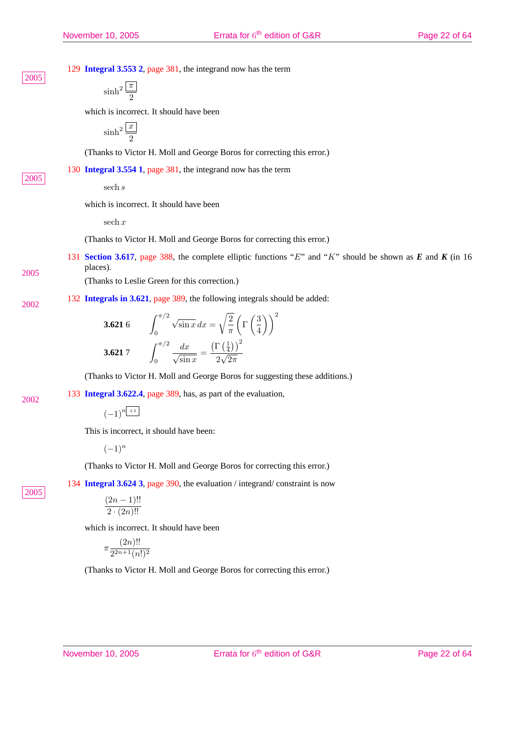129 **Integral 3.553 2**, page 381, the integrand now has the term

$$
\sinh^2\frac{\pi}{2}
$$

which is incorrect. It should have been

$$
\sinh^2\frac{\boxed{x}}{2}
$$

(Thanks to Victor H. Moll and George Boros for correcting this error.)

130 **Integral 3.554 1**, page 381, the integrand now has the term

sech s

which is incorrect. It should have been

 $\operatorname{sech} x$ 

(Thanks to Victor H. Moll and George Boros for correcting this error.)

131 **Section 3.617**, page 388, the complete elliptic functions "E" and "K" should be shown as *E* and *K* (in 16 places).

 $\sqrt{2}$ 

(Thanks to Leslie Green for this correction.)

132 **Integrals in 3.621**, page 389, the following integrals should be added:

**3.621 6** 
$$
\int_0^{\pi/2} \sqrt{\sin x} \, dx = \sqrt{\frac{2}{\pi}}
$$
  
**3.621 7** 
$$
\int_0^{\pi/2} \frac{dx}{\sqrt{\sin x}} = \frac{(\Gamma(\frac{1}{4}))}{2\sqrt{2\pi}}
$$

(Thanks to Victor H. Moll and George Boros for suggesting these additions.)

 $\overline{a}$ Γ  $\sqrt{3}$ 4

 $\sqrt{2}$ 

133 **Integral 3.622.4**, page 389, has, as part of the evaluation,

 $(-1)^{n+1}$ 

This is incorrect, it should have been:

 $(-1)^n$ 

(Thanks to Victor H. Moll and George Boros for correcting this error.)

134 **Integral 3.624 3**, page 390, the evaluation / integrand/ constraint is now

$$
\frac{(2n-1)!!}{2 \cdot (2n)!!}
$$

which is incorrect. It should have been

$$
\pi \frac{(2n)!!}{2^{2n+1}(n!)^2}
$$

(Thanks to Victor H. Moll and George Boros for correcting this error.)

November 10, 2005

2005

2005

2005

2002

2002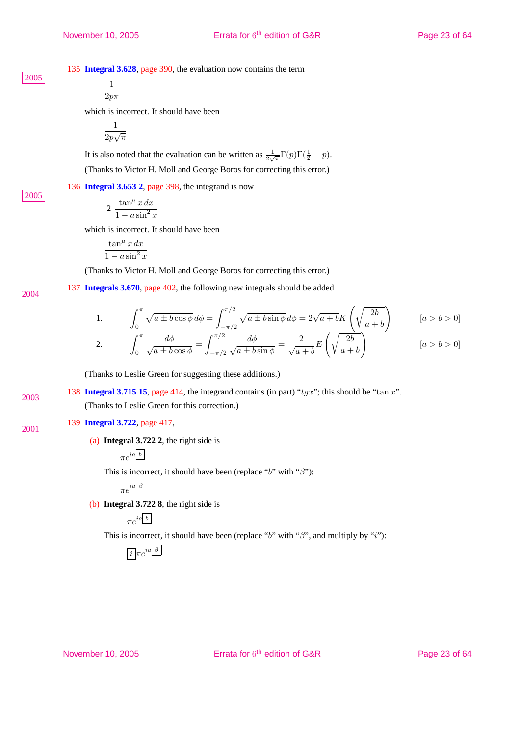2005

2004

135 **Integral 3.628**, page 390, the evaluation now contains the term

$$
\frac{1}{2p\pi}
$$

which is incorrect. It should have been

$$
\frac{1}{2p\sqrt{\pi}}
$$

It is also noted that the evaluation can be written as  $\frac{1}{2\sqrt{\pi}}\Gamma(p)\Gamma(\frac{1}{2}-p)$ . (Thanks to Victor H. Moll and George Boros for correcting this error.)

136 **Integral 3.653 2**, page 398, the integrand is now

$$
\boxed{2} \frac{\tan^{\mu} x \, dx}{1 - a \sin^2 x}
$$

which is incorrect. It should have been

$$
\frac{\tan^{\mu} x \, dx}{1 - a \sin^2 x}
$$

(Thanks to Victor H. Moll and George Boros for correcting this error.)

137 **Integrals 3.670**, page 402, the following new integrals should be added

1. 
$$
\int_0^{\pi} \sqrt{a \pm b \cos \phi} d\phi = \int_{-\pi/2}^{\pi/2} \sqrt{a \pm b \sin \phi} d\phi = 2\sqrt{a + b} K \left( \sqrt{\frac{2b}{a + b}} \right) \qquad [a > b > 0]
$$
  
2. 
$$
\int_0^{\pi} \frac{d\phi}{\sqrt{a + b}} = \int_{-\pi/2}^{\pi/2} \frac{d\phi}{\sqrt{a + b}} = \frac{2}{\sqrt{a + b}} E \left( \sqrt{\frac{2b}{a + b}} \right) \qquad [a > b > 0]
$$

2. 
$$
\int_0^{\pi} \frac{d\phi}{\sqrt{a \pm b \cos \phi}} = \int_{-\pi/2}^{\pi/2} \frac{d\phi}{\sqrt{a \pm b \sin \phi}} = \frac{2}{\sqrt{a+b}} E\left(\sqrt{\frac{2b}{a+b}}\right)
$$
 [a > b > 0]

(Thanks to Leslie Green for suggesting these additions.)

138 **Integral 3.715 15**, page 414, the integrand contains (in part) "tgx"; this should be "tan x". 2003 (Thanks to Leslie Green for this correction.)

#### 139 **Integral 3.722**, page 417, 2001

(a) **Integral 3.722 2**, the right side is

 $\pi e^{ia\lfloor b}$ 

This is incorrect, it should have been (replace " $b$ " with " $\beta$ "):

$$
\pi e^{ia\boxed{\beta}}
$$

(b) **Integral 3.722 8**, the right side is

$$
-\pi e^{ia\boxed{b}}
$$

This is incorrect, it should have been (replace "b" with " $\beta$ ", and multiply by "i"):

$$
-\boxed{i}\pi e^{ia\boxed{\beta}}
$$

November 10, 2005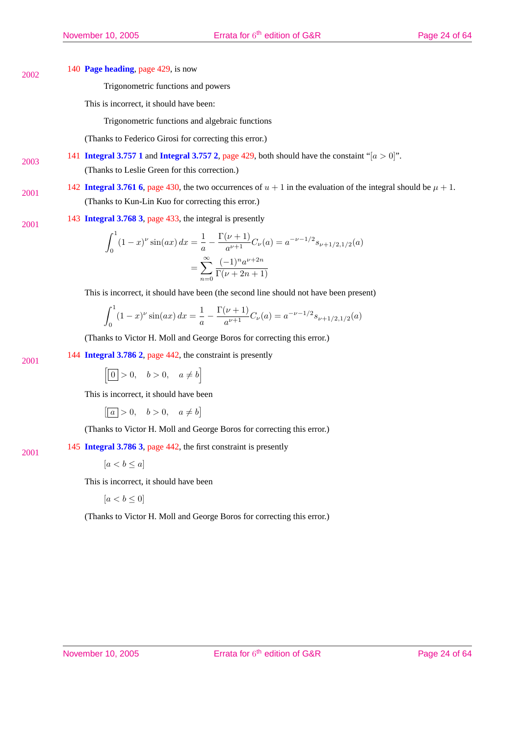#### 140 **Page heading**, page 429, is now 2002

Trigonometric functions and powers

This is incorrect, it should have been:

Trigonometric functions and algebraic functions

(Thanks to Federico Girosi for correcting this error.)

141 **Integral 3.757 1** and **Integral 3.757 2**, page 429, both should have the constaint " $[a > 0]$ ". 2003

(Thanks to Leslie Green for this correction.)

- 142 **Integral 3.761 6**, page 430, the two occurrences of  $u + 1$  in the evaluation of the integral should be  $\mu + 1$ . 2001 (Thanks to Kun-Lin Kuo for correcting this error.)
- 143 **Integral 3.768 3**, page 433, the integral is presently 2001

$$
\int_0^1 (1-x)^{\nu} \sin(ax) dx = \frac{1}{a} - \frac{\Gamma(\nu+1)}{a^{\nu+1}} C_{\nu}(a) = a^{-\nu-1/2} s_{\nu+1/2,1/2}(a)
$$

$$
= \sum_{n=0}^\infty \frac{(-1)^n a^{\nu+2n}}{\Gamma(\nu+2n+1)}
$$

This is incorrect, it should have been (the second line should not have been present)

$$
\int_0^1 (1-x)^{\nu} \sin(ax) dx = \frac{1}{a} - \frac{\Gamma(\nu+1)}{a^{\nu+1}} C_{\nu}(a) = a^{-\nu-1/2} s_{\nu+1/2,1/2}(a)
$$

(Thanks to Victor H. Moll and George Boros for correcting this error.)

144 **Integral 3.786 2**, page 442, the constraint is presently

$$
\left[\boxed{0} > 0, \quad b > 0, \quad a \neq b\right]
$$

This is incorrect, it should have been

£  $\overline{a}$  > 0, b > 0,  $a \neq b$ ¤

(Thanks to Victor H. Moll and George Boros for correcting this error.)

145 **Integral 3.786 3**, page 442, the first constraint is presently

 $[a < b \leq a]$ 

2001

2001

This is incorrect, it should have been

$$
[a < b \le 0]
$$

(Thanks to Victor H. Moll and George Boros for correcting this error.)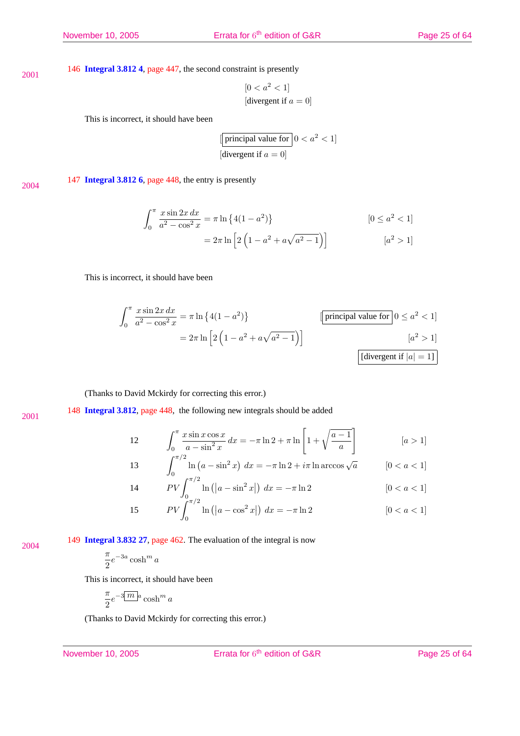146 **Integral 3.812 4**, page 447, the second constraint is presently 2001

$$
[0 < a^2 < 1]
$$
\n[divergent if  $a = 0$ ]

This is incorrect, it should have been

$$
[principal value for] 0 < a^2 < 1]
$$
\n[divergent if  $a = 0$ ]

2004

147 **Integral 3.812 6**, page 448, the entry is presently

$$
\int_0^{\pi} \frac{x \sin 2x \, dx}{a^2 - \cos^2 x} = \pi \ln \{4(1 - a^2)\}
$$
\n
$$
= 2\pi \ln \left[2\left(1 - a^2 + a\sqrt{a^2 - 1}\right)\right]
$$
\n
$$
[a^2 > 1]
$$

This is incorrect, it should have been

$$
\int_0^{\pi} \frac{x \sin 2x \, dx}{a^2 - \cos^2 x} = \pi \ln \left\{ 4(1 - a^2) \right\}
$$
\n
$$
= 2\pi \ln \left[ 2\left( 1 - a^2 + a\sqrt{a^2 - 1} \right) \right]
$$
\n
$$
\boxed{\text{principal value for}}} 0 \le a^2 < 1
$$
\n
$$
\boxed{a^2 > 1}
$$
\n
$$
\boxed{\text{divergent if } |a| = 1}
$$

## (Thanks to David Mckirdy for correcting this error.)

148 **Integral 3.812**, page 448, the following new integrals should be added

2001

2004

12  $\int_0^\pi$ 0  $x \sin x \cos x$  $\frac{x \sin x \cos x}{a - \sin^2 x} dx = -\pi \ln 2 + \pi \ln \left[ 1 + \sqrt{\frac{a-1}{a}} \right]$ a #  $[a > 1]$ 

13 
$$
\int_0^{\pi/2} \ln (a - \sin^2 x) dx = -\pi \ln 2 + i\pi \ln \arccos \sqrt{a}
$$
 [0 < a < 1]

14 
$$
PV \int_{0}^{\pi/2} \ln(|a - \sin^2 x|) dx = -\pi \ln 2
$$
  $[0 < a < 1]$ 

15 
$$
PV \int_0^{\pi/2} \ln(|a - \cos^2 x|) dx = -\pi \ln 2
$$
 [0 < a < 1]

149 **Integral 3.832 27**, page 462. The evaluation of the integral is now

π  $\frac{\pi}{2}e^{-3a}\cosh^m a$ 

This is incorrect, it should have been

$$
\frac{\pi}{2}e^{-3\boxed{m}a}\cosh^m a
$$

(Thanks to David Mckirdy for correcting this error.)

November 10, 2005

Errata for 6<sup>th</sup> edition of G&R Page 25 of 64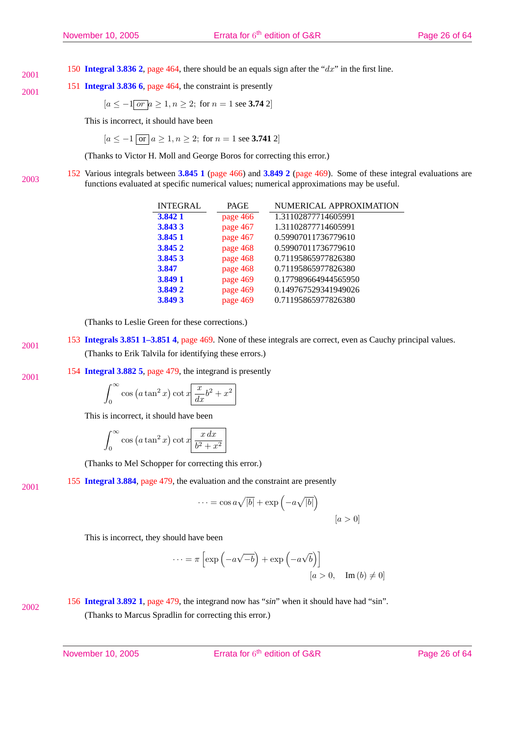150 **Integral 3.836 2**, page 464, there should be an equals sign after the "dx" in the first line. 2001

151 **Integral 3.836 6**, page 464, the constraint is presently

$$
[a \le -1 \text{ or } a \ge 1, n \ge 2;
$$
 for  $n = 1$  see **3.74** 2]

This is incorrect, it should have been

$$
[a \le -1 \text{ or } a \ge 1, n \ge 2; \text{ for } n = 1 \text{ see } 3.7412]
$$

(Thanks to Victor H. Moll and George Boros for correcting this error.)

152 Various integrals between **3.845 1** (page 466) and **3.849 2** (page 469). Some of these integral evaluations are 2003 **Example 2003** functions evaluated at specific numerical values; numerical approximations may be useful.

| <b>INTEGRAL</b> | PAGE     | NUMERICAL APPROXIMATION |
|-----------------|----------|-------------------------|
| 3.842 1         | page 466 | 1.31102877714605991     |
| 3.8433          | page 467 | 1.31102877714605991     |
| 3.845 1         | page 467 | 0.59907011736779610     |
| 3.845 2         | page 468 | 0.59907011736779610     |
| 3.845 3         | page 468 | 0.71195865977826380     |
| 3.847           | page 468 | 0.71195865977826380     |
| 3.849 1         | page 469 | 0.177989664944565950    |
| 3.849 2         | page 469 | 0.149767529341949026    |
| 3.849 3         | page 469 | 0.71195865977826380     |
|                 |          |                         |

(Thanks to Leslie Green for these corrections.)

153 **Integrals 3.851 1–3.851 4**, page 469. None of these integrals are correct, even as Cauchy principal values. 2001 (Thanks to Erik Talvila for identifying these errors.)

154 **Integral 3.882 5**, page 479, the integrand is presently 2001

$$
\int_0^\infty \cos\left(a\tan^2 x\right) \cot x \left[\frac{x}{dx}b^2 + x^2\right]
$$

This is incorrect, it should have been

$$
\int_0^\infty \cos\left(a\tan^2 x\right) \cot x \frac{x \, dx}{b^2 + x^2}
$$

(Thanks to Mel Schopper for correcting this error.)

155 **Integral 3.884**, page 479, the evaluation and the constraint are presently

$$
\cdots = \cos a \sqrt{|b|} + \exp \left(-a \sqrt{|b|}\right)
$$
  
[*a* > 0]

This is incorrect, they should have been

$$
\cdots = \pi \left[ \exp\left( -a\sqrt{-b} \right) + \exp\left( -a\sqrt{b} \right) \right]
$$

$$
[a > 0, \quad \text{Im}\,(b) \neq 0]
$$

2002

2001

156 **Integral 3.892 1**, page 479, the integrand now has "*sin*" when it should have had "sin". (Thanks to Marcus Spradlin for correcting this error.)

November 10, 2005

Errata for 6<sup>th</sup> edition of G&R Page 26 of 64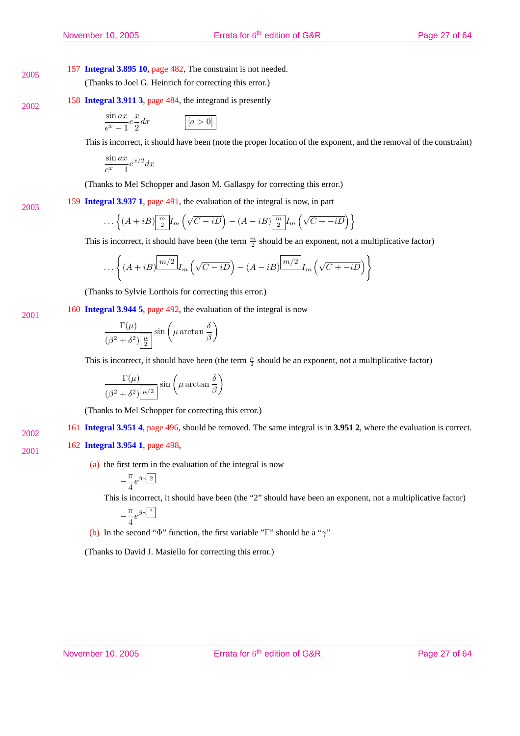157 **Integral 3.895 10**, page 482, The constraint is not needed. 2005

(Thanks to Joel G. Heinrich for correcting this error.)

158 **Integral 3.911 3**, page 484, the integrand is presently 2002

$$
\frac{\sin ax}{e^x - 1} e \frac{x}{2} dx
$$
 [a > 0]

This is incorrect, it should have been (note the proper location of the exponent, and the removal of the constraint)

$$
\frac{\sin ax}{e^x-1}e^{x/2}dx
$$

(Thanks to Mel Schopper and Jason M. Gallaspy for correcting this error.)

159 **Integral 3.937 1**, page 491, the evaluation of the integral is now, in part

$$
\dots \left\{ (A+iB) \frac{m}{2} I_m \left( \sqrt{C-iD} \right) - (A-iB) \frac{m}{2} I_m \left( \sqrt{C+iD} \right) \right\}
$$

This is incorrect, it should have been (the term  $\frac{m}{2}$  should be an exponent, not a multiplicative factor)

$$
\ldots \left\{ (A+iB) \overline{\frac{m/2}{m}} I_m \left( \sqrt{C-iD} \right) - (A-iB) \overline{\frac{m/2}{m}} I_m \left( \sqrt{C+iD} \right) \right\}
$$

(Thanks to Sylvie Lorthois for correcting this error.)

160 **Integral 3.944 5**, page 492, the evaluation of the integral is now

$$
\frac{\Gamma(\mu)}{(\beta^2+\delta^2)\boxed{\frac{\mu}{2}}}\sin\left(\mu\arctan\frac{\delta}{\beta}\right)
$$

This is incorrect, it should have been (the term  $\frac{\mu}{2}$  should be an exponent, not a multiplicative factor)

$$
\frac{\Gamma(\mu)}{(\beta^2+\delta^2)^{\left[\mu/2\right]}}\sin\left(\mu\arctan\frac{\delta}{\beta}\right)
$$

(Thanks to Mel Schopper for correcting this error.)

#### 161 **Integral 3.951 4**, page 496, should be removed. The same integral is in **3.951 2**, where the evaluation is correct. 2002

#### 162 **Integral 3.954 1**, page 498, 2001

(a) the first term in the evaluation of the integral is now

$$
-\frac{\pi}{4}e^{\beta\gamma\boxed{2}}
$$

This is incorrect, it should have been (the "2" should have been an exponent, not a multiplicative factor)

$$
-\frac{\pi}{4}e^{\beta\gamma^{\boxed{2}}}
$$

(b) In the second " $\Phi$ " function, the first variable "Γ" should be a "γ"

(Thanks to David J. Masiello for correcting this error.)

2001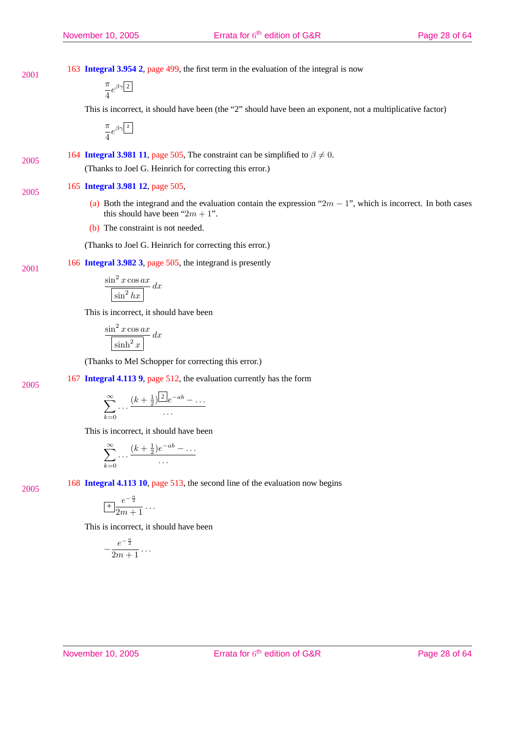163 **Integral 3.954 2**, page 499, the first term in the evaluation of the integral is now 2001

$$
\frac{\pi}{4}e^{\beta\gamma\boxed{2}}
$$

This is incorrect, it should have been (the "2" should have been an exponent, not a multiplicative factor)

$$
\frac{\pi}{4}e^{\beta\gamma^{\boxed{2}}}
$$

164 **Integral 3.981 11**, page 505, The constraint can be simplified to  $\beta \neq 0$ . 2005

(Thanks to Joel G. Heinrich for correcting this error.)

#### 165 **Integral 3.981 12**, page 505, 2005

- (a) Both the integrand and the evaluation contain the expression " $2m 1$ ", which is incorrect. In both cases this should have been " $2m + 1$ ".
- (b) The constraint is not needed.

(Thanks to Joel G. Heinrich for correcting this error.)

166 **Integral 3.982 3**, page 505, the integrand is presently 2001

$$
\frac{\sin^2 x \cos ax}{\sin^2 bx} dx
$$

This is incorrect, it should have been

$$
\frac{\sin^2 x \cos ax}{\sinh^2 x} dx
$$

(Thanks to Mel Schopper for correcting this error.)

167 **Integral 4.113 9**, page 512, the evaluation currently has the form

168 **Integral 4.113 10**, page 513, the second line of the evaluation now begins

$$
\sum_{k=0}^{\infty} \ldots \frac{(k+\frac{1}{2})^{\boxed{2}}e^{-ab}-\ldots}{\ldots}
$$

This is incorrect, it should have been

$$
\sum_{k=0}^{\infty} \dots \frac{(k+\frac{1}{2})e^{-ab} - \dots}{\dots}
$$

2005

2005

$$
\overline{[+]} \frac{e^{-\frac{a}{2}}}{2m+1} \cdots
$$

This is incorrect, it should have been

$$
-\frac{e^{-\frac{a}{2}}}{2m+1}\ldots
$$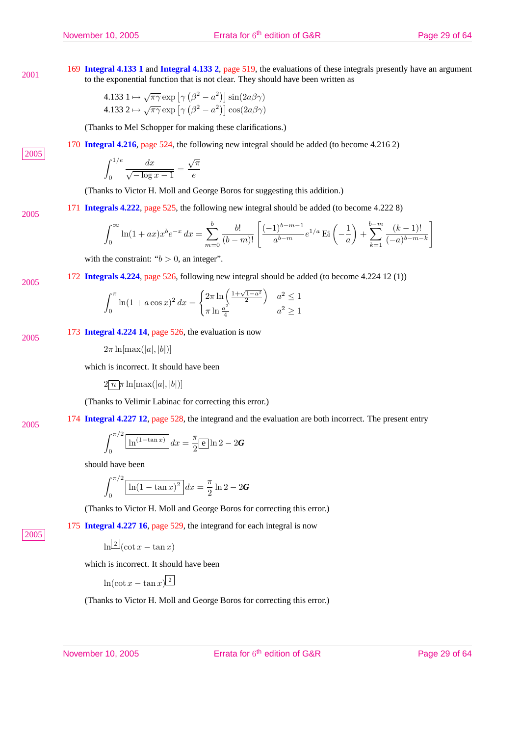169 **Integral 4.133 1** and **Integral 4.133 2**, page 519, the evaluations of these integrals presently have an argument 2001 to the exponential function that is not clear. They should have been written as

4.133 
$$
1 \mapsto \sqrt{\pi \gamma} \exp \left[\gamma \left(\beta^2 - a^2\right)\right] \sin(2a\beta\gamma)
$$
  
4.133  $2 \mapsto \sqrt{\pi \gamma} \exp \left[\gamma \left(\beta^2 - a^2\right)\right] \cos(2a\beta\gamma)$ 

(Thanks to Mel Schopper for making these clarifications.)

170 **Integral 4.216**, page 524, the following new integral should be added (to become 4.216 2)

2005

$$
\int_0^{1/e} \frac{dx}{\sqrt{-\log x - 1}} = \frac{\sqrt{\pi}}{e}
$$

(Thanks to Victor H. Moll and George Boros for suggesting this addition.)

171 **Integrals 4.222**, page 525, the following new integral should be added (to become 4.222 8)

$$
\int_0^\infty \ln(1+ax)x^b e^{-x} dx = \sum_{m=0}^b \frac{b!}{(b-m)!} \left[ \frac{(-1)^{b-m-1}}{a^{b-m}} e^{1/a} \mathop{\mathrm{E}}\nolimits \left( -\frac{1}{a} \right) + \sum_{k=1}^{b-m} \frac{(k-1)!}{(-a)^{b-m-k}} \right]
$$

with the constraint: " $b > 0$ , an integer".

2005

2005

2005

172 **Integrals 4.224**, page 526, following new integral should be added (to become 4.224 12 (1))

174 **Integral 4.227 12**, page 528, the integrand and the evaluation are both incorrect. The present entry

$$
\int_0^{\pi} \ln(1 + a \cos x)^2 dx = \begin{cases} 2\pi \ln\left(\frac{1 + \sqrt{1 - a^2}}{2}\right) & a^2 \le 1\\ \pi \ln\frac{a^2}{4} & a^2 \ge 1 \end{cases}
$$

173 **Integral 4.224 14**, page 526, the evaluation is now

 $2\pi \ln \left[\max(|a|,|b|)\right]$ 

which is incorrect. It should have been

 $2\sqrt{n}\pi \ln[\max(|a|, |b|)]$ 

(Thanks to Velimir Labinac for correcting this error.)

2005

2005

$$
\int_0^{\pi/2} \boxed{\ln^{(1-\tan x)}} dx = \frac{\pi}{2} \boxed{\mathbf{e}} \ln 2 - 2\mathbf{G}
$$

should have been

$$
\int_0^{\pi/2} \left[ \ln(1 - \tan x)^2 \right] dx = \frac{\pi}{2} \ln 2 - 2G
$$

(Thanks to Victor H. Moll and George Boros for correcting this error.)

175 **Integral 4.227 16**, page 529, the integrand for each integral is now

$$
\ln^{\boxed{2}}(\cot x - \tan x)
$$

which is incorrect. It should have been

 $ln(\cot x - \tan x)^{2}$ 

(Thanks to Victor H. Moll and George Boros for correcting this error.)

November 10, 2005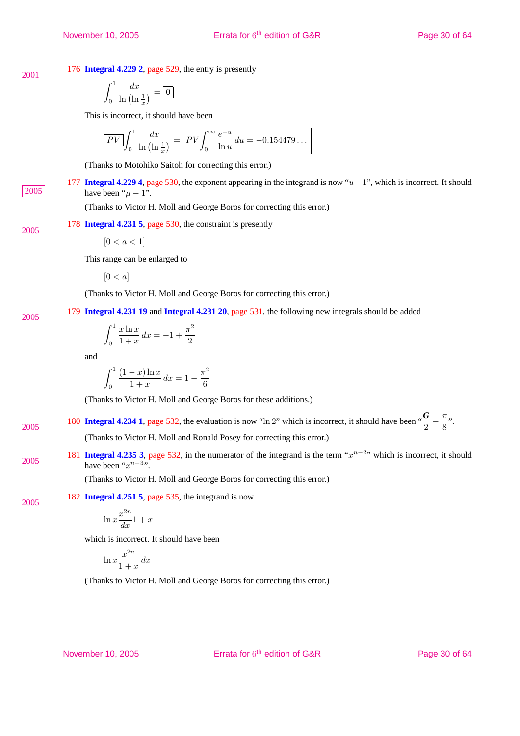2005

2005

176 **Integral 4.229 2**, page 529, the entry is presently

$$
\int_0^1 \frac{dx}{\ln\left(\ln\frac{1}{x}\right)} = \boxed{0}
$$

This is incorrect, it should have been

$$
\boxed{PV} \int_0^1 \frac{dx}{\ln\left(\ln\frac{1}{x}\right)} = \boxed{PV \int_0^\infty \frac{e^{-u}}{\ln u} \, du = -0.154479 \dots}
$$

(Thanks to Motohiko Saitoh for correcting this error.)

177 **Integral 4.229 4**, page 530, the exponent appearing in the integrand is now "u−1", which is incorrect. It should 2005 have been " $\mu - 1$ ".

(Thanks to Victor H. Moll and George Boros for correcting this error.)

178 **Integral 4.231 5**, page 530, the constraint is presently

$$
[0 < a < 1]
$$

This range can be enlarged to

 $[0 < a]$ 

(Thanks to Victor H. Moll and George Boros for correcting this error.)

179 **Integral 4.231 19** and **Integral 4.231 20**, page 531, the following new integrals should be added

$$
\int_0^1 \frac{x \ln x}{1+x} dx = -1 + \frac{\pi^2}{2}
$$

and

$$
\int_0^1 \frac{(1-x)\ln x}{1+x} dx = 1 - \frac{\pi^2}{6}
$$

(Thanks to Victor H. Moll and George Boros for these additions.)

- 180 **Integral 4.234 1**, page 532, the evaluation is now "ln 2" which is incorrect, it should have been  $\frac{G}{2} \frac{\pi}{8}$  $\frac{1}{8}$ ". 2005 (Thanks to Victor H. Moll and Ronald Posey for correcting this error.)
- 181 **Integral 4.235 3**, page 532, in the numerator of the integrand is the term " $x^{n-2}$ " which is incorrect, it should 2005 have been " $x^{n-3}$ ".

(Thanks to Victor H. Moll and George Boros for correcting this error.)

182 **Integral 4.251 5**, page 535, the integrand is now 2005

$$
\ln x \frac{x^{2n}}{dx} 1 + x
$$

which is incorrect. It should have been

$$
\ln x \frac{x^{2n}}{1+x} \, dx
$$

(Thanks to Victor H. Moll and George Boros for correcting this error.)

November 10, 2005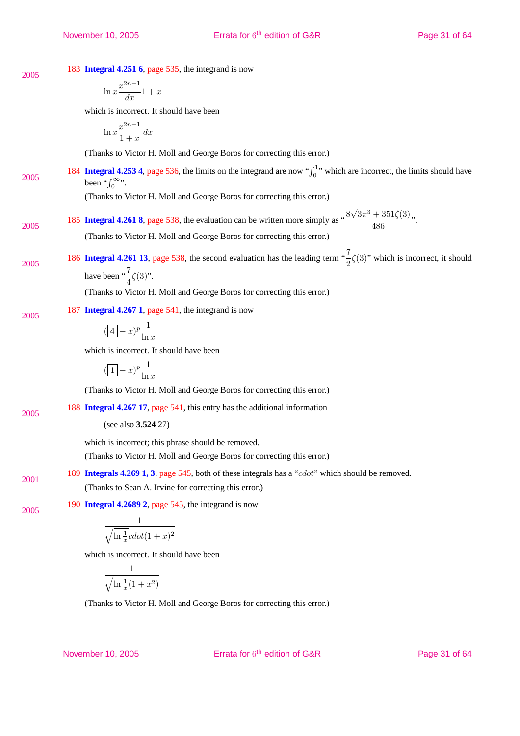| Errata for 6 <sup>th</sup> edition of G&R<br>November 10, 2005<br>Page 31 of 64                                                                                             |
|-----------------------------------------------------------------------------------------------------------------------------------------------------------------------------|
|                                                                                                                                                                             |
| (Thanks to Victor H. Moll and George Boros for correcting this error.)                                                                                                      |
| $\frac{1}{\sqrt{\ln \frac{1}{x}}(1+x^2)}$                                                                                                                                   |
|                                                                                                                                                                             |
| which is incorrect. It should have been                                                                                                                                     |
| $\frac{1}{\sqrt{\ln\frac{1}{x}}cdot(1+x)^2}$                                                                                                                                |
| 190 Integral 4.2689 2, page 545, the integrand is now                                                                                                                       |
| (Thanks to Sean A. Irvine for correcting this error.)                                                                                                                       |
| 189 Integrals 4.269 1, 3, page 545, both of these integrals has a "cdot" which should be removed.                                                                           |
| (Thanks to Victor H. Moll and George Boros for correcting this error.)                                                                                                      |
| which is incorrect; this phrase should be removed.                                                                                                                          |
| (see also 3.524 27)                                                                                                                                                         |
| (Thanks to Victor H. Moll and George Boros for correcting this error.)<br>188 Integral 4.267 17, page 541, this entry has the additional information                        |
|                                                                                                                                                                             |
| $\left(\frac{1}{1-x}\right)^p \frac{1}{\ln x}$                                                                                                                              |
| which is incorrect. It should have been                                                                                                                                     |
| $\left(\boxed{4}-x\right)^p\frac{1}{\ln x}$                                                                                                                                 |
| 187 Integral 4.267 1, page 541, the integrand is now                                                                                                                        |
| (Thanks to Victor H. Moll and George Boros for correcting this error.)                                                                                                      |
| 186 Integral 4.261 13, page 538, the second evaluation has the leading term " $\frac{7}{2}\zeta(3)$ " which is incorrect, it should<br>have been " $\frac{7}{4}\zeta(3)$ ". |
|                                                                                                                                                                             |
| (Thanks to Victor H. Moll and George Boros for correcting this error.)                                                                                                      |
| 185 Integral 4.261 8, page 538, the evaluation can be written more simply as $\frac{8\sqrt{3}\pi^3 + 351\zeta(3)}{486}$ .                                                   |
| been " $\int_0^\infty$ ".<br>(Thanks to Victor H. Moll and George Boros for correcting this error.)                                                                         |
| 184 <b>Integral 4.253 4</b> , page 536, the limits on the integrand are now " $\int_0^{1}$ " which are incorrect, the limits should have                                    |
| (Thanks to Victor H. Moll and George Boros for correcting this error.)                                                                                                      |
| $\ln x \frac{x^{2n-1}}{1+x} dx$                                                                                                                                             |
| which is incorrect. It should have been                                                                                                                                     |
| $\ln x \frac{x^{2n-1}}{dx}1+x$                                                                                                                                              |
|                                                                                                                                                                             |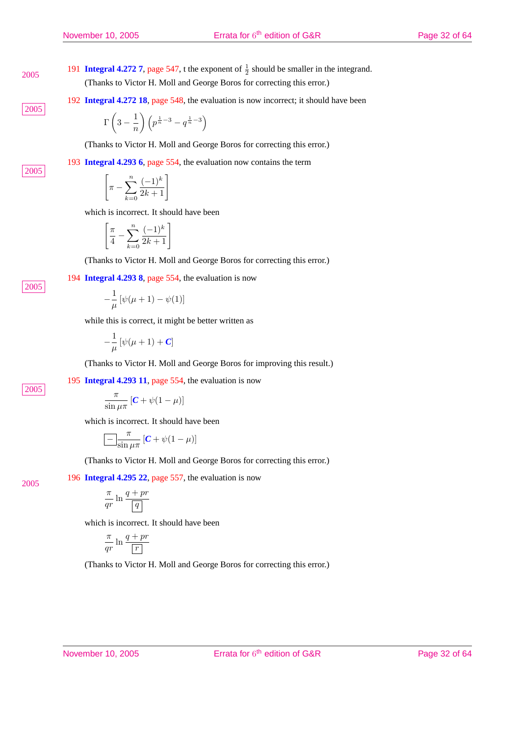2005

2005

2005

191 **Integral 4.272 7**, page 547, t the exponent of  $\frac{1}{2}$  should be smaller in the integrand. (Thanks to Victor H. Moll and George Boros for correcting this error.)

192 **Integral 4.272 18**, page 548, the evaluation is now incorrect; it should have been

$$
\Gamma\left(3-\frac{1}{n}\right)\left(p^{\frac{1}{n}-3}-q^{\frac{1}{n}-3}\right)
$$

(Thanks to Victor H. Moll and George Boros for correcting this error.)

193 **Integral 4.293 6**, page 554, the evaluation now contains the term

$$
\left[\pi - \sum_{k=0}^{n} \frac{(-1)^k}{2k+1}\right]
$$

which is incorrect. It should have been

$$
\left[\frac{\pi}{4}-\sum_{k=0}^n\frac{(-1)^k}{2k+1}\right]
$$

(Thanks to Victor H. Moll and George Boros for correcting this error.)

194 **Integral 4.293 8**, page 554, the evaluation is now

$$
-\frac{1}{\mu}\left[\psi(\mu+1)-\psi(1)\right]
$$

while this is correct, it might be better written as

$$
-\frac{1}{\mu}\left[\psi(\mu+1)+\mathbf{C}\right]
$$

(Thanks to Victor H. Moll and George Boros for improving this result.)

195 **Integral 4.293 11**, page 554, the evaluation is now

$$
\frac{\pi}{\sin \mu \pi} \left[ C + \psi (1 - \mu) \right]
$$

which is incorrect. It should have been

$$
\boxed{-} \frac{\pi}{\sin \mu \pi} \left[ C + \psi (1 - \mu) \right]
$$

(Thanks to Victor H. Moll and George Boros for correcting this error.)

196 **Integral 4.295 22**, page 557, the evaluation is now

$$
\frac{\pi}{qr}\ln\frac{q+pr}{q}
$$

which is incorrect. It should have been

$$
\frac{\pi}{qr}\ln\frac{q+pr}{\boxed{r}}
$$

(Thanks to Victor H. Moll and George Boros for correcting this error.)

2005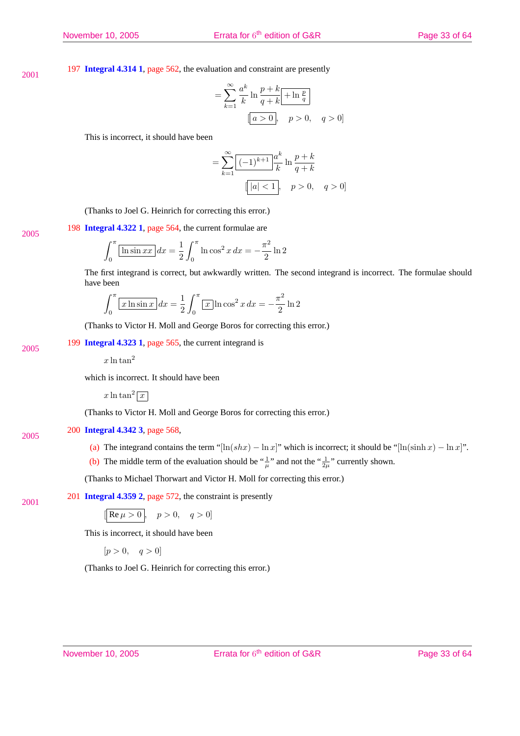197 **Integral 4.314 1**, page 562, the evaluation and constraint are presently

$$
= \sum_{k=1}^{\infty} \frac{a^k}{k} \ln \frac{p+k}{q+k} \boxed{+ \ln \frac{p}{q}}
$$

$$
[a > 0, p > 0, q > 0]
$$

This is incorrect, it should have been

$$
= \sum_{k=1}^{\infty} \underbrace{\left[(-1)^{k+1}\right]_k^{a^k}}_{\text{$|a| < 1$}}, \quad p + k
$$
\n
$$
\underbrace{\left[|a| < 1\right]}_{\text{$p > 0$}}, \quad q > 0]
$$

2005

2005

2001

2001

(Thanks to Joel G. Heinrich for correcting this error.)

198 **Integral 4.322 1**, page 564, the current formulae are

$$
\int_0^{\pi} \left[ \frac{\ln \sin xx}{\ln \sin xx} \right] dx = \frac{1}{2} \int_0^{\pi} \ln \cos^2 x \, dx = -\frac{\pi^2}{2} \ln 2
$$

The first integrand is correct, but awkwardly written. The second integrand is incorrect. The formulae should have been

$$
\int_0^{\pi} \boxed{x \ln \sin x} \, dx = \frac{1}{2} \int_0^{\pi} \boxed{x} \ln \cos^2 x \, dx = -\frac{\pi^2}{2} \ln 2
$$

(Thanks to Victor H. Moll and George Boros for correcting this error.)

## 199 **Integral 4.323 1**, page 565, the current integrand is

 $x \ln \tan^2$ 

which is incorrect. It should have been

$$
x \ln \tan^2 |x|
$$

(Thanks to Victor H. Moll and George Boros for correcting this error.)

#### 200 **Integral 4.342 3**, page 568, 2005

- (a) The integrand contains the term " $[\ln(shx) \ln x]$ " which is incorrect; it should be " $[\ln(\sinh x) \ln x]$ ".
- (b) The middle term of the evaluation should be " $\frac{1}{\mu}$ " and not the " $\frac{1}{2\mu}$ " currently shown.

(Thanks to Michael Thorwart and Victor H. Moll for correcting this error.)

201 **Integral 4.359 2**, page 572, the constraint is presently

$$
[\fbox{Re}\,\mu>0],\quad p>0,\quad q>0]
$$

This is incorrect, it should have been

 $[p > 0, q > 0]$ 

(Thanks to Joel G. Heinrich for correcting this error.)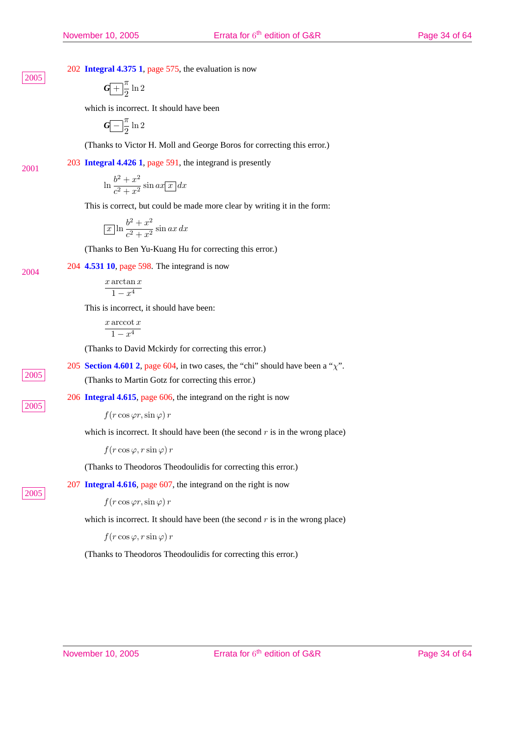202 **Integral 4.375 1**, page 575, the evaluation is now

203 **Integral 4.426 1**, page 591, the integrand is presently

 $G + \frac{\pi}{6}$  $\frac{\pi}{2} \ln 2$ 

which is incorrect. It should have been

$$
G\boxed{-}\frac{\pi}{2}\ln 2
$$

(Thanks to Victor H. Moll and George Boros for correcting this error.)

2001

2004

2005

2005

2005

$$
\ln \frac{b^2 + x^2}{c^2 + x^2} \sin ax \boxed{x} dx
$$

This is correct, but could be made more clear by writing it in the form:

$$
\boxed{x}\ln\frac{b^2+x^2}{c^2+x^2}\sin ax\,dx
$$

(Thanks to Ben Yu-Kuang Hu for correcting this error.)

204 **4.531 10**, page 598. The integrand is now

$$
\frac{x \arctan x}{1 - x^4}
$$

This is incorrect, it should have been:

```
x arccot x
  1 - x^4
```
(Thanks to David Mckirdy for correcting this error.)

205 **Section 4.601 2**, page 604, in two cases, the "chi" should have been a " $\chi$ ". <sup>2005</sup> (Thanks to Martin Gotz for correcting this error.)

206 **Integral 4.615**, page 606, the integrand on the right is now

 $f(r \cos \varphi r, \sin \varphi) r$ 

which is incorrect. It should have been (the second  $r$  is in the wrong place)

 $f(r \cos \varphi, r \sin \varphi) r$ 

(Thanks to Theodoros Theodoulidis for correcting this error.)

207 **Integral 4.616**, page 607, the integrand on the right is now

 $f(r \cos \varphi r, \sin \varphi) r$ 

which is incorrect. It should have been (the second  $r$  is in the wrong place)

 $f(r \cos \varphi, r \sin \varphi) r$ 

(Thanks to Theodoros Theodoulidis for correcting this error.)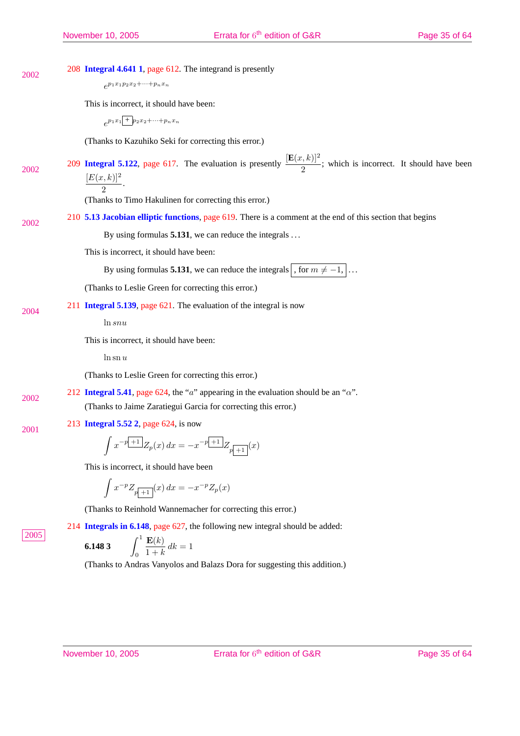208 **Integral 4.641 1**, page 612. The integrand is presently 2002  $e^{p_1x_1p_2x_2+\cdots+p_nx_n}$ This is incorrect, it should have been:  $e^{p_1x_1+ p_2x_2+\cdots+p_nx_n}$ (Thanks to Kazuhiko Seki for correcting this error.) 209 **Integral 5.122**, page 617. The evaluation is presently  $\frac{[E(x, k)]^2}{2}$ ; which is incorrect. It should have been 2002  $[E(x, k)]^2$  $\frac{1}{2}$ . (Thanks to Timo Hakulinen for correcting this error.) 210 **5.13 Jacobian elliptic functions**, page 619. There is a comment at the end of this section that begins 2002 By using formulas **5.131**, we can reduce the integrals . . . This is incorrect, it should have been: By using formulas **5.131**, we can reduce the integrals  $\boxed{}$ , for  $m \neq -1$ , ... (Thanks to Leslie Green for correcting this error.) 211 **Integral 5.139**, page 621. The evaluation of the integral is now 2004 ln snu This is incorrect, it should have been:  $\ln$  sn  $u$ (Thanks to Leslie Green for correcting this error.) 212 **Integral 5.41**, page 624, the "a" appearing in the evaluation should be an " $\alpha$ ". 2002 (Thanks to Jaime Zaratiegui Garcia for correcting this error.) 213 **Integral 5.52 2**, page 624, is now 2001  $x^{-p-1}Z_p(x) dx = -x^{-p-1}Z_{p-1}(x)$ This is incorrect, it should have been  $x^{-p} Z_{p+1}(x) dx = -x^{-p} Z_p(x)$ (Thanks to Reinhold Wannemacher for correcting this error.) 214 **Integrals in 6.148**, page 627, the following new integral should be added: 2005 **6.148 3**  $\int_0^1$ 0  $\mathbf{E}(k)$  $\frac{D(n)}{1+k} dk = 1$ (Thanks to Andras Vanyolos and Balazs Dora for suggesting this addition.)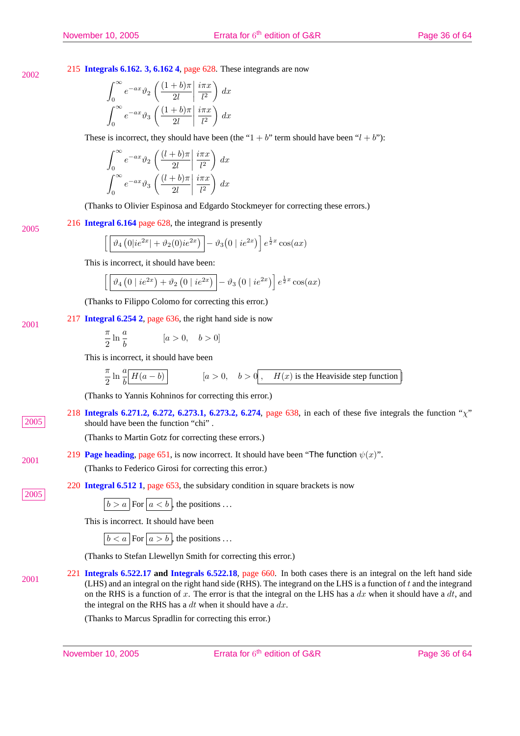#### 215 **Integrals 6.162. 3, 6.162 4**, page 628. These integrands are now 2002

$$
\int_0^\infty e^{-ax} \vartheta_2 \left( \frac{(1+b)\pi}{2l} \left| \frac{i\pi x}{l^2} \right) \right) dx
$$

$$
\int_0^\infty e^{-ax} \vartheta_3 \left( \frac{(1+b)\pi}{2l} \left| \frac{i\pi x}{l^2} \right) \right) dx
$$

These is incorrect, they should have been (the "1 + b" term should have been " $l + b$ "):

$$
\int_0^\infty e^{-ax} \vartheta_2 \left( \frac{(l+b)\pi}{2l} \middle| \frac{i\pi x}{l^2} \right) dx
$$

$$
\int_0^\infty e^{-ax} \vartheta_3 \left( \frac{(l+b)\pi}{2l} \middle| \frac{i\pi x}{l^2} \right) dx
$$

(Thanks to Olivier Espinosa and Edgardo Stockmeyer for correcting these errors.)

216 **Integral 6.164** page 628, the integrand is presently

$$
\left[\left[\vartheta_4\left(0|ie^{2x}|+\vartheta_2(0)ie^{2x}\right)\right]-\vartheta_3\big(0|ie^{2x}\big)\right]e^{\frac{1}{2}x}\cos(ax)
$$

This is incorrect, it should have been:

$$
\left[\left[\vartheta_4\left(0\mid ie^{2x}\right)+\vartheta_2\left(0\mid ie^{2x}\right)\right]-\vartheta_3\left(0\mid ie^{2x}\right)\right]e^{\frac{1}{2}x}\cos(ax)
$$

(Thanks to Filippo Colomo for correcting this error.)

## 217 **Integral 6.254 2**, page 636, the right hand side is now

π  $rac{\pi}{2} \ln \frac{a}{b}$  $[a > 0, \, b > 0]$ 

This is incorrect, it should have been

$$
\frac{\pi}{2}\ln\frac{a}{b}\boxed{H(a-b)} \qquad \qquad [a>0, \quad b>0], \quad H(x) \text{ is the Heaviside step function } \Big]
$$

(Thanks to Yannis Kohninos for correcting this error.)

218 **Integrals 6.271.2, 6.272, 6.273.1, 6.273.2, 6.274**, page 638, in each of these five integrals the function " $\chi$ " 2005 should have been the function "chi" .

(Thanks to Martin Gotz for correcting these errors.)

219 **Page heading**, page 651, is now incorrect. It should have been "The function  $\psi(x)$ ".

(Thanks to Federico Girosi for correcting this error.)

220 **Integral 6.512 1**, page 653, the subsidary condition in square brackets is now

$$
b > a
$$
 For  $a < b$ , the positions ...

This is incorrect. It should have been

 $\boxed{b < a}$  For  $\boxed{a > b}$ , the positions ...

(Thanks to Stefan Llewellyn Smith for correcting this error.)

221 **Integrals 6.522.17 and Integrals 6.522.18**, page 660. In both cases there is an integral on the left hand side 2001 (LHS) and an integral on the right hand side (RHS). The integrand on the LHS is a function of t and the integrand on the RHS is a function of x. The error is that the integral on the LHS has a  $dx$  when it should have a  $dt$ , and the integral on the RHS has a  $dt$  when it should have a  $dx$ .

(Thanks to Marcus Spradlin for correcting this error.)

November 10, 2005

2001

2001

2005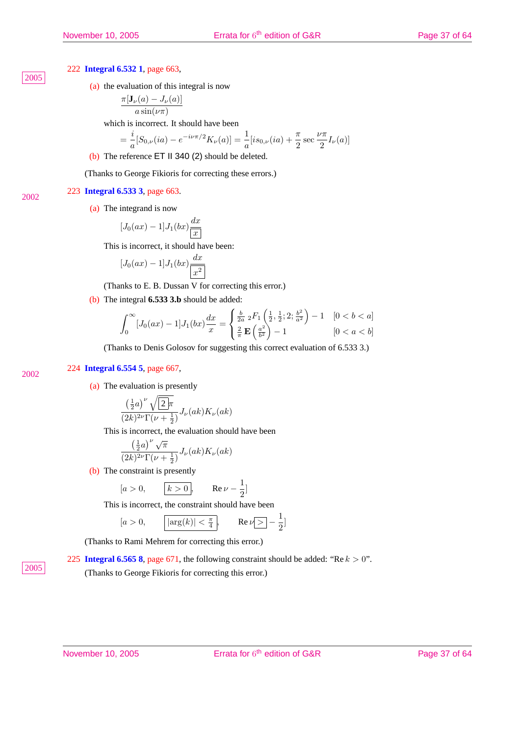2002

222 **Integral 6.532 1**, page 663,

(a) the evaluation of this integral is now

$$
\frac{\pi[\mathbf{J}_{\nu}(a) - J_{\nu}(a)]}{a\sin(\nu\pi)}
$$

which is incorrect. It should have been

$$
= \frac{i}{a}[S_{0,\nu}(ia) - e^{-i\nu\pi/2}K_{\nu}(a)] = \frac{1}{a}[is_{0,\nu}(ia) + \frac{\pi}{2}\sec\frac{\nu\pi}{2}I_{\nu}(a)]
$$

(b) The reference ET II 340 (2) should be deleted.

(Thanks to George Fikioris for correcting these errors.)

223 **Integral 6.533 3**, page 663. 2002

(a) The integrand is now

$$
[J_0(ax) - 1]J_1(bx)\frac{dx}{\boxed{x}}
$$

This is incorrect, it should have been:

$$
[J_0(ax) - 1]J_1(bx)\frac{dx}{x^2}
$$

(Thanks to E. B. Dussan V for correcting this error.)

(b) The integral **6.533 3.b** should be added:

$$
\int_0^\infty [J_0(ax) - 1]J_1(bx)\frac{dx}{x} = \begin{cases} \frac{b}{2a} \, _2F_1\left(\frac{1}{2}, \frac{1}{2}; 2; \frac{b^2}{a^2}\right) - 1 & [0 < b < a] \\ \frac{2}{\pi} \mathbf{E}\left(\frac{a^2}{b^2}\right) - 1 & [0 < a < b] \end{cases}
$$

(Thanks to Denis Golosov for suggesting this correct evaluation of 6.533 3.)

## 224 **Integral 6.554 5**, page 667,

 $\left($ 

(a) The evaluation is presently

$$
\frac{\left(\frac{1}{2}a\right)^{\nu}\sqrt{\boxed{2}\pi}}{(2k)^{2\nu}\Gamma(\nu+\frac{1}{2})}J_{\nu}(ak)K_{\nu}(ak)
$$

This is incorrect, the evaluation should have been<br> $\left(1 \right)^{\nu} \subset$ 

$$
\frac{\left(\frac{1}{2}a\right)^{\nu}\sqrt{\pi}}{(2k)^{2\nu}\Gamma(\nu+\frac{1}{2})}J_{\nu}(ak)K_{\nu}(ak)
$$

(b) The constraint is presently

$$
[a>0, \qquad \boxed{k>0}, \qquad \text{Re}\,\nu-\frac{1}{2}]
$$

This is incorrect, the constraint should have been

$$
[a>0, \qquad \boxed{|\arg(k)| < \frac{\pi}{4}}, \qquad \text{Re}\,\nu \ge -\frac{1}{2}]
$$

(Thanks to Rami Mehrem for correcting this error.)

225 **Integral 6.565 8**, page 671, the following constraint should be added: "Re  $k > 0$ ". <sup>2005</sup> (Thanks to George Fikioris for correcting this error.)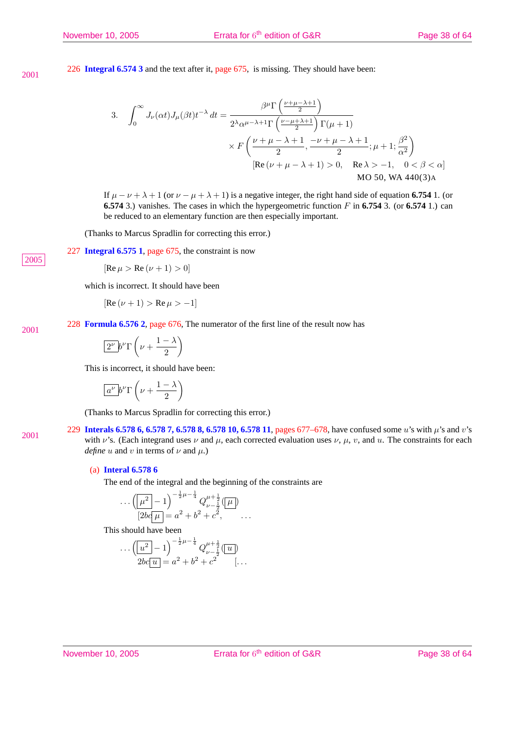226 **Integral 6.574 3** and the text after it, page 675, is missing. They should have been: 2001

3. 
$$
\int_0^\infty J_\nu(\alpha t) J_\mu(\beta t) t^{-\lambda} dt = \frac{\beta^\mu \Gamma\left(\frac{\nu+\mu-\lambda+1}{2}\right)}{2^{\lambda} \alpha^{\mu-\lambda+1} \Gamma\left(\frac{\nu-\mu+\lambda+1}{2}\right) \Gamma(\mu+1)} \times F\left(\frac{\nu+\mu-\lambda+1}{2}, \frac{-\nu+\mu-\lambda+1}{2}; \mu+1; \frac{\beta^2}{\alpha^2}\right)
$$
  
\n[Re(\nu+\mu-\lambda+1) > 0, Re\lambda > -1, 0 < \beta < \alpha]  
\nMO 50, WA 440(3)*A*

If  $\mu - \nu + \lambda + 1$  (or  $\nu - \mu + \lambda + 1$ ) is a negative integer, the right hand side of equation **6.754** 1. (or **6.574** 3.) vanishes. The cases in which the hypergeometric function F in **6.754** 3. (or **6.574** 1.) can be reduced to an elementary function are then especially important.

(Thanks to Marcus Spradlin for correcting this error.)

227 **Integral 6.575 1**, page 675, the constraint is now

$$
[\text{Re}\,\mu > \text{Re}\,(\nu+1) > 0]
$$

which is incorrect. It should have been

$$
[\text{Re}(\nu+1) > \text{Re}\,\mu > -1]
$$

228 **Formula 6.576 2**, page 676, The numerator of the first line of the result now has

$$
\boxed{2^{\nu}}b^{\nu}\Gamma\left(\nu+\frac{1-\lambda}{2}\right)
$$

This is incorrect, it should have been:

$$
\boxed{a^\nu}{b^\nu\Gamma}\left(\nu+\frac{1-\lambda}{2}\right)
$$

(Thanks to Marcus Spradlin for correcting this error.)

229 **Interals 6.578 6, 6.578 7, 6.578 8, 6.578 10, 6.578 11**, pages 677–678, have confused some u's with µ's and v's 2001 229 Interas 0.576 0, 0.576 7, 0.576 0, 0.576 10, 0.576 11, pages 077-076, have connused some use which y's with  $\nu$ 's. (Each integrand uses  $\nu$  and  $\mu$ , each corrected evaluation uses  $\nu$ ,  $\mu$ ,  $\nu$ , and  $u$ . Th *define* u and v in terms of  $\nu$  and  $\mu$ .)

## (a) **Interal 6.578 6**

The end of the integral and the beginning of the constraints are

$$
\cdots \left(\begin{array}{c} \boxed{\mu^2 - 1} \\ \boxed{2bc \mu} \end{array}\right)^{-\frac{1}{2}\mu - \frac{1}{4}} Q_{\nu - \frac{1}{2}}^{\mu + \frac{1}{2}} (\boxed{\mu})
$$
  
[2bc \mu] = a<sup>2</sup> + b<sup>2</sup> + c<sup>2</sup>, ...

This should have been

$$
\cdots \left(\boxed{u^2-1} \right)^{-\frac{1}{2}\mu-\frac{1}{4}} Q_{\nu-\frac{1}{2}}^{\mu+\frac{1}{2}} \left(\boxed{u} \right) 2b\epsilon \boxed{u}=a^2+b^2+c^2 \qquad [ \ldots
$$

2001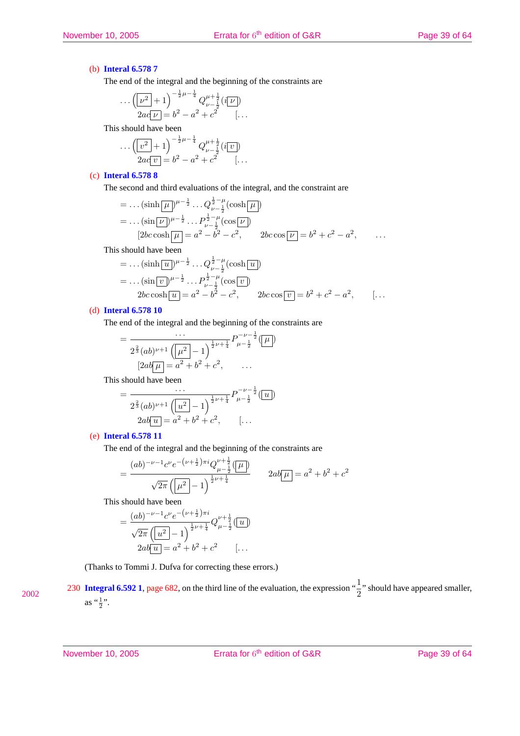## (b) **Interal 6.578 7**

The end of the integral and the beginning of the constraints are

$$
\cdots \left(\boxed{\nu^2} + 1\right)^{-\frac{1}{2}\mu - \frac{1}{4}} Q_{\nu - \frac{1}{2}}^{\mu + \frac{1}{2}} (i \boxed{\nu})
$$
  
2ac $\boxed{\nu} = b^2 - a^2 + c^2$  [...

This should have been

$$
\cdots \left(\boxed{v^2} + 1\right)^{-\frac{1}{2}\mu - \frac{1}{4}} Q_{\nu - \frac{1}{2}}^{\mu + \frac{1}{2}} (i \boxed{v})
$$
  
2*ac* $\boxed{v} = b^2 - a^2 + c^2$  [...

## (c) **Interal 6.578 8**

The second and third evaluations of the integral, and the constraint are

$$
= ... (\sinh \mu)^{\mu - \frac{1}{2}} ... Q_{\nu - \frac{1}{2}}^{\frac{1}{2} - \mu} (\cosh \mu)
$$
  
= ... (sin  $[\nu]^{\mu - \frac{1}{2}} ... P_{\nu - \frac{1}{2}}^{\frac{1}{2} - \mu} (\cos \nu)$   

$$
[2bc \cosh \mu] = a^2 - b^2 - c^2, \qquad 2bc \cos \nu = b^2 + c^2 - a^2, \qquad ...
$$

This should have been

$$
= ... (\sinh \boxed{u})^{\mu - \frac{1}{2}} ... Q_{\nu - \frac{1}{2}}^{\frac{1}{2} - \mu} (\cosh \boxed{u})
$$
  
\n
$$
= ... (\sin \boxed{v})^{\mu - \frac{1}{2}} ... P_{\nu - \frac{1}{2}}^{\frac{1}{2} - \mu} (\cos \boxed{v})
$$
  
\n
$$
2bc \cosh \boxed{u} = a^2 - b^2 - c^2, \qquad 2bc \cos \boxed{v} = b^2 + c^2 - a^2, \qquad [\dots
$$

## (d) **Interal 6.578 10**

The end of the integral and the beginning of the constraints are

$$
= \frac{\cdots}{2^{\frac{2}{3}}(ab)^{\nu+1}\left(\left[\mu^{2}\right]-1\right)^{\frac{1}{2}\nu+\frac{1}{4}}P_{\mu-\frac{1}{2}}^{-\nu-\frac{1}{2}}\left(\left[\mu\right]\right)} \tag{2ab \mu = a^{2} + b^{2} + c^{2}, \dots
$$

This should have been

$$
= \frac{\cdots}{2^{\frac{2}{3}}(ab)^{\nu+1}\left(\boxed{u^2}-1\right)^{\frac{1}{2}\nu+\frac{1}{4}}}P_{\mu-\frac{1}{2}}^{-\nu-\frac{1}{2}}(\boxed{u})
$$

$$
2ab\boxed{u} = a^2 + b^2 + c^2, \qquad [\dots]
$$

## (e) **Interal 6.578 11**

The end of the integral and the beginning of the constraints are

$$
= \frac{(ab)^{-\nu - 1}c^{\nu}e^{-\left(\nu + \frac{1}{2}\right)\pi i}Q_{\mu - \frac{1}{2}}^{\nu + \frac{1}{2}}(\mu)}{\sqrt{2\pi}\left(\mu^{2}\right) - 1\right)^{\frac{1}{2}\nu + \frac{1}{4}}}
$$
 2ab $\mu$  = a<sup>2</sup> + b<sup>2</sup> + c<sup>2</sup>  
This should have been  

$$
= \frac{(ab)^{-\nu - 1}c^{\nu}e^{-\left(\nu + \frac{1}{2}\right)\pi i}}{\sqrt{2\pi}\left(\left\lfloor u^{2}\right\rfloor - 1\right)^{\frac{1}{2}\nu + \frac{1}{4}}}Q_{\mu - \frac{1}{2}}^{\nu + \frac{1}{2}}(\left\lfloor u\right\rfloor)
$$
  
2ab $\boxed{u}$  = a<sup>2</sup> + b<sup>2</sup> + c<sup>2</sup> [...

(Thanks to Tommi J. Dufva for correcting these errors.)

230 **Integral 6.592 1**, page 682, on the third line of the evaluation, the expression  $\frac{1}{2}$  should have appeared smaller, as  $\frac{1}{2}$ ".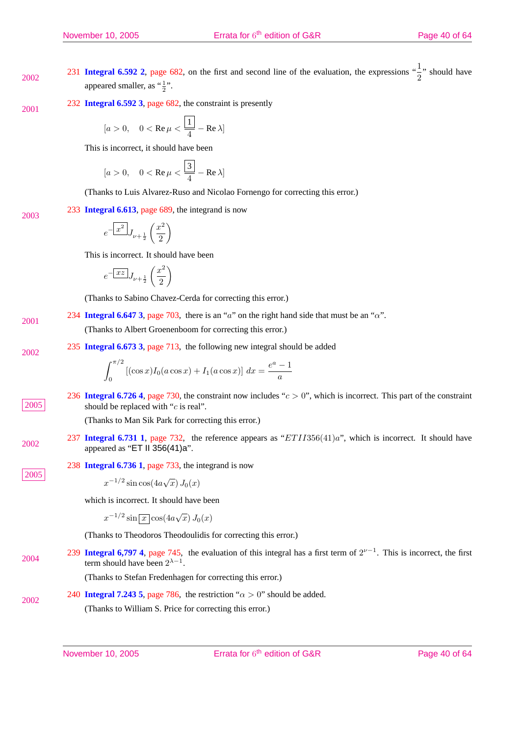2005

- 231 **Integral 6.592 2**, page 682, on the first and second line of the evaluation, the expressions  $\frac{1}{2}$  should have 2002 appeared smaller, as " $\frac{1}{2}$ ".
- 232 **Integral 6.592 3**, page 682, the constraint is presently 2001

$$
[a>0, \quad 0<\text{Re}\,\mu<\frac{\boxed{1}}{4}-\text{Re}\,\lambda]
$$

This is incorrect, it should have been

$$
[a>0, \quad 0 < \text{Re}\,\mu < \frac{\boxed{3}}{4} - \text{Re}\,\lambda]
$$

(Thanks to Luis Alvarez-Ruso and Nicolao Fornengo for correcting this error.)

233 **Integral 6.613**, page 689, the integrand is now

$$
e^{-\boxed{x^2}}J_{\nu+\frac{1}{2}}\left(\frac{x^2}{2}\right)
$$

This is incorrect. It should have been

$$
e^{-\boxed{xz}}J_{\nu+\frac{1}{2}}\left(\frac{x^2}{2}\right)
$$

(Thanks to Sabino Chavez-Cerda for correcting this error.)

- 234 **Integral 6.647 3**, page 703, there is an "a" on the right hand side that must be an " $\alpha$ ". 2001 (Thanks to Albert Groenenboom for correcting this error.)
- 235 **Integral 6.673 3**, page 713, the following new integral should be added 2002

$$
\int_0^{\pi/2} \left[ (\cos x) I_0(a \cos x) + I_1(a \cos x) \right] dx = \frac{e^a - 1}{a}
$$

236 **Integral 6.726 4**, page 730, the constraint now includes " $c > 0$ ", which is incorrect. This part of the constraint 2005 should be replaced with "c is real".

(Thanks to Man Sik Park for correcting this error.)

- 237 **Integral 6.731 1**, page 732, the reference appears as "ET II356(41)a", which is incorrect. It should have 2002  $2002$  appeared as "ET II 356(41)a".
	- 238 **Integral 6.736 1**, page 733, the integrand is now

 $x^{-1/2}$  sin cos $(4a\sqrt{x}) J_0(x)$ 

which is incorrect. It should have been

 $x^{-1/2}\sin\left[\overline{x}\right]\cos(4a\sqrt{x})J_0(x)$ 

(Thanks to Theodoros Theodoulidis for correcting this error.)

239 **Integral 6,797 4**, page 745, the evaluation of this integral has a first term of  $2^{\nu-1}$ . This is incorrect, the first 2004 term should have been  $2^{\lambda-1}$ .

(Thanks to Stefan Fredenhagen for correcting this error.)

240 **Integral 7.243 5**, page 786, the restriction " $\alpha > 0$ " should be added. 2002

(Thanks to William S. Price for correcting this error.)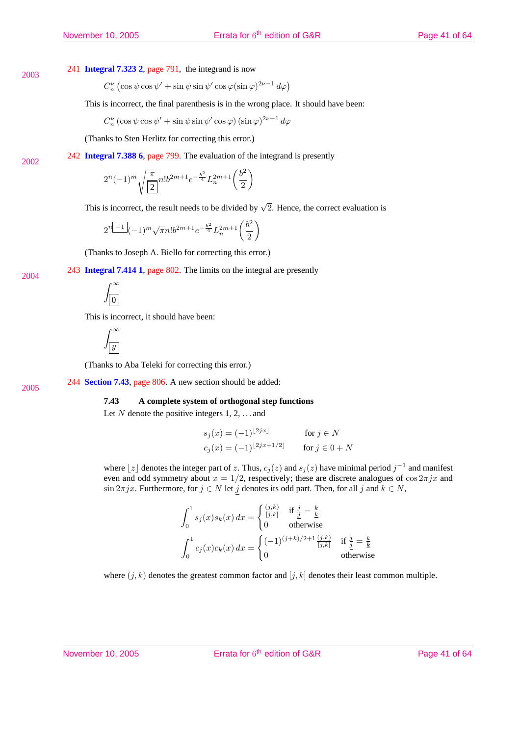## 241 **Integral 7.323 2**, page 791, the integrand is now

 $C_n^{\nu}$ ¡  $\cos \psi \cos \psi' + \sin \psi \sin \psi' \cos \varphi (\sin \varphi)^{2\nu - 1} d\varphi$ 

This is incorrect, the final parenthesis is in the wrong place. It should have been:

 $C_n^{\nu}(\cos\psi\cos\psi'+\sin\psi\sin\psi'\cos\varphi)(\sin\varphi)^{2\nu-1} d\varphi$ 

242 **Integral 7.388 6**, page 799. The evaluation of the integrand is presently

(Thanks to Sten Herlitz for correcting this error.)

2002

2003

$$
2^n(-1)^m\sqrt{\frac{\pi}{\left[2\right]}}n!b^{2m+1}e^{-\frac{b^2}{4}}L_n^{2m+1}\bigg(\frac{b^2}{2}\bigg)
$$

This is incorrect, the result needs to be divided by  $\sqrt{2}$ . Hence, the correct evaluation is

$$
2^{n\overline{[-1]}}(-1)^{m}\sqrt{\pi}n!b^{2m+1}e^{-\frac{b^{2}}{4}}L_{n}^{2m+1}\left(\frac{b^{2}}{2}\right)
$$

(Thanks to Joseph A. Biello for correcting this error.)

243 **Integral 7.414 1**, page 802. The limits on the integral are presently

2004

 $r^{\infty}$ 0

This is incorrect, it should have been:

 $r^{\infty}$  $\overline{y}$ 

(Thanks to Aba Teleki for correcting this error.)

244 **Section 7.43**, page 806. A new section should be added: 2005

## **7.43 A complete system of orthogonal step functions**

Let N denote the positive integers  $1, 2, \ldots$  and

$$
s_j(x) = (-1)^{\lfloor 2jx \rfloor} \quad \text{for } j \in N
$$
  

$$
c_j(x) = (-1)^{\lfloor 2jx + 1/2 \rfloor} \quad \text{for } j \in 0 + N
$$

where [z] denotes the integer part of z. Thus,  $c_j(z)$  and  $s_j(z)$  have minimal period  $j^{-1}$  and manifest even and odd symmetry about  $x = 1/2$ , respectively; these are discrete analogues of cos  $2\pi ix$  and  $\sin 2\pi jx$ . Furthermore, for  $j \in N$  let j denotes its odd part. Then, for all j and  $k \in N$ ,

$$
\int_0^1 s_j(x)s_k(x) dx = \begin{cases} \frac{(j,k)}{[j,k]} & \text{if } \frac{j}{2} = \frac{k}{k} \\ 0 & \text{otherwise} \end{cases}
$$
  

$$
\int_0^1 c_j(x)c_k(x) dx = \begin{cases} (-1)^{(j+k)/2+1} \frac{(j,k)}{[j,k]} & \text{if } \frac{j}{2} = \frac{k}{k} \\ 0 & \text{otherwise} \end{cases}
$$

where  $(j, k)$  denotes the greatest common factor and  $[j, k]$  denotes their least common multiple.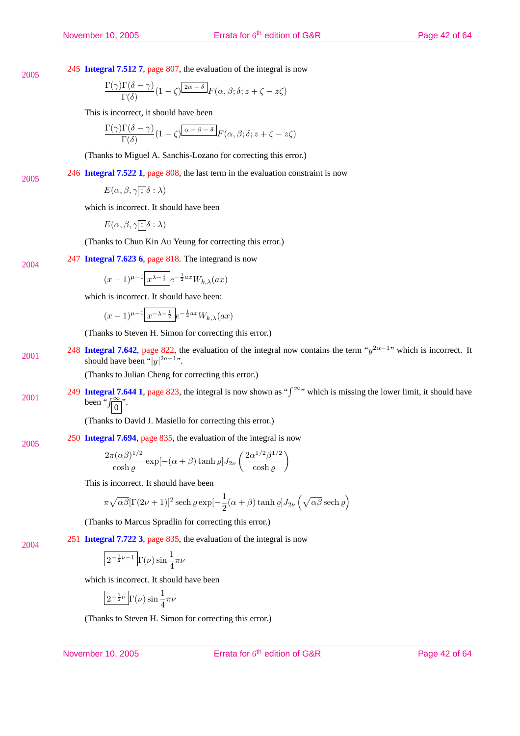245 **Integral 7.512 7**, page 807, the evaluation of the integral is now 2005

$$
\frac{\Gamma(\gamma)\Gamma(\delta-\gamma)}{\Gamma(\delta)}(1-\zeta)^{\boxed{2\alpha-\delta}}F(\alpha,\beta;\delta;z+\zeta-z\zeta)
$$

This is incorrect, it should have been

$$
\frac{\Gamma(\gamma)\Gamma(\delta-\gamma)}{\Gamma(\delta)}(1-\zeta)^{\alpha+\beta-\delta}F(\alpha,\beta;\delta;z+\zeta-z\zeta)
$$

(Thanks to Miguel A. Sanchis-Lozano for correcting this error.)

246 **Integral 7.522 1**, page 808, the last term in the evaluation constraint is now 2005

 $E(\alpha, \beta, \gamma; \delta : \lambda)$ 

which is incorrect. It should have been

$$
E(\alpha, \beta, \gamma : \delta : \lambda)
$$

(Thanks to Chun Kin Au Yeung for correcting this error.)

247 **Integral 7.623 6**, page 818. The integrand is now 2004

 $(x-1)^{\mu-1} \Big| x^{\lambda-\frac{1}{2}} \Big| e^{-\frac{1}{2}ax} W_{k,\lambda}(ax)$ 

which is incorrect. It should have been:

$$
(x-1)^{\mu-1} \overline{\left(x^{-\lambda-\frac{1}{2}}\right)} e^{-\frac{1}{2}ax} W_{k,\lambda}(ax)
$$

(Thanks to Steven H. Simon for correcting this error.)

248 **Integral 7.642**, page 822, the evaluation of the integral now contains the term " $y^{2\alpha-1}$ " which is incorrect. It 2001 should have been " $|y|^{2a-1}$ ".

(Thanks to Julian Cheng for correcting this error.)

249 **Integral 7.644 1**, page 823, the integral is now shown as " $\int^{\infty}$ " which is missing the lower limit, it should have 2001 been " $\int_{0}^{\infty}$ ".

(Thanks to David J. Masiello for correcting this error.)

250 **Integral 7.694**, page 835, the evaluation of the integral is now 2005

$$
\frac{2\pi(\alpha\beta)^{1/2}}{\cosh\varrho}\exp[-(\alpha+\beta)\tanh\varrho]J_{2\nu}\left(\frac{2\alpha^{1/2}\beta^{1/2}}{\cosh\varrho}\right)
$$

This is incorrect. It should have been

$$
\pi\sqrt{\alpha\beta}[\Gamma(2\nu+1)]^2\mathop{\rm sech}\nolimits\varrho\exp[-\frac{1}{2}(\alpha+\beta)\tanh\varrho]J_{2\nu}\left(\sqrt{\alpha\beta}\mathop{\rm sech}\nolimits\varrho\right)
$$

(Thanks to Marcus Spradlin for correcting this error.)

251 **Integral 7.722 3**, page 835, the evaluation of the integral is now 2004

$$
\boxed{2^{-\frac{1}{2}\nu-1}}\Gamma(\nu)\sin\frac{1}{4}\pi\nu
$$

which is incorrect. It should have been

$$
\boxed{2^{-\frac{1}{2}\nu}}\Gamma(\nu)\sin\frac{1}{4}\pi\nu
$$

(Thanks to Steven H. Simon for correcting this error.)

November 10, 2005

Errata for 6<sup>th</sup> edition of G&R Page 42 of 64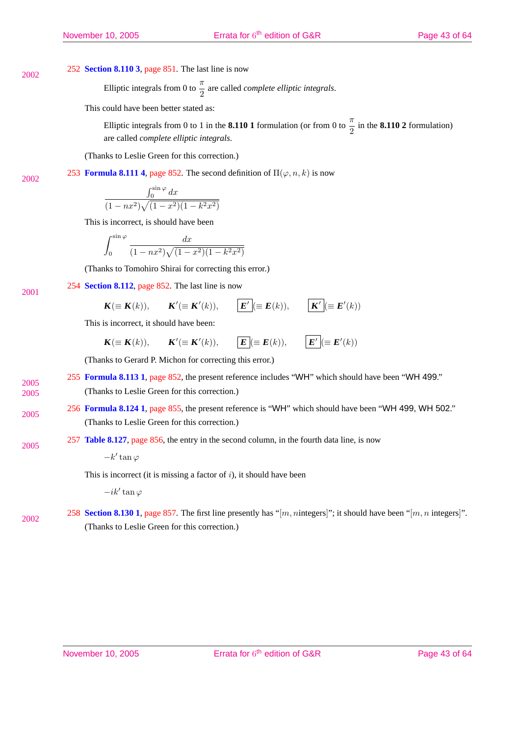2005

#### 252 **Section 8.110 3**, page 851. The last line is now 2002

Elliptic integrals from 0 to  $\frac{\pi}{2}$  are called *complete elliptic integrals*.

This could have been better stated as:

Elliptic integrals from 0 to 1 in the **8.110 1** formulation (or from 0 to  $\frac{\pi}{2}$  in the **8.110 2** formulation) are called *complete elliptic integrals*.

(Thanks to Leslie Green for this correction.)

253 **Formula 8.111 4**, page 852. The second definition of  $\Pi(\varphi, n, k)$  is now 2002

$$
\frac{\int_0^{\sin \varphi} dx}{(1 - nx^2)\sqrt{(1 - x^2)(1 - k^2x^2)}}
$$

This is incorrect, is should have been

$$
\int_0^{\sin \varphi} \frac{dx}{(1 - nx^2)\sqrt{(1 - x^2)(1 - k^2x^2)}}
$$

(Thanks to Tomohiro Shirai for correcting this error.)

254 **Section 8.112**, page 852. The last line is now

$$
\mathbf{K}(\equiv \mathbf{K}(k)), \qquad \mathbf{K}'(\equiv \mathbf{K}'(k)), \qquad \boxed{\mathbf{E}'}(\equiv \mathbf{E}(k)), \qquad \boxed{\mathbf{K}'}(\equiv \mathbf{E}'(k))
$$

This is incorrect, it should have been:

$$
\mathbf{K}(\equiv \mathbf{K}(k)), \qquad \mathbf{K}'(\equiv \mathbf{K}'(k)), \qquad \boxed{\mathbf{E}}(\equiv \mathbf{E}(k)), \qquad \boxed{\mathbf{E}'}(\equiv \mathbf{E}'(k))
$$

(Thanks to Gerard P. Michon for correcting this error.)

- 255 **Formula 8.113 1**, page 852, the present reference includes "WH" which should have been "WH 499." 2005 2005 (Thanks to Leslie Green for this correction.)
- 256 **Formula 8.124 1**, page 855, the present reference is "WH" which should have been "WH 499, WH 502." 2005 (Thanks to Leslie Green for this correction.)
	- 257 **Table 8.127**, page 856, the entry in the second column, in the fourth data line, is now

 $-k'$  tan  $\varphi$ 

This is incorrect (it is missing a factor of  $i$ ), it should have been

 $-ik'$  tan  $\varphi$ 

258 **Section 8.130 1**, page 857. The first line presently has "[m, nintegers]"; it should have been "[m, n integers]". 2002 (Thanks to Leslie Green for this correction.)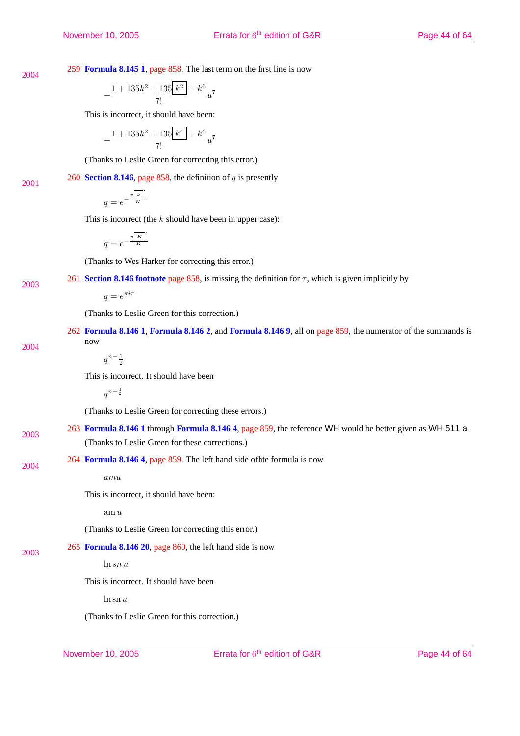259 **Formula 8.145 1**, page 858. The last term on the first line is now 2004

$$
-\frac{1+135k^2+135\boxed{k^2}+k^6}{7!}u^7
$$

This is incorrect, it should have been:

$$
-\frac{1+135k^2+135\boxed{k^4}+k^6}{7!}u^7
$$

(Thanks to Leslie Green for correcting this error.)

260 **Section 8.146**, page 858, the definition of  $q$  is presently 2001

$$
q = e^{-\frac{\pi\left\lceil k \right\rceil'}{K}}
$$

This is incorrect (the  $k$  should have been in upper case):

$$
q = e^{-\frac{\pi\left[K\right]'}{K}}
$$

(Thanks to Wes Harker for correcting this error.)

261 **Section 8.146 footnote** page 858, is missing the definition for  $\tau$ , which is given implicitly by 2003

$$
q = e^{\pi i \tau}
$$

(Thanks to Leslie Green for this correction.)

262 **Formula 8.146 1**, **Formula 8.146 2**, and **Formula 8.146 9**, all on page 859, the numerator of the summands is now

2004

 $q^{n-\frac{1}{2}}$ 

This is incorrect. It should have been

 $q^{n-\frac{1}{2}}$ 

(Thanks to Leslie Green for correcting these errors.)

- 263 **Formula 8.146 1** through **Formula 8.146 4**, page 859, the reference WH would be better given as WH 511 a. 2003 (Thanks to Leslie Green for these corrections.)
- 264 **Formula 8.146 4**, page 859. The left hand side ofhte formula is now 2004

amu

This is incorrect, it should have been:

am u

(Thanks to Leslie Green for correcting this error.)

```
265 Formula 8.146 20, page 860, the left hand side is now
2003
```
 $ln sn u$ 

This is incorrect. It should have been

 $\ln \operatorname{sn} u$ 

(Thanks to Leslie Green for this correction.)

November 10, 2005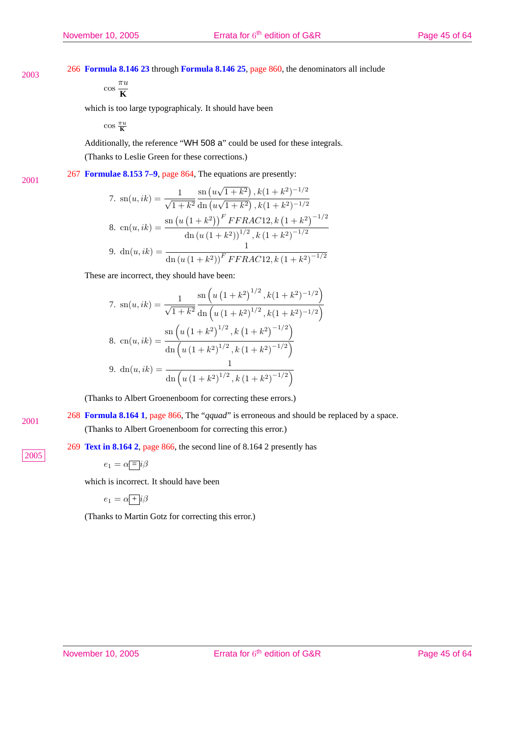266 **Formula 8.146 23** through **Formula 8.146 25**, page 860, the denominators all include

 $\cos \frac{\pi u}{L}$ **K**

which is too large typographicaly. It should have been

 $\cos \frac{\pi u}{\mathbf{K}}$ 

Additionally, the reference "WH 508 a" could be used for these integrals. (Thanks to Leslie Green for these corrections.)

267 **Formulae 8.153 7–9**, page 864, The equations are presently: 2001

7. sn(*u*, *ik*) = 
$$
\frac{1}{\sqrt{1+k^2}} \frac{\operatorname{sn} (u\sqrt{1+k^2}), k(1+k^2)^{-1/2}}{\operatorname{dn} (u\sqrt{1+k^2}), k(1+k^2)^{-1/2}}
$$
  
8. cn(*u*, *ik*) = 
$$
\frac{\operatorname{sn} (u (1+k^2))^F FFRAC12, k (1+k^2)^{-1/2}}{\operatorname{dn} (u (1+k^2))^{1/2}, k (1+k^2)^{-1/2}}
$$
  
9. dn(*u*, *ik*) = 
$$
\frac{1}{\operatorname{dn} (u (1+k^2))^F FFRAC12, k (1+k^2)^{-1/2}}
$$

These are incorrect, they should have been:

7. sn(*u*, *ik*) = 
$$
\frac{1}{\sqrt{1+k^2}} \frac{\operatorname{sn} (u (1+k^2)^{1/2}, k(1+k^2)^{-1/2})}{\operatorname{dn} (u (1+k^2)^{1/2}, k(1+k^2)^{-1/2})}
$$
  
8. cn(*u*, *ik*) = 
$$
\frac{\operatorname{sn} (u (1+k^2)^{1/2}, k (1+k^2)^{-1/2})}{\operatorname{dn} (u (1+k^2)^{1/2}, k (1+k^2)^{-1/2})}
$$
  
9. dn(*u*, *ik*) = 
$$
\frac{1}{\operatorname{dn} (u (1+k^2)^{1/2}, k (1+k^2)^{-1/2})}
$$

(Thanks to Albert Groenenboom for correcting these errors.)

268 **Formula 8.164 1**, page 866, The "*qquad*" is erroneous and should be replaced by a space. (Thanks to Albert Groenenboom for correcting this error.)

269 **Text in 8.164 2**, page 866, the second line of 8.164 2 presently has

$$
e_1=\alpha \textcolor{blue}{\equiv} i\beta
$$

which is incorrect. It should have been

$$
e_1=\alpha \boxed{+} i\beta
$$

(Thanks to Martin Gotz for correcting this error.)

2005

2001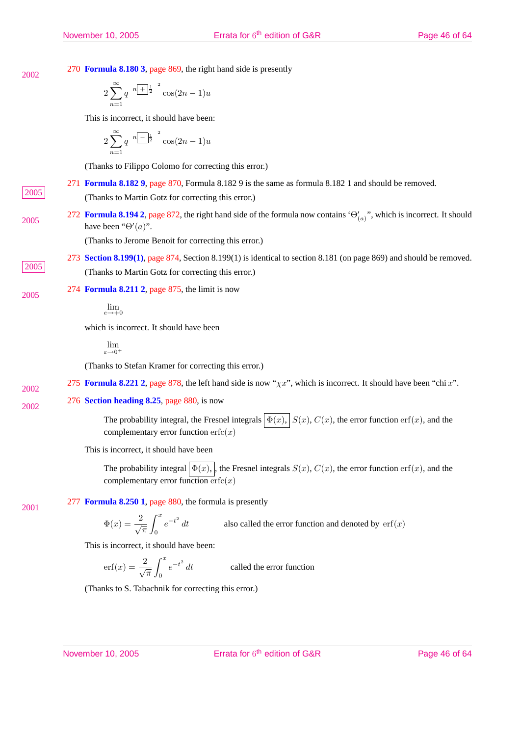270 **Formula 8.180 3**, page 869, the right hand side is presently 2002

$$
2\sum_{n=1}^{\infty} q^{-n\sqrt{1+2}} \Big|^{2} \cos(2n-1)u
$$

This is incorrect, it should have been:

$$
2\sum_{n=1}^{\infty} q^{-n\sqrt{1-\frac{1}{2}}} \cos((2n-1)u)
$$

(Thanks to Filippo Colomo for correcting this error.)

271 **Formula 8.182 9**, page 870, Formula 8.182 9 is the same as formula 8.182 1 and should be removed.

<sup>2005</sup> (Thanks to Martin Gotz for correcting this error.)

272 **Formula 8.194 2**, page 872, the right hand side of the formula now contains ' $\Theta'_{(a)}$ ", which is incorrect. It should 2005  $\qquad \qquad \text{have been "Θ'(a)".}$ 

(Thanks to Jerome Benoit for correcting this error.)

273 **Section 8.199(1)**, page 874, Section 8.199(1) is identical to section 8.181 (on page 869) and should be removed. <sup>2005</sup> (Thanks to Martin Gotz for correcting this error.)

274 **Formula 8.211 2**, page 875, the limit is now

 $\lim_{e \to +0}$ 

which is incorrect. It should have been

lim  $\epsilon \rightarrow 0$ 

(Thanks to Stefan Kramer for correcting this error.)

275 **Formula 8.221 2**, page 878, the left hand side is now " $\chi x$ ", which is incorrect. It should have been "chi x". 2002

276 **Section heading 8.25**, page 880, is now 2002

> The probability integral, the Fresnel integrals  $|\Phi(x), S(x), C(x)|$ , the error function erf(x), and the complementary error function  $erfc(x)$

This is incorrect, it should have been

The probability integral  $\Phi(x)$ , the Fresnel integrals  $S(x)$ ,  $C(x)$ , the error function erf(x), and the complementary error function  $erfc(x)$ 

277 **Formula 8.250 1**, page 880, the formula is presently

$$
\Phi(x) = \frac{2}{\sqrt{\pi}} \int_0^x e^{-t^2} dt
$$
 also called the error function and denoted by erf(x)

This is incorrect, it should have been:

$$
\operatorname{erf}(x) = \frac{2}{\sqrt{\pi}} \int_0^x e^{-t^2} dt
$$
 called the error function

(Thanks to S. Tabachnik for correcting this error.)

November 10, 2005

2005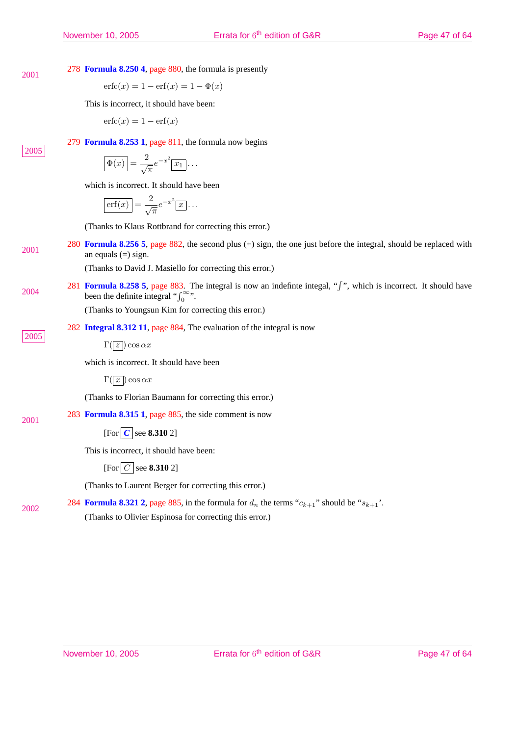278 **Formula 8.250 4**, page 880, the formula is presently

$$
erfc(x) = 1 - erf(x) = 1 - \Phi(x)
$$

This is incorrect, it should have been:

$$
erfc(x) = 1 - erf(x)
$$

279 **Formula 8.253 1**, page 811, the formula now begins

$$
\boxed{\Phi(x)} = \frac{2}{\sqrt{\pi}} e^{-x^2} \boxed{x_1} \dots
$$

which is incorrect. It should have been

$$
\boxed{\text{erf}(x)} = \frac{2}{\sqrt{\pi}} e^{-x^2} \boxed{x} \dots
$$

(Thanks to Klaus Rottbrand for correcting this error.)

280 **Formula 8.256 5**, page 882, the second plus (+) sign, the one just before the integral, should be replaced with  $2001$  an equals (=) sign.

(Thanks to David J. Masiello for correcting this error.)

281 **Formula 8.258 5**, page 883. The integral is now an indefinte integal, "*f*", which is incorrect. It should have 2004 <sup>281</sup> **Formula 8.258 5,** page 883. 1<br>been the definite integral " $\int_0^{\infty}$ ".

(Thanks to Youngsun Kim for correcting this error.)

282 **Integral 8.312 11**, page 884, The evaluation of the integral is now

 $\Gamma(\overline{z})$  cos  $\alpha x$ 

which is incorrect. It should have been

 $\Gamma(\overline{x})$  cos  $\alpha x$ 

(Thanks to Florian Baumann for correcting this error.)

283 **Formula 8.315 1**, page 885, the side comment is now 2001

```
[For <b>C</b> ] see 8.310 2]
```
This is incorrect, it should have been:

[For  $\boxed{C}$  see **8.310** 2]

(Thanks to Laurent Berger for correcting this error.)

284 **Formula 8.321 2**, page 885, in the formula for  $d_n$  the terms " $c_{k+1}$ " should be " $s_{k+1}$ ". 2002 (Thanks to Olivier Espinosa for correcting this error.)

2001

2005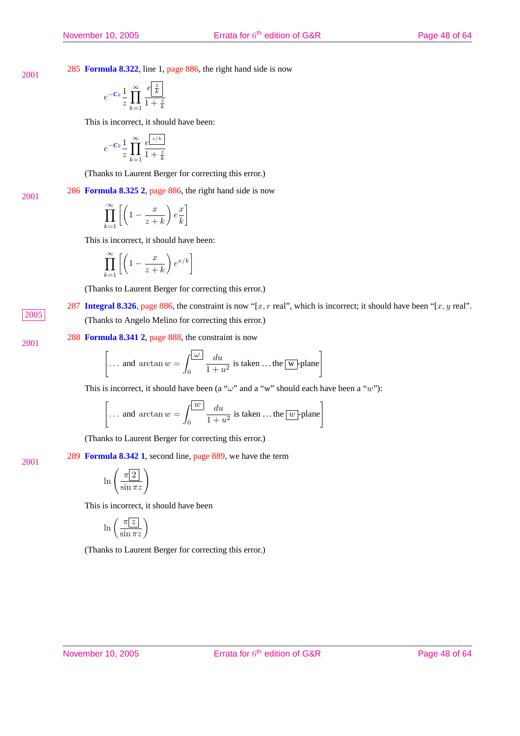285 **Formula 8.322**, line 1, page 886, the right hand side is now

$$
e^{-Cz}\frac{1}{z}\prod_{k=1}^{\infty}\frac{e\Big[\frac{z}{k}\Big]}{1+\frac{z}{k}}
$$

This is incorrect, it should have been:

$$
e^{-Cz}\frac{1}{z}\prod_{k=1}^{\infty}\frac{e^{\boxed{z/k}}}{1+\frac{z}{k}}
$$

(Thanks to Laurent Berger for correcting this error.)

286 **Formula 8.325 2**, page 886, the right hand side is now

$$
\prod_{k=1}^{\infty} \left[ \left( 1 - \frac{x}{z+k} \right) e \frac{x}{k} \right]
$$

This is incorrect, it should have been:

$$
\prod_{k=1}^{\infty} \left[ \left( 1 - \frac{x}{z+k} \right) e^{x/k} \right]
$$

(Thanks to Laurent Berger for correcting this error.)

287 **Integral 8.326**, page 886, the constraint is now "[x, r real", which is incorrect; it should have been "[x, y real". <sup>2005</sup> (Thanks to Angelo Melino for correcting this error.)

288 **Formula 8.341 2**, page 888, the constraint is now

$$
\left[\dots \text{ and } \arctan w = \int_0^{\boxed{\omega}} \frac{du}{1+u^2} \text{ is taken } \dots \text{ the } \boxed{w} \text{-plane} \right]
$$

This is incorrect, it should have been (a " $\omega$ " and a "w" should each have been a "w"):

$$
\left[\dots \text{ and } \arctan w = \int_0^{\boxed{w}} \frac{du}{1+u^2} \text{ is taken } \dots \text{ the } \boxed{w} \text{-plane} \right]
$$

(Thanks to Laurent Berger for correcting this error.)

289 **Formula 8.342 1**, second line, page 889, we have the term

$$
\ln\left(\frac{\pi\boxed{2}}{\sin \pi z}\right)
$$

This is incorrect, it should have been

$$
\ln\left(\frac{\pi\boxed{z}}{\sin\pi z}\right)
$$

(Thanks to Laurent Berger for correcting this error.)

November 10, 2005

2001

2001

2001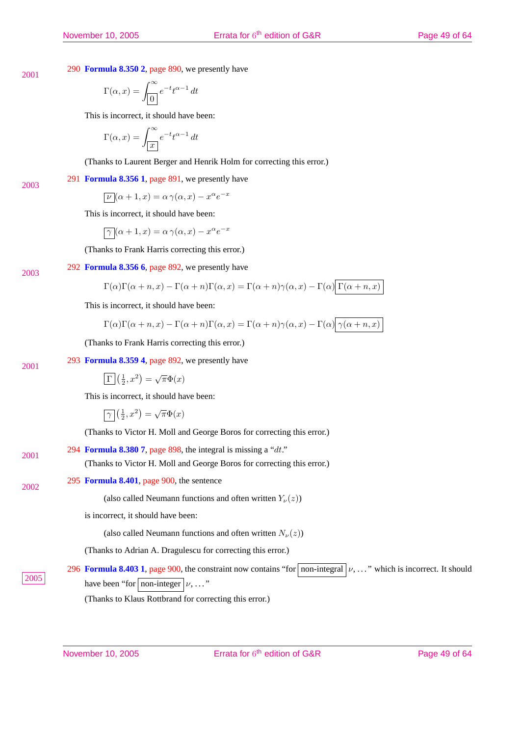290 **Formula 8.350 2**, page 890, we presently have

$$
\Gamma(\alpha, x) = \int_{\boxed{0}}^{\infty} e^{-t} t^{\alpha - 1} dt
$$

This is incorrect, it should have been:

$$
\Gamma(\alpha, x) = \int_{\boxed{x}}^{\infty} e^{-t} t^{\alpha - 1} dt
$$

(Thanks to Laurent Berger and Henrik Holm for correcting this error.)

291 **Formula 8.356 1**, page 891, we presently have

 $\overline{\nu}$   $(\alpha + 1, x) = \alpha \gamma(\alpha, x) - x^{\alpha} e^{-x}$ 

This is incorrect, it should have been:

$$
\boxed{\gamma}(\alpha+1,x) = \alpha \, \gamma(\alpha,x) - x^{\alpha} e^{-x}
$$

(Thanks to Frank Harris correcting this error.)

292 **Formula 8.356 6**, page 892, we presently have

$$
\Gamma(\alpha)\Gamma(\alpha+n,x)-\Gamma(\alpha+n)\Gamma(\alpha,x)=\Gamma(\alpha+n)\gamma(\alpha,x)-\Gamma(\alpha)\Big|\,\Gamma(\alpha+n,x)
$$

This is incorrect, it should have been:

$$
\Gamma(\alpha)\Gamma(\alpha+n,x) - \Gamma(\alpha+n)\Gamma(\alpha,x) = \Gamma(\alpha+n)\gamma(\alpha,x) - \Gamma(\alpha)\gamma(\alpha+n,x)
$$

(Thanks to Frank Harris correcting this error.)

#### 293 **Formula 8.359 4**, page 892, we presently have 2001

$$
\boxed{\Gamma}(\frac{1}{2},x^2) = \sqrt{\pi}\Phi(x)
$$

This is incorrect, it should have been:

$$
\boxed{\gamma}\left(\frac{1}{2},x^2\right) = \sqrt{\pi}\Phi(x)
$$

(Thanks to Victor H. Moll and George Boros for correcting this error.)

| 2001 | 294 Formula 8.380 7, page 898, the integral is missing a " $dt$ ." |
|------|--------------------------------------------------------------------|
|      |                                                                    |

(Thanks to Victor H. Moll and George Boros for correcting this error.)

#### 295 **Formula 8.401**, page 900, the sentence 2002

(also called Neumann functions and often written  $Y_{\nu}(z)$ )

is incorrect, it should have been:

(also called Neumann functions and often written  $N_{\nu}(z)$ )

(Thanks to Adrian A. Dragulescu for correcting this error.)

296 **Formula 8.403 1**, page 900, the constraint now contains "for non-integral  $|\nu, \ldots$ " which is incorrect. It should  $\frac{2005}{\text{have been "for} \, \text{non-integer}} \, \nu, \ldots$ "

(Thanks to Klaus Rottbrand for correcting this error.)

2003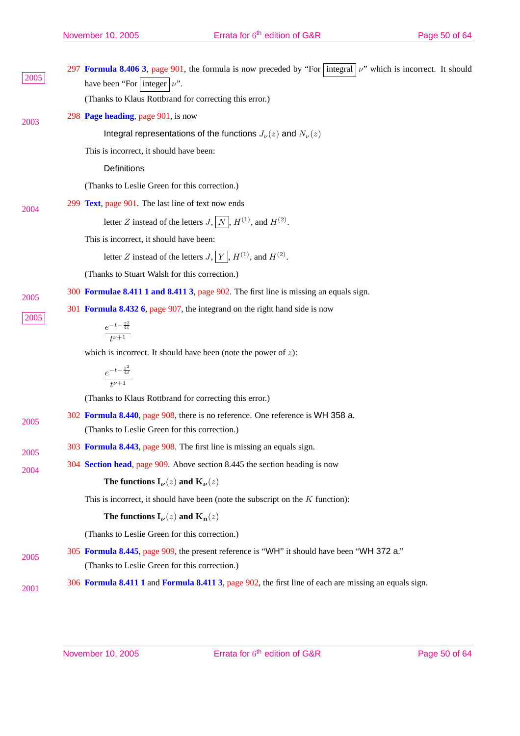| 2005 | 297 Formula 8.406 3, page 901, the formula is now preceded by "For integral $\nu$ " which is incorrect. It should<br>have been "For integer $ \nu$ ". |
|------|-------------------------------------------------------------------------------------------------------------------------------------------------------|
|      | (Thanks to Klaus Rottbrand for correcting this error.)                                                                                                |
| 2003 | 298 Page heading, page 901, is now                                                                                                                    |
|      | Integral representations of the functions $J_{\nu}(z)$ and $N_{\nu}(z)$                                                                               |
|      | This is incorrect, it should have been:                                                                                                               |
|      | Definitions                                                                                                                                           |
|      | (Thanks to Leslie Green for this correction.)                                                                                                         |
| 2004 | 299 Text, page 901. The last line of text now ends                                                                                                    |
|      | letter Z instead of the letters $J$ , $\boxed{N}$ , $H^{(1)}$ , and $H^{(2)}$ .                                                                       |
|      | This is incorrect, it should have been:                                                                                                               |
|      | letter Z instead of the letters $J$ , $\boxed{Y}$ , $H^{(1)}$ , and $H^{(2)}$ .                                                                       |
|      | (Thanks to Stuart Walsh for this correction.)                                                                                                         |
| 2005 | 300 Formulae 8.411 1 and 8.411 3, page 902. The first line is missing an equals sign.                                                                 |
|      | 301 Formula 8.432 6, page 907, the integrand on the right hand side is now                                                                            |
| 2005 | $\frac{e^{-t-\frac{z2}{4t}}}{t^{\nu+1}}$                                                                                                              |
|      | which is incorrect. It should have been (note the power of $z$ ):                                                                                     |
|      | $\frac{e^{-t-\frac{z^2}{4t}}}{t^{\nu+1}}$                                                                                                             |
|      | (Thanks to Klaus Rottbrand for correcting this error.)                                                                                                |
| 2005 | 302 Formula 8.440, page 908, there is no reference. One reference is WH 358 a.<br>(Thanks to Leslie Green for this correction.)                       |
| 2005 | 303 Formula 8.443, page 908. The first line is missing an equals sign.                                                                                |
| 2004 | 304 Section head, page 909. Above section 8.445 the section heading is now                                                                            |
|      | The functions $\mathbf{I}_{\nu}(z)$ and $\mathbf{K}_{\nu}(z)$                                                                                         |
|      | This is incorrect, it should have been (note the subscript on the $K$ function):                                                                      |
|      | The functions $I_{\nu}(z)$ and $K_{\nu}(z)$                                                                                                           |
|      | (Thanks to Leslie Green for this correction.)                                                                                                         |
| 2005 | 305 Formula 8.445, page 909, the present reference is "WH" it should have been "WH 372 a."                                                            |
|      | (Thanks to Leslie Green for this correction.)                                                                                                         |
| 2001 | 306 Formula 8.411 1 and Formula 8.411 3, page 902, the first line of each are missing an equals sign.                                                 |
|      |                                                                                                                                                       |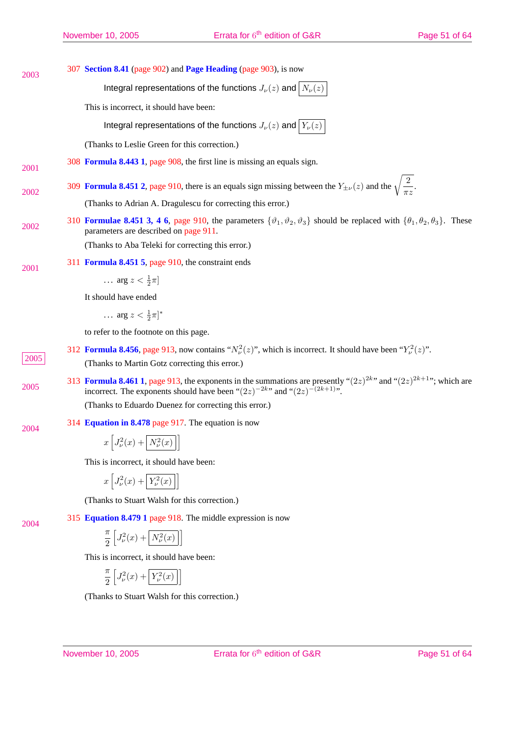| 307 Section 8.41 (page 902) and Page Heading (page 903), is now                                                                                                                                                     |
|---------------------------------------------------------------------------------------------------------------------------------------------------------------------------------------------------------------------|
| Integral representations of the functions $J_{\nu}(z)$ and $\big N_{\nu}(z)\big $                                                                                                                                   |
| This is incorrect, it should have been:                                                                                                                                                                             |
| Integral representations of the functions $J_{\nu}(z)$ and $Y_{\nu}(z)$                                                                                                                                             |
| (Thanks to Leslie Green for this correction.)                                                                                                                                                                       |
| 308 Formula 8.443 1, page 908, the first line is missing an equals sign.                                                                                                                                            |
| 309 <b>Formula 8.451 2,</b> page 910, there is an equals sign missing between the $Y_{\pm \nu}(z)$ and the $\sqrt{\frac{2}{\pi z}}$ .                                                                               |
| (Thanks to Adrian A. Dragulescu for correcting this error.)                                                                                                                                                         |
| 310 <b>Formulae 8.451 3, 4 6</b> , page 910, the parameters $\{\vartheta_1, \vartheta_2, \vartheta_3\}$ should be replaced with $\{\theta_1, \theta_2, \theta_3\}$ . These<br>parameters are described on page 911. |
| (Thanks to Aba Teleki for correcting this error.)                                                                                                                                                                   |
| 311 Formula 8.451 5, page 910, the constraint ends                                                                                                                                                                  |
| $\ldots$ arg $z < \frac{1}{2}\pi$                                                                                                                                                                                   |
| It should have ended                                                                                                                                                                                                |
| arg $z < \frac{1}{2}\pi$ <sup>*</sup>                                                                                                                                                                               |
| to refer to the footnote on this page.                                                                                                                                                                              |
| 312 Formula 8.456, page 913, now contains " $N_{\nu}^2(z)$ ", which is incorrect. It should have been " $Y_{\nu}^2(z)$ ".<br>(Thanks to Martin Gotz correcting this error.)                                         |
| 313 Formula 8.461 1, page 913, the exponents in the summations are presently " $(2z)^{2k}$ " and " $(2z)^{2k+1}$ "; which are incorrect. The exponents should have been " $(2z)^{-2k}$ " and " $(2z)^{-(2k+1)}$ ".  |
| (Thanks to Eduardo Duenez for correcting this error.)                                                                                                                                                               |
| 314 Equation in 8.478 page 917. The equation is now                                                                                                                                                                 |
| $x\left[J_{\nu}^{2}(x)+\left[N_{\nu}^{2}(x)\right]\right]$                                                                                                                                                          |
| This is incorrect, it should have been:                                                                                                                                                                             |
| $x   J_{\nu}^{2}(x) +   Y_{\nu}^{2}(x)    $                                                                                                                                                                         |
| (Thanks to Stuart Walsh for this correction.)                                                                                                                                                                       |
| 315 Equation 8.479 1 page 918. The middle expression is now                                                                                                                                                         |
| $\frac{\pi}{2}  J_{\nu}^{2}(x) +  N_{\nu}^{2}(x) $                                                                                                                                                                  |
| This is incorrect, it should have been:                                                                                                                                                                             |
| $\frac{\pi}{2}  J_{\nu}^{2}(x)+ Y_{\nu}^{2}(x)  $                                                                                                                                                                   |
| (Thanks to Stuart Walsh for this correction.)                                                                                                                                                                       |
|                                                                                                                                                                                                                     |
|                                                                                                                                                                                                                     |
| Errata for $6th$ edition of G&R<br>November 10, 2005<br>Page 51 of 64                                                                                                                                               |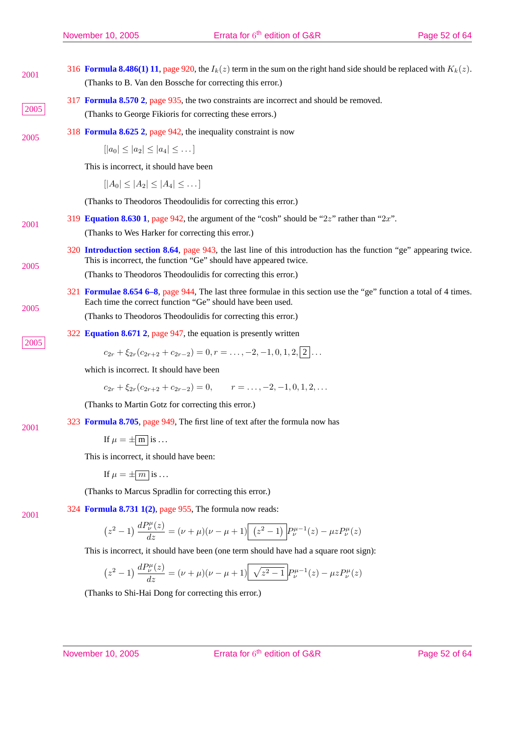|      | 316 Formula 8.486(1) 11, page 920, the $I_k(z)$ term in the sum on the right hand side should be replaced with $K_k(z)$ .                                                              |
|------|----------------------------------------------------------------------------------------------------------------------------------------------------------------------------------------|
| 2001 | (Thanks to B. Van den Bossche for correcting this error.)                                                                                                                              |
|      | 317 Formula 8.570 2, page 935, the two constraints are incorrect and should be removed.                                                                                                |
| 2005 | (Thanks to George Fikioris for correcting these errors.)                                                                                                                               |
| 2005 | 318 Formula 8.625 2, page 942, the inequality constraint is now                                                                                                                        |
|      | $ a_0  \leq  a_2  \leq  a_4  \leq \ldots$                                                                                                                                              |
|      | This is incorrect, it should have been                                                                                                                                                 |
|      | $ A_0  \leq  A_2  \leq  A_4  \leq \ldots$                                                                                                                                              |
|      | (Thanks to Theodoros Theodoulidis for correcting this error.)                                                                                                                          |
| 2001 | 319 Equation 8.630 1, page 942, the argument of the "cosh" should be " $2z$ " rather than " $2x$ ".                                                                                    |
|      | (Thanks to Wes Harker for correcting this error.)                                                                                                                                      |
|      | 320 Introduction section 8.64, page 943, the last line of this introduction has the function "ge" appearing twice.<br>This is incorrect, the function "Ge" should have appeared twice. |
| 2005 | (Thanks to Theodoros Theodoulidis for correcting this error.)                                                                                                                          |
| 2005 | 321 Formulae 8.654 6-8, page 944, The last three formulae in this section use the "ge" function a total of 4 times.<br>Each time the correct function "Ge" should have been used.      |
|      | (Thanks to Theodoros Theodoulidis for correcting this error.)                                                                                                                          |
| 2005 | 322 Equation 8.671 2, page 947, the equation is presently written                                                                                                                      |
|      | $c_{2r} + \xi_{2r}(c_{2r+2} + c_{2r-2}) = 0, r = \ldots, -2, -1, 0, 1, 2, \boxed{2} \ldots$                                                                                            |
|      | which is incorrect. It should have been                                                                                                                                                |
|      | $c_{2r} + \xi_{2r}(c_{2r+2} + c_{2r-2}) = 0,$ $r = \ldots, -2, -1, 0, 1, 2, \ldots$                                                                                                    |
|      | (Thanks to Martin Gotz for correcting this error.)                                                                                                                                     |
| 2001 | 323 Formula 8.705, page 949, The first line of text after the formula now has                                                                                                          |
|      | If $\mu = \pm  m $ is                                                                                                                                                                  |
|      | This is incorrect, it should have been:                                                                                                                                                |
|      | If $\mu = \pm \boxed{m}$ is                                                                                                                                                            |
|      | (Thanks to Marcus Spradlin for correcting this error.)                                                                                                                                 |
| 2001 | 324 Formula 8.731 $1(2)$ , page 955, The formula now reads:                                                                                                                            |
|      | $(z^2-1)\frac{dP_{\nu}^{\mu}(z)}{dz} = (\nu+\mu)(\nu-\mu+1)\sqrt{(z^2-1)}P_{\nu}^{\mu-1}(z) - \mu z P_{\nu}^{\mu}(z)$                                                                  |
|      | This is incorrect, it should have been (one term should have had a square root sign):                                                                                                  |
|      | $(z^2-1)\frac{dP^{\mu}_{\nu}(z)}{dz} = (\nu+\mu)(\nu-\mu+1)\sqrt{z^2-1}P^{\mu-1}_{\nu}(z) - \mu z P^{\mu}_{\nu}(z)$                                                                    |
|      | (Thanks to Shi-Hai Dong for correcting this error.)                                                                                                                                    |
|      |                                                                                                                                                                                        |
|      |                                                                                                                                                                                        |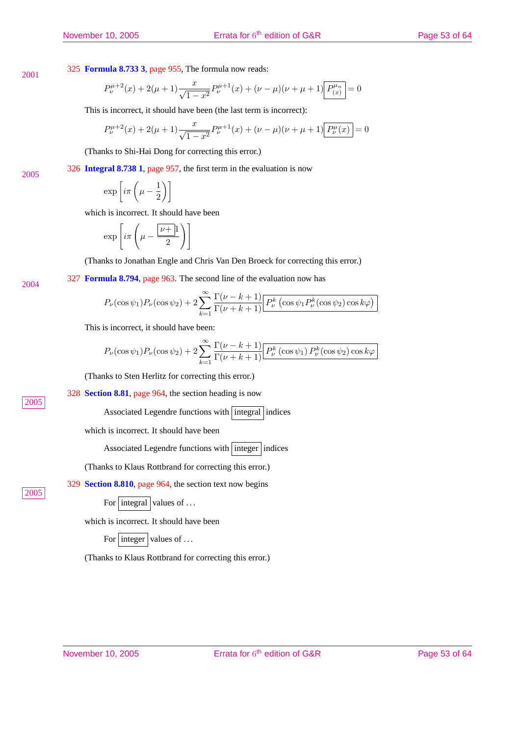325 **Formula 8.733 3**, page 955, The formula now reads:

$$
P_{\nu}^{\mu+2}(x)+2(\mu+1)\frac{x}{\sqrt{1-x^2}}P_{\nu}^{\mu+1}(x)+(\nu-\mu)(\nu+\mu+1)\boxed{P_{(x)}^{\mu_n}}=0
$$

This is incorrect, it should have been (the last term is incorrect):

$$
P^{\mu+2}_\nu(x)+2(\mu+1)\frac{x}{\sqrt{1-x^2}}P^{\mu+1}_\nu(x)+(\nu-\mu)(\nu+\mu+1)\boxed{P^\mu_\nu(x)}=0
$$

(Thanks to Shi-Hai Dong for correcting this error.)

326 **Integral 8.738 1**, page 957, the first term in the evaluation is now

$$
\exp\left[i\pi\left(\mu-\frac{1}{2}\right)\right]
$$

which is incorrect. It should have been

$$
\exp\left[i\pi\left(\mu-\frac{\boxed{\nu+}]1}{2}\right)\right]
$$

(Thanks to Jonathan Engle and Chris Van Den Broeck for correcting this error.)

327 **Formula 8.794**, page 963. The second line of the evaluation now has

$$
P_{\nu}(\cos\psi_1)P_{\nu}(\cos\psi_2) + 2\sum_{k=1}^{\infty} \frac{\Gamma(\nu - k + 1)}{\Gamma(\nu + k + 1)} \boxed{P_{\nu}^k \left(\cos\psi_1 P_{\nu}^k(\cos\psi_2)\cos k\varphi\right)}
$$

This is incorrect, it should have been:

$$
P_{\nu}(\cos\psi_1)P_{\nu}(\cos\psi_2) + 2\sum_{k=1}^{\infty} \frac{\Gamma(\nu - k + 1)}{\Gamma(\nu + k + 1)} \boxed{P_{\nu}^k(\cos\psi_1) P_{\nu}^k(\cos\psi_2)\cos k\varphi}
$$

(Thanks to Sten Herlitz for correcting this error.)

328 **Section 8.81**, page 964, the section heading is now

Associated Legendre functions with integral indices

which is incorrect. It should have been

Associated Legendre functions with integer indices

(Thanks to Klaus Rottbrand for correcting this error.)

329 **Section 8.810**, page 964, the section text now begins

For integral values of  $\dots$ 

which is incorrect. It should have been

For integer values of ...

(Thanks to Klaus Rottbrand for correcting this error.)

2005

2005

2005

2004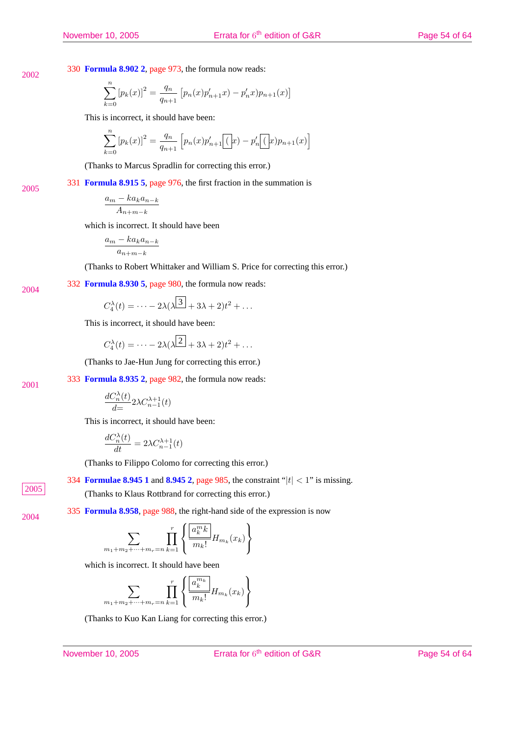330 **Formula 8.902 2**, page 973, the formula now reads: 2002

$$
\sum_{k=0}^{n} [p_k(x)]^2 = \frac{q_n}{q_{n+1}} [p_n(x)p'_{n+1}x - p'_nx)p_{n+1}(x)]
$$

This is incorrect, it should have been:

$$
\sum_{k=0}^{n} [p_k(x)]^2 = \frac{q_n}{q_{n+1}} \left[ p_n(x) p'_{n+1} \right] \left[ x \right] - p'_n \left[ x \right] p_{n+1}(x) \right]
$$

(Thanks to Marcus Spradlin for correcting this error.)

331 **Formula 8.915 5**, page 976, the first fraction in the summation is 2005

$$
\frac{a_m - ka_k a_{n-k}}{A_{n+m-k}}
$$

which is incorrect. It should have been

$$
\frac{a_m - ka_k a_{n-k}}{a_{n+m-k}}
$$

(Thanks to Robert Whittaker and William S. Price for correcting this error.)

332 **Formula 8.930 5**, page 980, the formula now reads:

$$
C_4^{\lambda}(t) = \cdots - 2\lambda(\lambda)^{\boxed{3}} + 3\lambda + 2t^2 + \ldots
$$

This is incorrect, it should have been:

$$
C_4^{\lambda}(t) = \cdots - 2\lambda(\lambda^{2} + 3\lambda + 2)t^2 + \dots
$$

(Thanks to Jae-Hun Jung for correcting this error.)

333 **Formula 8.935 2**, page 982, the formula now reads:

$$
\frac{dC_n^\lambda(t)}{d=}2\lambda C_{n-1}^{\lambda+1}(t)
$$

This is incorrect, it should have been:

$$
\frac{dC_n^\lambda(t)}{dt}=2\lambda C_{n-1}^{\lambda+1}(t)
$$

(Thanks to Filippo Colomo for correcting this error.)

334 **Formulae 8.945 1** and 8.945 2, page 985, the constraint " $|t| < 1$ " is missing.

<sup>2005</sup> (Thanks to Klaus Rottbrand for correcting this error.)

2004

2004

2001

335 **Formula 8.958**, page 988, the right-hand side of the expression is now 
$$
\sqrt{ }
$$

$$
\sum_{m_1+m_2+\cdots+m_r=n} \prod_{k=1}^r \left\{ \frac{\left| a_k^m k \right|}{m_k!} H_{m_k}(x_k) \right\}
$$

which is incorrect. It should have been

$$
\sum_{m_1+m_2+\cdots+m_r=n}\prod_{k=1}^r\left\{\frac{a_k^{m_k}}{m_k!}H_{m_k}(x_k)\right\}
$$

(Thanks to Kuo Kan Liang for correcting this error.)

November 10, 2005

Errata for 6<sup>th</sup> edition of G&R Page 54 of 64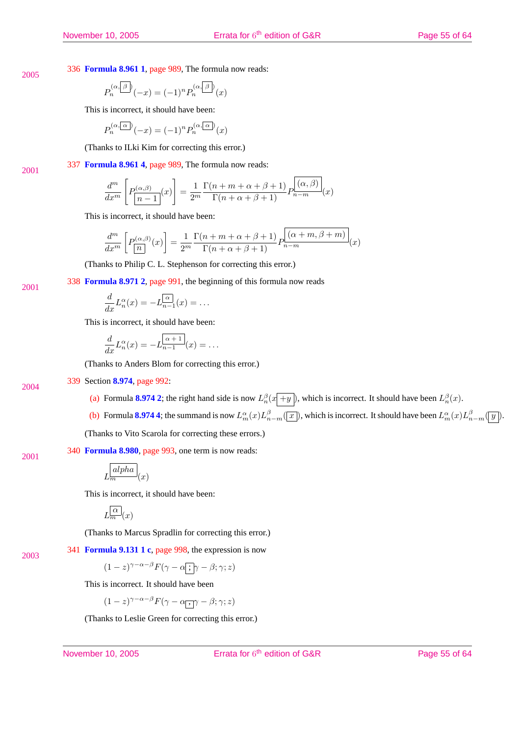336 **Formula 8.961 1**, page 989, The formula now reads:

$$
P_n^{(\alpha,\boxed{\beta})}(-x) = (-1)^n P_n^{(\alpha,\boxed{\beta})}(x)
$$

This is incorrect, it should have been:

$$
P_n^{(\alpha,\alpha)}(-x) = (-1)^n P_n^{(\alpha,\alpha)}(x)
$$

(Thanks to ILki Kim for correcting this error.)

337 **Formula 8.961 4**, page 989, The formula now reads:

$$
\frac{d^m}{dx^m} \left[ P_{\boxed{n-1}}^{(\alpha,\beta)}(x) \right] = \frac{1}{2^m} \frac{\Gamma(n+m+\alpha+\beta+1)}{\Gamma(n+\alpha+\beta+1)} P_{n-m}^{\boxed{(\alpha,\beta)}}(x)
$$

This is incorrect, it should have been:

$$
\frac{d^m}{dx^m}\left[P^{(\alpha,\beta)}_{\fbox{2}}(x)\right]=\frac{1}{2^m}\frac{\Gamma(n+m+\alpha+\beta+1)}{\Gamma(n+\alpha+\beta+1)}P^{\fbox{2m}}_{n-m}\bigg|_{(x)}(x)
$$

(Thanks to Philip C. L. Stephenson for correcting this error.)

338 **Formula 8.971 2**, page 991, the beginning of this formula now reads

$$
\frac{d}{dx}L_n^{\alpha}(x) = -L_{n-1}^{\boxed{\alpha}}(x) = \dots
$$

This is incorrect, it should have been:

$$
\frac{d}{dx}L_n^{\alpha}(x) = -L_{n-1}^{\overline{\alpha+1}}(x) = \dots
$$

(Thanks to Anders Blom for correcting this error.)

# 339 Section **8.974**, page 992:

- (a) Formula 8.974 2; the right hand side is now  $L_n^{\beta}(x+y)$ , which is incorrect. It should have been  $L_n^{\beta}(x)$ .
- (b) Formula 8.974 4; the summand is now  $L_m^{\alpha}(x)L_{n-m}^{\beta}(\overline{x})$ , which is incorrect. It should have been  $L_m^{\alpha}(x)L_{n-m}^{\beta}(\overline{y})$ .

(Thanks to Vito Scarola for correcting these errors.)

340 **Formula 8.980**, page 993, one term is now reads: 2001

$$
L_{m}^{\boxed{alpha}}(x)
$$

This is incorrect, it should have been:

$$
L_{m}^{\boxed{\alpha}}(x)
$$

(Thanks to Marcus Spradlin for correcting this error.)

341 **Formula 9.131 1 c**, page 998, the expression is now

 $(1-z)^{\gamma-\alpha-\beta}F(\gamma-\alpha;\gamma-\beta;\gamma;z)$ 

This is incorrect. It should have been

$$
(1-z)^{\gamma-\alpha-\beta}F(\gamma-\alpha,\gamma-\beta;\gamma;z)
$$

(Thanks to Leslie Green for correcting this error.)

November 10, 2005

Errata for 6<sup>th</sup> edition of G&R Page 55 of 64

2001

2004

2003

2005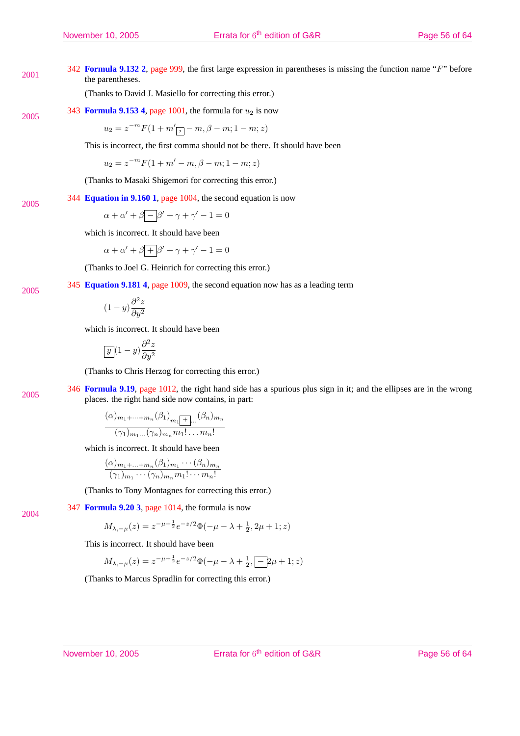342 **Formula 9.132 2**, page 999, the first large expression in parentheses is missing the function name "F" before  $2001$   $342 \text{ F}$   $\alpha$  mula  $\lambda$  1.32

(Thanks to David J. Masiello for correcting this error.)

343 **Formula 9.153 4,** page 1001, the formula for  $u_2$  is now 2005

$$
u_2 = z^{-m} F(1 + m'_{\overline{1}} - m, \beta - m; 1 - m; z)
$$

This is incorrect, the first comma should not be there. It should have been

$$
u_2 = z^{-m} F(1 + m' - m, \beta - m; 1 - m; z)
$$

(Thanks to Masaki Shigemori for correcting this error.)

344 **Equation in 9.160 1**, page 1004, the second equation is now

$$
\alpha+\alpha'+\beta\overline{\phantom{a}}\xrightarrow{\beta'}+\gamma+\gamma'-1=0
$$

which is incorrect. It should have been

$$
\alpha+\alpha'+\beta\overline{\pmb{|}+}\beta'+\gamma+\gamma'-1=0
$$

(Thanks to Joel G. Heinrich for correcting this error.)

345 **Equation 9.181 4**, page 1009, the second equation now has as a leading term

$$
(1-y)\frac{\partial^2 z}{\partial y^2}
$$

which is incorrect. It should have been

$$
y\bigg](1-y)\frac{\partial^2 z}{\partial y^2}
$$

(Thanks to Chris Herzog for correcting this error.)

346 **Formula 9.19**, page 1012, the right hand side has a spurious plus sign in it; and the ellipses are in the wrong 2005 places. the right hand side now contains, in part:

$$
\frac{(\alpha)_{m_1+\cdots+m_n}(\beta_1)_{m_1\boxed{+}}}{(\gamma_1)_{m_1\ldots}(\gamma_n)_{m_n}m_1!\ldots m_n!}
$$

which is incorrect. It should have been

$$
\frac{(\alpha)_{m_1+\dots+m_n}(\beta_1)_{m_1}\cdots(\beta_n)_{m_n}}{(\gamma_1)_{m_1}\cdots(\gamma_n)_{m_n}m_1!\cdots m_n!}
$$

(Thanks to Tony Montagnes for correcting this error.)

347 **Formula 9.20 3**, page 1014, the formula is now

$$
M_{\lambda,-\mu}(z) = z^{-\mu + \frac{1}{2}} e^{-z/2} \Phi(-\mu - \lambda + \frac{1}{2}, 2\mu + 1; z)
$$

This is incorrect. It should have been

$$
M_{\lambda,-\mu}(z) = z^{-\mu + \frac{1}{2}} e^{-z/2} \Phi(-\mu - \lambda + \frac{1}{2}, -2\mu + 1; z)
$$

(Thanks to Marcus Spradlin for correcting this error.)

2005

2005

$$
\mathcal{L}^{\mathcal{L}}(\mathcal{L})
$$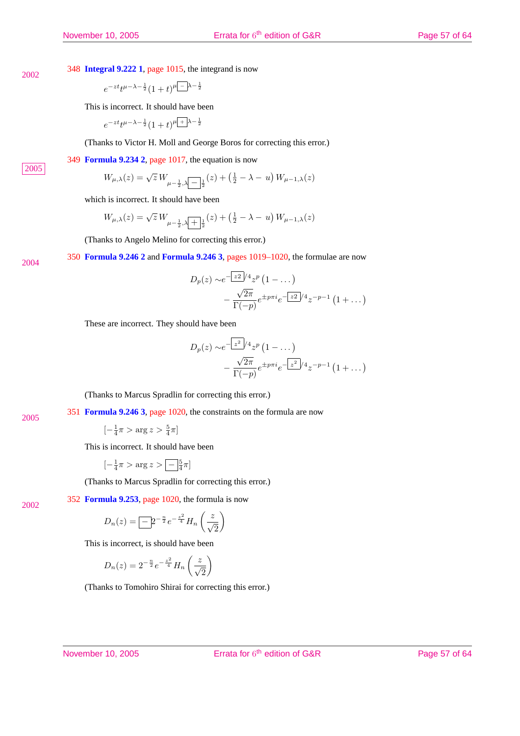348 **Integral 9.222 1**, page 1015, the integrand is now

$$
e^{-zt}t^{\mu-\lambda-\frac{1}{2}}(1+t)^{\mu-\lambda-\frac{1}{2}}
$$

This is incorrect. It should have been

$$
e^{-zt}t^{\mu-\lambda-\frac{1}{2}}(1+t)^{\mu\boxed{+}\lambda-\frac{1}{2}}
$$

(Thanks to Victor H. Moll and George Boros for correcting this error.)

349 **Formula 9.234 2**, page 1017, the equation is now

 $W_{\mu,\lambda}(z) = \sqrt{z} W_{\mu-\frac{1}{2},\lambda} - \frac{1}{2}(z) + (\frac{1}{2} - \lambda - u)$ ¢  $W_{\mu-1,\lambda}(z)$ 

which is incorrect. It should have been

$$
W_{\mu,\lambda}(z) = \sqrt{z} W_{\mu - \frac{1}{2},\lambda} + \frac{1}{2}(z) + (\frac{1}{2} - \lambda - u) W_{\mu - 1,\lambda}(z)
$$

(Thanks to Angelo Melino for correcting this error.)

350 **Formula 9.246 2** and **Formula 9.246 3**, pages 1019–1020, the formulae are now

$$
D_p(z) \sim e^{-\frac{z_2}{z}\cdot 4} z^p (1 - \dots)
$$
  
 
$$
- \frac{\sqrt{2\pi}}{\Gamma(-p)} e^{\pm p\pi i} e^{-\frac{z_2}{z}\cdot 4} z^{-p-1} (1 + \dots)
$$

These are incorrect. They should have been

$$
D_p(z) \sim e^{-\frac{z^2}{2} / 4} z^p (1 - \dots)
$$
  
- 
$$
\frac{\sqrt{2\pi}}{\Gamma(-p)} e^{\pm p\pi i} e^{-\frac{z^2}{2} / 4} z^{-p-1} (1 + \dots)
$$

(Thanks to Marcus Spradlin for correcting this error.)

351 **Formula 9.246 3**, page 1020, the constraints on the formula are now

 $[-\frac{1}{4}\pi > \arg z > \frac{5}{4}\pi]$ 

This is incorrect. It should have been

$$
\left[-\frac{1}{4}\pi > \arg z > \boxed{-\frac{5}{4}\pi}\right]
$$

(Thanks to Marcus Spradlin for correcting this error.)

352 **Formula 9.253**, page 1020, the formula is now

$$
D_n(z) = \boxed{-} 2^{-\frac{n}{2}} e^{-\frac{z^2}{4}} H_n\left(\frac{z}{\sqrt{2}}\right)
$$

This is incorrect, is should have been

$$
D_n(z) = 2^{-\frac{n}{2}} e^{-\frac{z^2}{4}} H_n\left(\frac{z}{\sqrt{2}}\right)
$$

(Thanks to Tomohiro Shirai for correcting this error.)

November 10, 2005

2002

2005

2004

2005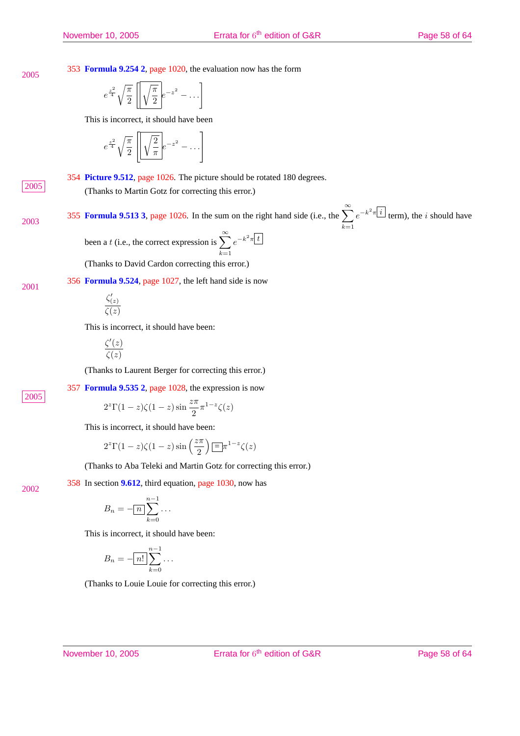353 **Formula 9.254 2**, page 1020, the evaluation now has the form 2005

$$
e^{\frac{z^2}{4}}\sqrt{\frac{\pi}{2}}\left[\sqrt{\frac{\pi}{2}}\right]e^{-z^2}-\ldots\right]
$$

This is incorrect, it should have been

$$
e^{\frac{z^2}{4}}\sqrt{\frac{\pi}{2}}\left[\sqrt{\frac{2}{\pi}}\right]e^{-z^2}-\ldots\right]
$$

2001

354 **Picture 9.512**, page 1026. The picture should be rotated 180 degrees. <sup>2005</sup> (Thanks to Martin Gotz for correcting this error.)

355 **Formula 9.513 3**, page 1026. In the sum on the right hand side (i.e., the  $\sum_{n=1}^{\infty}$  $k=1$  $e^{-k^2\pi}$ <sup>i</sup> term), the *i* should have 2003 been a t (i.e., the correct expression is  $\sum_{k=0}^{\infty} e^{-k^2 \pi \left[ \frac{1}{k} \right]}$ 

> $k=1$ (Thanks to David Cardon correcting this error.)

356 **Formula 9.524**, page 1027, the left hand side is now

$$
\frac{\zeta'_{(z)}}{\zeta(z)}
$$

This is incorrect, it should have been:

$$
\frac{\zeta'(z)}{\zeta(z)}
$$

(Thanks to Laurent Berger for correcting this error.)

357 **Formula 9.535 2**, page 1028, the expression is now

$$
2^{z}\Gamma(1-z)\zeta(1-z)\sin\frac{z\pi}{2}\pi^{1-z}\zeta(z)
$$

This is incorrect, it should have been:

$$
2^{z}\Gamma(1-z)\zeta(1-z)\sin\left(\frac{z\pi}{2}\right)\boxed{=}\pi^{1-z}\zeta(z)
$$

(Thanks to Aba Teleki and Martin Gotz for correcting this error.)

358 In section **9.612**, third equation, page 1030, now has

$$
B_n = -[n] \sum_{k=0}^{n-1} \dots
$$

This is incorrect, it should have been:

$$
B_n = -\boxed{n!} \sum_{k=0}^{n-1} \dots
$$

(Thanks to Louie Louie for correcting this error.)

November 10, 2005

2005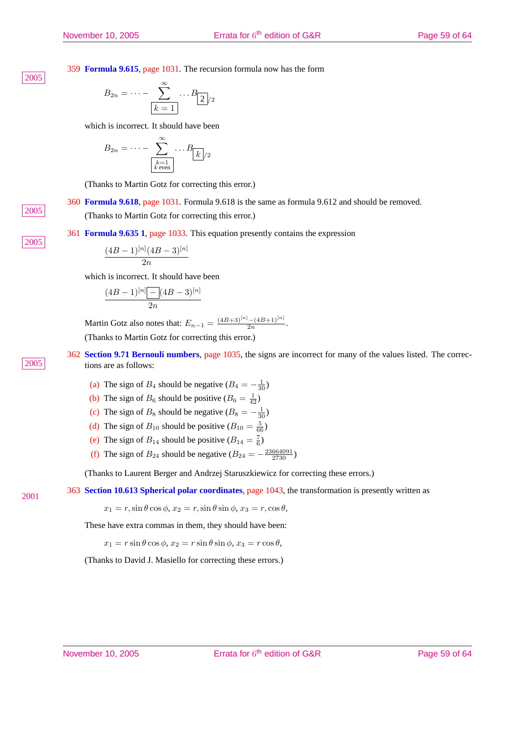359 **Formula 9.615**, page 1031. The recursion formula now has the form

$$
B_{2n} = \cdots - \sum_{k=1}^{\infty} \cdots B_{\boxed{2}}_2
$$

which is incorrect. It should have been

$$
B_{2n} = \cdots - \sum_{\substack{k=1\\k \text{ even}}}^{\infty} \cdots B_{\lfloor k \rfloor/2}
$$

(Thanks to Martin Gotz for correcting this error.)

360 **Formula 9.618**, page 1031. Formula 9.618 is the same as formula 9.612 and should be removed.

<sup>2005</sup> (Thanks to Martin Gotz for correcting this error.)

361 **Formula 9.635 1**, page 1033. This equation presently contains the expression

$$
\frac{(4B-1)^{[n]}(4B-3)^{[n]}}{2n}
$$

which is incorrect. It should have been

$$
\frac{(4B-1)^{[n]}[-] (4B-3)^{[n]}}{2n}
$$

Martin Gotz also notes that:  $E_{n-1} = \frac{(4B+3)^{[n]} - (4B+1)^{[n]}}{2n}$  $\frac{- (4B+1)^{1/2}}{2n}$ . (Thanks to Martin Gotz for correcting this error.)

362 **Section 9.71 Bernouli numbers**, page 1035, the signs are incorrect for many of the values listed. The correc-2005 tions are as follows:

- (a) The sign of  $B_4$  should be negative  $(B_4 = -\frac{1}{30})$
- (b) The sign of  $B_6$  should be positive ( $B_6 = \frac{1}{42}$ )
- (c) The sign of  $B_8$  should be negative  $(B_8 = -\frac{1}{30})$
- (d) The sign of  $B_{10}$  should be positive ( $B_{10} = \frac{5}{66}$ )
- (e) The sign of  $B_{14}$  should be positive  $(B_{14} = \frac{7}{6})$
- (f) The sign of  $B_{24}$  should be negative  $(B_{24} = -\frac{23664091}{2730})$

(Thanks to Laurent Berger and Andrzej Staruszkiewicz for correcting these errors.)

363 **Section 10.613 Spherical polar coordinates**, page 1043, the transformation is presently written as

 $x_1 = r, \sin \theta \cos \phi, x_2 = r, \sin \theta \sin \phi, x_3 = r, \cos \theta,$ 

These have extra commas in them, they should have been:

 $x_1 = r \sin \theta \cos \phi, x_2 = r \sin \theta \sin \phi, x_3 = r \cos \theta,$ 

(Thanks to David J. Masiello for correcting these errors.)

2001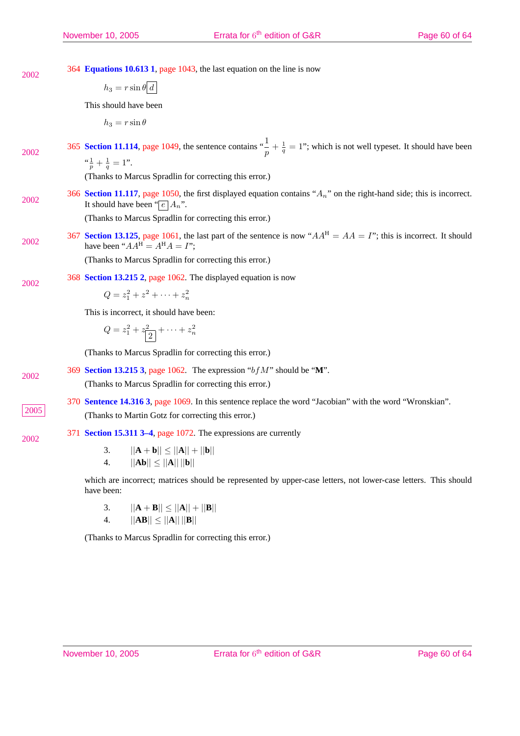364 **Equations 10.613 1**, page 1043, the last equation on the line is now 2002

 $h_3 = r \sin \theta \overline{d}$ 

This should have been

 $h_3 = r \sin \theta$ 

- 365 **Section 11.114**, page 1049, the sentence contains  $\frac{1}{p} + \frac{1}{q} = 1$ "; which is not well typeset. It should have been 2002
	- " $\frac{1}{p} + \frac{1}{q} = 1$ ".

(Thanks to Marcus Spradlin for correcting this error.)

366 **Section 11.117**, page 1050, the first displayed equation contains " $A_n$ " on the right-hand side; this is incorrect. 2002 **It should have been** " $\overline{[e]} A_n$ ".

(Thanks to Marcus Spradlin for correcting this error.)

367 **Section 13.125**, page 1061, the last part of the sentence is now " $AA^H = AA = I$ "; this is incorrect. It should 2002 **have been** " $AA^H = A^H A = I$ ";

(Thanks to Marcus Spradlin for correcting this error.)

368 **Section 13.215 2**, page 1062. The displayed equation is now 2002

 $Q = z_1^2 + z^2 + \cdots + z_n^2$ 

This is incorrect, it should have been:

$$
Q = z_1^2 + z_{\boxed{2}}^2 + \dots + z_n^2
$$

(Thanks to Marcus Spradlin for correcting this error.)

369 **Section 13.215 3**, page 1062. The expression "bfM" should be "**M**". 2002

(Thanks to Marcus Spradlin for correcting this error.)

370 **Sentence 14.316 3**, page 1069. In this sentence replace the word "Jacobian" with the word "Wronskian". <sup>2005</sup> (Thanks to Martin Gotz for correcting this error.)

371 **Section 15.311 3–4**, page 1072. The expressions are currently 2002

> 3.  $||A + b|| \le ||A|| + ||b||$ 4.  $||A\mathbf{b}|| \leq ||A|| ||\mathbf{b}||$

which are incorrect; matrices should be represented by upper-case letters, not lower-case letters. This should have been:

- 3.  $||A + B|| \le ||A|| + ||B||$
- 4.  $||AB|| \le ||A|| ||B||$

(Thanks to Marcus Spradlin for correcting this error.)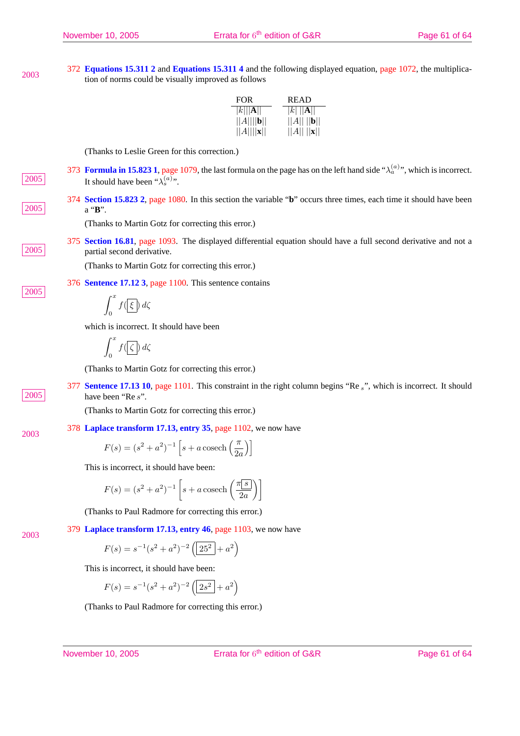2003

372 **Equations 15.311 2** and **Equations 15.311 4** and the following displayed equation, page 1072, the multiplica- $2003$   $2003$  tion of norms could be visually improved as follows

| <b>FOR</b>             | <b>READ</b>            |
|------------------------|------------------------|
| $ k   \mathbf{A}  $    | $ k $ $  A  $          |
| $  A     \mathbf{b}  $ | A     b                |
| $  A     \mathbf{x}  $ | $  A     \mathbf{x}  $ |

(Thanks to Leslie Green for this correction.)

- 373 **Formula in 15.823 1**, page 1079, the last formula on the page has on the left hand side " $\lambda_a^{(a)}$ ", which is incorrect. 2005 It should have been " $\lambda_s^{(a)}$ ".
- 374 **Section 15.823 2**, page 1080. In this section the variable "**b**" occurs three times, each time it should have been 2005 a "**B**".

(Thanks to Martin Gotz for correcting this error.)

375 **Section 16.81**, page 1093. The displayed differential equation should have a full second derivative and not a 2005 partial second derivative.

(Thanks to Martin Gotz for correcting this error.)

376 **Sentence 17.12 3**, page 1100. This sentence contains

 $\overline{r^x}$ 0  $f(|\xi|) d\zeta$ 

which is incorrect. It should have been

$$
\int_0^x f\big(\overline{\zeta}\big)\,d\zeta
$$

(Thanks to Martin Gotz for correcting this error.)

377 **Sentence 17.13 10**, page 1101. This constraint in the right column begins "Re s", which is incorrect. It should 2005 have been "Re s".

(Thanks to Martin Gotz for correcting this error.)

378 **Laplace transform 17.13, entry 35**, page 1102, we now have 2003

$$
F(s) = (s2 + a2)-1 \left[ s + a \operatorname{cosech}\left(\frac{\pi}{2a}\right) \right]
$$

This is incorrect, it should have been:

$$
F(s) = (s2 + a2)-1 \left[ s + a \operatorname{cosech}\left(\frac{\pi\overline{s}}{2a}\right) \right]
$$

(Thanks to Paul Radmore for correcting this error.)

379 **Laplace transform 17.13, entry 46**, page 1103, we now have

$$
F(s) = s^{-1}(s^2 + a^2)^{-2} \left(\boxed{25^2} + a^2\right)
$$

This is incorrect, it should have been:

$$
F(s) = s^{-1}(s^2 + a^2)^{-2} \left( \boxed{2s^2} + a^2 \right)
$$

(Thanks to Paul Radmore for correcting this error.)

November 10, 2005

Errata for 6<sup>th</sup> edition of G&R Page 61 of 64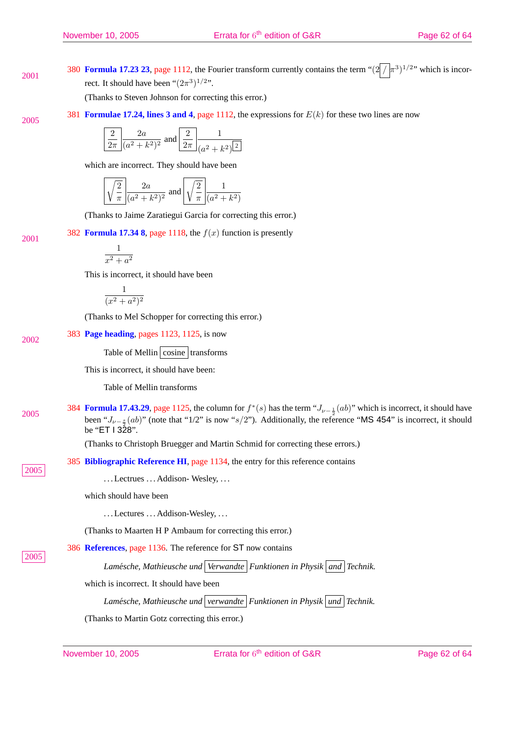380 **Formula 17.23 23**, page 1112, the Fourier transform currently contains the term " $(2/\pi^3)^{1/2}$ " which is incor-2001 rect. It should have been " $(2\pi^3)^{1/2}$ ".

(Thanks to Steven Johnson for correcting this error.)

381 **Formulae 17.24, lines 3 and 4, page 1112, the expressions for**  $E(k)$  **for these two lines are now** 2005

$$
\boxed{\frac{2}{2\pi}}\frac{2a}{(a^2+k^2)^2}\text{ and }\boxed{\frac{2}{2\pi}}\frac{1}{(a^2+k^2)^{\boxed{2}}}
$$

which are incorrect. They should have been

$$
\boxed{\sqrt{\frac{2}{\pi}}\frac{2a}{(a^2+k^2)^2}} \text{ and } \boxed{\sqrt{\frac{2}{\pi}}\frac{1}{(a^2+k^2)}}
$$

(Thanks to Jaime Zaratiegui Garcia for correcting this error.)

382 **Formula 17.34 8**, page 1118, the  $f(x)$  function is presently

2001

2002

2005

2005

$$
\frac{1}{x^2 + a^2}
$$

This is incorrect, it should have been

$$
\frac{1}{(x^2+a^2)^2}
$$

(Thanks to Mel Schopper for correcting this error.)

383 **Page heading**, pages 1123, 1125, is now

Table of Mellin  $\cosine$  transforms

This is incorrect, it should have been:

Table of Mellin transforms

384 **Formula 17.43.29**, page 1125, the column for  $f^*(s)$  has the term " $J_{\nu-\frac{1}{2}}(ab)$ " which is incorrect, it should have 2005 been "J<sub>v− $\frac{3}{2}$ </sub> (ab)" (note that "1/2" is now "s/2"). Additionally, the reference "MS 454" is incorrect, it should be "ET I 328".

(Thanks to Christoph Bruegger and Martin Schmid for correcting these errors.)

385 **Bibliographic Reference HI**, page 1134, the entry for this reference contains

... Lectrues ... Addison-Wesley, ...

which should have been

... Lectures ... Addison-Wesley, ...

(Thanks to Maarten H P Ambaum for correcting this error.)

## 386 **References**, page 1136. The reference for ST now contains

*Lamesche, Mathieusche und ´ Verwandte Funktionen in Physik and Technik.*

which is incorrect. It should have been

*Lamesche, Mathieusche und ´ verwandte Funktionen in Physik und Technik.*

(Thanks to Martin Gotz correcting this error.)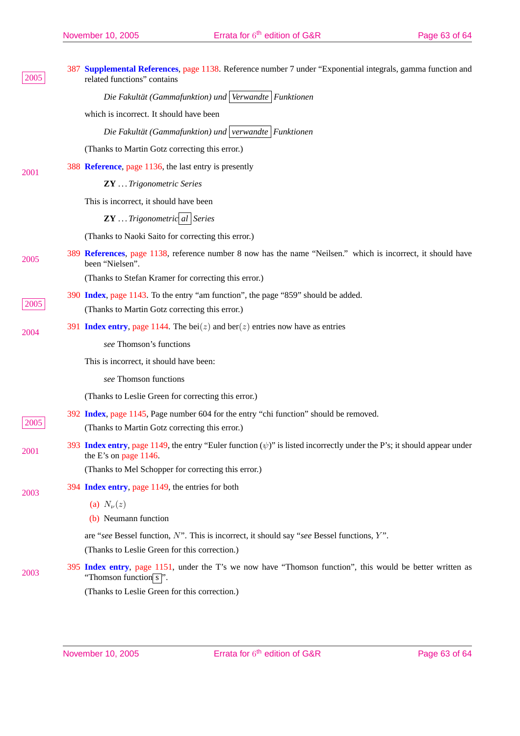| 2005 | 387 Supplemental References, page 1138. Reference number 7 under "Exponential integrals, gamma function and<br>related functions" contains               |
|------|----------------------------------------------------------------------------------------------------------------------------------------------------------|
|      | Die Fakultät (Gammafunktion) und Verwandte Funktionen                                                                                                    |
|      | which is incorrect. It should have been                                                                                                                  |
|      | Die Fakultät (Gammafunktion) und verwandte Funktionen                                                                                                    |
|      | (Thanks to Martin Gotz correcting this error.)                                                                                                           |
| 2001 | 388 Reference, page 1136, the last entry is presently                                                                                                    |
|      | <b>ZY</b> Trigonometric Series                                                                                                                           |
|      | This is incorrect, it should have been                                                                                                                   |
|      | $\mathbf{Z}\mathbf{Y} \dots$ Trigonometric al Series                                                                                                     |
|      | (Thanks to Naoki Saito for correcting this error.)                                                                                                       |
| 2005 | 389 References, page 1138, reference number 8 now has the name "Neilsen." which is incorrect, it should have<br>been "Nielsen".                          |
|      | (Thanks to Stefan Kramer for correcting this error.)                                                                                                     |
| 2005 | 390 Index, page 1143. To the entry "am function", the page "859" should be added.                                                                        |
|      | (Thanks to Martin Gotz correcting this error.)                                                                                                           |
| 2004 | 391 <b>Index entry</b> , page 1144. The bei $(z)$ and ber $(z)$ entries now have as entries                                                              |
|      | see Thomson's functions                                                                                                                                  |
|      | This is incorrect, it should have been:                                                                                                                  |
|      | see Thomson functions                                                                                                                                    |
|      | (Thanks to Leslie Green for correcting this error.)                                                                                                      |
| 2005 | 392 Index, page 1145, Page number 604 for the entry "chi function" should be removed.<br>(Thanks to Martin Gotz correcting this error.)                  |
| 2001 | 393 Index entry, page 1149, the entry "Euler function $(\psi)$ " is listed incorrectly under the P's; it should appear under<br>the E's on page $1146$ . |
|      | (Thanks to Mel Schopper for correcting this error.)                                                                                                      |
| 2003 | 394 Index entry, page 1149, the entries for both                                                                                                         |
|      | (a) $N_{\nu}(z)$                                                                                                                                         |
|      | (b) Neumann function                                                                                                                                     |
|      | are "see Bessel function, N". This is incorrect, it should say "see Bessel functions, Y".                                                                |
|      | (Thanks to Leslie Green for this correction.)                                                                                                            |
| 2003 | 395 Index entry, page 1151, under the T's we now have "Thomson function", this would be better written as<br>"Thomson function $\boxed{s}$ ".            |
|      | (Thanks to Leslie Green for this correction.)                                                                                                            |